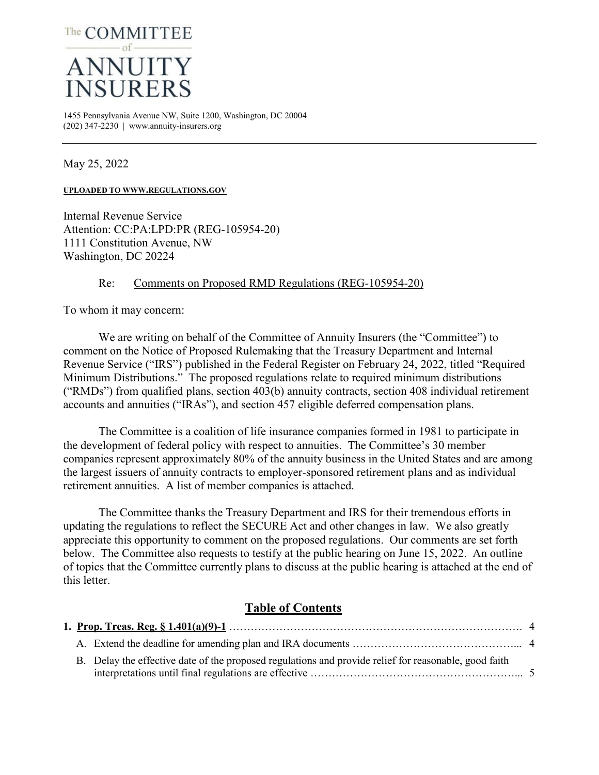

1455 Pennsylvania Avenue NW, Suite 1200, Washington, DC 20004  $(202)$  347-2230 | www.annuity-insurers.org

May 25, 2022

**UPLOADED TO WWW.REGULATIONS.GOV**

Internal Revenue Service Attention: CC:PA:LPD:PR (REG-105954-20) 1111 Constitution Avenue, NW Washington, DC 20224

### Re: Comments on Proposed RMD Regulations (REG-105954-20)

To whom it may concern:

We are writing on behalf of the Committee of Annuity Insurers (the "Committee") to comment on the Notice of Proposed Rulemaking that the Treasury Department and Internal Revenue Service ("IRS") published in the Federal Register on February 24, 2022, titled "Required Minimum Distributions." The proposed regulations relate to required minimum distributions ("RMDs") from qualified plans, section 403(b) annuity contracts, section 408 individual retirement accounts and annuities ("IRAs"), and section 457 eligible deferred compensation plans.

The Committee is a coalition of life insurance companies formed in 1981 to participate in the development of federal policy with respect to annuities. The Committee's 30 member companies represent approximately 80% of the annuity business in the United States and are among the largest issuers of annuity contracts to employer-sponsored retirement plans and as individual retirement annuities. A list of member companies is attached.

The Committee thanks the Treasury Department and IRS for their tremendous efforts in updating the regulations to reflect the SECURE Act and other changes in law. We also greatly appreciate this opportunity to comment on the proposed regulations. Our comments are set forth below. The Committee also requests to testify at the public hearing on June 15, 2022. An outline of topics that the Committee currently plans to discuss at the public hearing is attached at the end of this letter.

# **Table of Contents**

|  | B. Delay the effective date of the proposed regulations and provide relief for reasonable, good faith |  |
|--|-------------------------------------------------------------------------------------------------------|--|
|  |                                                                                                       |  |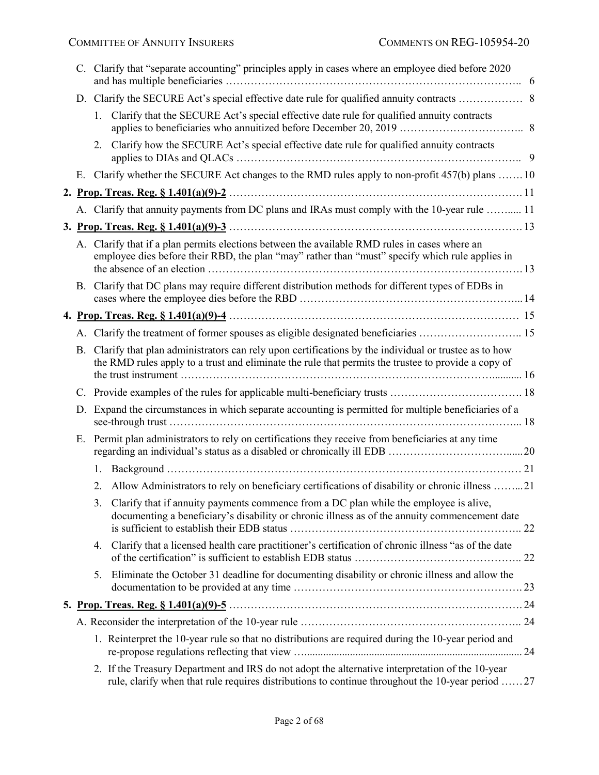|    | C. Clarify that "separate accounting" principles apply in cases where an employee died before 2020                                                                                                          |  |  |  |  |
|----|-------------------------------------------------------------------------------------------------------------------------------------------------------------------------------------------------------------|--|--|--|--|
|    |                                                                                                                                                                                                             |  |  |  |  |
|    | Clarify that the SECURE Act's special effective date rule for qualified annuity contracts<br>1.                                                                                                             |  |  |  |  |
|    | 2. Clarify how the SECURE Act's special effective date rule for qualified annuity contracts                                                                                                                 |  |  |  |  |
|    | E. Clarify whether the SECURE Act changes to the RMD rules apply to non-profit 457(b) plans  10                                                                                                             |  |  |  |  |
|    |                                                                                                                                                                                                             |  |  |  |  |
|    | A. Clarify that annuity payments from DC plans and IRAs must comply with the 10-year rule  11                                                                                                               |  |  |  |  |
|    |                                                                                                                                                                                                             |  |  |  |  |
|    | A. Clarify that if a plan permits elections between the available RMD rules in cases where an<br>employee dies before their RBD, the plan "may" rather than "must" specify which rule applies in            |  |  |  |  |
|    | B. Clarify that DC plans may require different distribution methods for different types of EDBs in                                                                                                          |  |  |  |  |
|    |                                                                                                                                                                                                             |  |  |  |  |
|    | A. Clarify the treatment of former spouses as eligible designated beneficiaries  15                                                                                                                         |  |  |  |  |
| В. | Clarify that plan administrators can rely upon certifications by the individual or trustee as to how<br>the RMD rules apply to a trust and eliminate the rule that permits the trustee to provide a copy of |  |  |  |  |
|    |                                                                                                                                                                                                             |  |  |  |  |
| D. | Expand the circumstances in which separate accounting is permitted for multiple beneficiaries of a                                                                                                          |  |  |  |  |
| Е. | Permit plan administrators to rely on certifications they receive from beneficiaries at any time                                                                                                            |  |  |  |  |
|    |                                                                                                                                                                                                             |  |  |  |  |
|    | Allow Administrators to rely on beneficiary certifications of disability or chronic illness 21<br>2.                                                                                                        |  |  |  |  |
|    | 3. Clarify that if annuity payments commence from a DC plan while the employee is alive,<br>documenting a beneficiary's disability or chronic illness as of the annuity commencement date                   |  |  |  |  |
|    | Clarify that a licensed health care practitioner's certification of chronic illness "as of the date<br>4.                                                                                                   |  |  |  |  |
|    | 5. Eliminate the October 31 deadline for documenting disability or chronic illness and allow the                                                                                                            |  |  |  |  |
|    |                                                                                                                                                                                                             |  |  |  |  |
|    |                                                                                                                                                                                                             |  |  |  |  |
|    | 1. Reinterpret the 10-year rule so that no distributions are required during the 10-year period and                                                                                                         |  |  |  |  |
|    | 2. If the Treasury Department and IRS do not adopt the alternative interpretation of the 10-year<br>rule, clarify when that rule requires distributions to continue throughout the 10-year period  27       |  |  |  |  |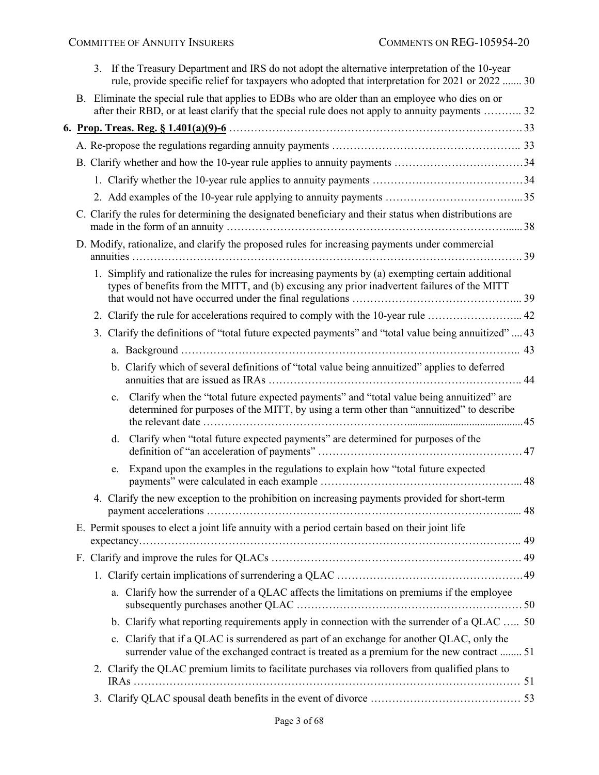|  |             | 3. If the Treasury Department and IRS do not adopt the alternative interpretation of the 10-year<br>rule, provide specific relief for taxpayers who adopted that interpretation for 2021 or 2022  30  |
|--|-------------|-------------------------------------------------------------------------------------------------------------------------------------------------------------------------------------------------------|
|  |             | B. Eliminate the special rule that applies to EDBs who are older than an employee who dies on or<br>after their RBD, or at least clarify that the special rule does not apply to annuity payments  32 |
|  |             |                                                                                                                                                                                                       |
|  |             |                                                                                                                                                                                                       |
|  |             |                                                                                                                                                                                                       |
|  |             |                                                                                                                                                                                                       |
|  |             |                                                                                                                                                                                                       |
|  |             |                                                                                                                                                                                                       |
|  |             | C. Clarify the rules for determining the designated beneficiary and their status when distributions are                                                                                               |
|  |             | D. Modify, rationalize, and clarify the proposed rules for increasing payments under commercial                                                                                                       |
|  |             | 1. Simplify and rationalize the rules for increasing payments by (a) exempting certain additional<br>types of benefits from the MITT, and (b) excusing any prior inadvertent failures of the MITT     |
|  |             | 2. Clarify the rule for accelerations required to comply with the 10-year rule  42                                                                                                                    |
|  |             | 3. Clarify the definitions of "total future expected payments" and "total value being annuitized"  43                                                                                                 |
|  |             |                                                                                                                                                                                                       |
|  |             | b. Clarify which of several definitions of "total value being annuitized" applies to deferred                                                                                                         |
|  | $c_{\cdot}$ | Clarify when the "total future expected payments" and "total value being annuitized" are<br>determined for purposes of the MITT, by using a term other than "annuitized" to describe                  |
|  | d.          | Clarify when "total future expected payments" are determined for purposes of the                                                                                                                      |
|  | e.          | Expand upon the examples in the regulations to explain how "total future expected                                                                                                                     |
|  |             | 4. Clarify the new exception to the prohibition on increasing payments provided for short-term                                                                                                        |
|  |             | E. Permit spouses to elect a joint life annuity with a period certain based on their joint life                                                                                                       |
|  |             |                                                                                                                                                                                                       |
|  |             |                                                                                                                                                                                                       |
|  |             | a. Clarify how the surrender of a QLAC affects the limitations on premiums if the employee                                                                                                            |
|  |             | b. Clarify what reporting requirements apply in connection with the surrender of a QLAC  50                                                                                                           |
|  |             | c. Clarify that if a QLAC is surrendered as part of an exchange for another QLAC, only the<br>surrender value of the exchanged contract is treated as a premium for the new contract  51              |
|  |             | 2. Clarify the QLAC premium limits to facilitate purchases via rollovers from qualified plans to                                                                                                      |
|  |             |                                                                                                                                                                                                       |
|  |             |                                                                                                                                                                                                       |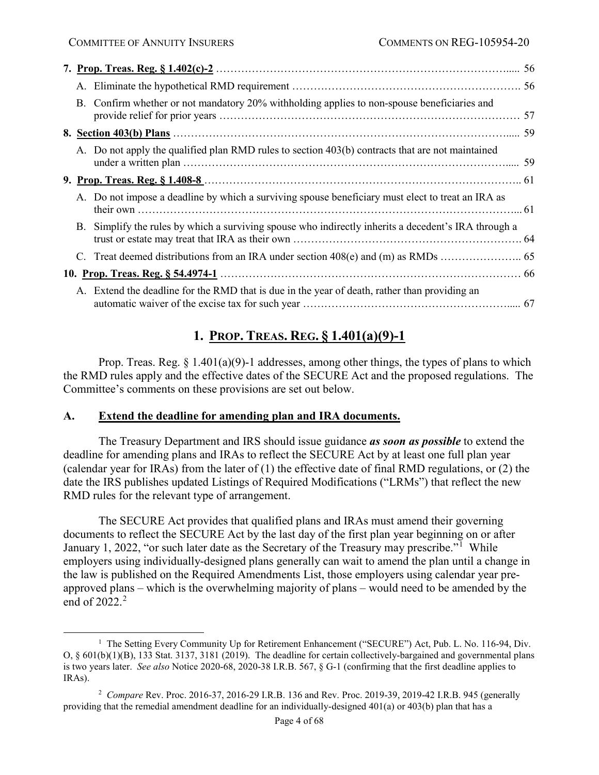|  | B. Confirm whether or not mandatory 20% withholding applies to non-spouse beneficiaries and          |  |
|--|------------------------------------------------------------------------------------------------------|--|
|  |                                                                                                      |  |
|  | A. Do not apply the qualified plan RMD rules to section 403(b) contracts that are not maintained     |  |
|  |                                                                                                      |  |
|  | A. Do not impose a deadline by which a surviving spouse beneficiary must elect to treat an IRA as    |  |
|  | B. Simplify the rules by which a surviving spouse who indirectly inherits a decedent's IRA through a |  |
|  |                                                                                                      |  |
|  |                                                                                                      |  |
|  | A. Extend the deadline for the RMD that is due in the year of death, rather than providing an        |  |

# **1. PROP. TREAS. REG. § 1.401(a)(9)-1**

<span id="page-3-0"></span>Prop. Treas. Reg.  $\S 1.401(a)(9)$ -1 addresses, among other things, the types of plans to which the RMD rules apply and the effective dates of the SECURE Act and the proposed regulations. The Committee's comments on these provisions are set out below.

# <span id="page-3-1"></span>**A. Extend the deadline for amending plan and IRA documents.**

The Treasury Department and IRS should issue guidance *as soon as possible* to extend the deadline for amending plans and IRAs to reflect the SECURE Act by at least one full plan year (calendar year for IRAs) from the later of (1) the effective date of final RMD regulations, or (2) the date the IRS publishes updated Listings of Required Modifications ("LRMs") that reflect the new RMD rules for the relevant type of arrangement.

The SECURE Act provides that qualified plans and IRAs must amend their governing documents to reflect the SECURE Act by the last day of the first plan year beginning on or after January [1](#page-3-2), 2022, "or such later date as the Secretary of the Treasury may prescribe."<sup>1</sup> While employers using individually-designed plans generally can wait to amend the plan until a change in the law is published on the Required Amendments List, those employers using calendar year preapproved plans – which is the overwhelming majority of plans – would need to be amended by the end of  $2022.<sup>2</sup>$  $2022.<sup>2</sup>$ 

<span id="page-3-2"></span><sup>&</sup>lt;u>1</u> <sup>1</sup> The Setting Every Community Up for Retirement Enhancement ("SECURE") Act, Pub. L. No. 116-94, Div. O, § 601(b)(1)(B), 133 Stat. 3137, 3181 (2019). The deadline for certain collectively-bargained and governmental plans is two years later. *See also* Notice 2020-68, 2020-38 I.R.B. 567, § G-1 (confirming that the first deadline applies to IRAs).

<span id="page-3-3"></span><sup>2</sup> *Compare* Rev. Proc. 2016-37, 2016-29 I.R.B. 136 and Rev. Proc. 2019-39, 2019-42 I.R.B. 945 (generally providing that the remedial amendment deadline for an individually-designed 401(a) or 403(b) plan that has a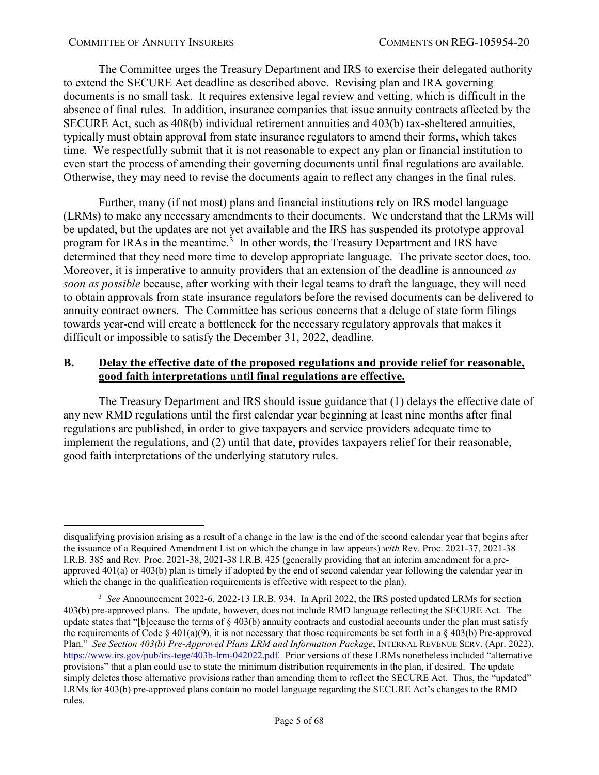The Committee urges the Treasury Department and IRS to exercise their delegated authority to extend the SECURE Act deadline as described above. Revising plan and IRA governing documents is no small task. It requires extensive legal review and vetting, which is difficult in the absence of final rules. In addition, insurance companies that issue annuity contracts affected by the SECURE Act, such as 408(b) individual retirement annuities and 403(b) tax-sheltered annuities, typically must obtain approval from state insurance regulators to amend their forms, which takes time. We respectfully submit that it is not reasonable to expect any plan or financial institution to even start the process of amending their governing documents until final regulations are available. Otherwise, they may need to revise the documents again to reflect any changes in the final rules.

Further, many (if not most) plans and financial institutions rely on IRS model language (LRMs) to make any necessary amendments to their documents. We understand that the LRMs will be updated, but the updates are not yet available and the IRS has suspended its prototype approval program for IRAs in the meantime.<sup>[3](#page-4-1)</sup> In other words, the Treasury Department and IRS have determined that they need more time to develop appropriate language. The private sector does, too. Moreover, it is imperative to annuity providers that an extension of the deadline is announced *as soon as possible* because, after working with their legal teams to draft the language, they will need to obtain approvals from state insurance regulators before the revised documents can be delivered to annuity contract owners. The Committee has serious concerns that a deluge of state form filings towards year-end will create a bottleneck for the necessary regulatory approvals that makes it difficult or impossible to satisfy the December 31, 2022, deadline.

# <span id="page-4-0"></span>**B. Delay the effective date of the proposed regulations and provide relief for reasonable, good faith interpretations until final regulations are effective.**

The Treasury Department and IRS should issue guidance that (1) delays the effective date of any new RMD regulations until the first calendar year beginning at least nine months after final regulations are published, in order to give taxpayers and service providers adequate time to implement the regulations, and (2) until that date, provides taxpayers relief for their reasonable, good faith interpretations of the underlying statutory rules.

disqualifying provision arising as a result of a change in the law is the end of the second calendar year that begins after the issuance of a Required Amendment List on which the change in law appears) *with* Rev. Proc. 2021-37, 2021-38 I.R.B. 385 and Rev. Proc. 2021-38, 2021-38 I.R.B. 425 (generally providing that an interim amendment for a preapproved 401(a) or 403(b) plan is timely if adopted by the end of second calendar year following the calendar year in which the change in the qualification requirements is effective with respect to the plan).

<span id="page-4-1"></span><sup>&</sup>lt;sup>3</sup> See Announcement 2022-6, 2022-13 I.R.B. 934. In April 2022, the IRS posted updated LRMs for section 403(b) pre-approved plans. The update, however, does not include RMD language reflecting the SECURE Act. The update states that "[b]ecause the terms of  $\S$  403(b) annuity contracts and custodial accounts under the plan must satisfy the requirements of Code  $\S$  401(a)(9), it is not necessary that those requirements be set forth in a  $\S$  403(b) Pre-approved Plan." *See Section 403(b) Pre-Approved Plans LRM and Information Package*, INTERNAL REVENUE SERV. (Apr. 2022), [https://www.irs.gov/pub/irs-tege/403b-lrm-042022.pdf.](https://www.irs.gov/pub/irs-tege/403b-lrm-042022.pdf) Prior versions of these LRMs nonetheless included "alternative provisions" that a plan could use to state the minimum distribution requirements in the plan, if desired. The update simply deletes those alternative provisions rather than amending them to reflect the SECURE Act. Thus, the "updated" LRMs for 403(b) pre-approved plans contain no model language regarding the SECURE Act's changes to the RMD rules.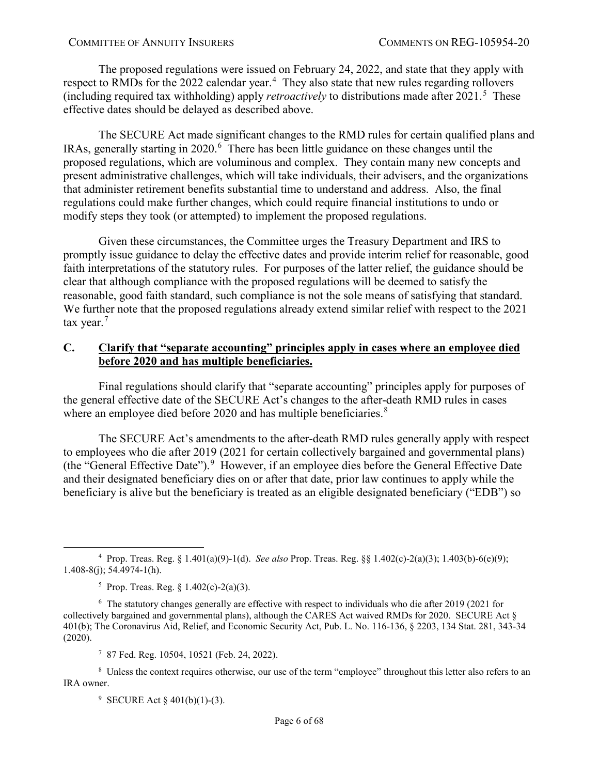The proposed regulations were issued on February 24, 2022, and state that they apply with respect to RMDs for the 2022 calendar year.<sup>[4](#page-5-1)</sup> They also state that new rules regarding rollovers (including required tax withholding) apply *retroactively* to distributions made after 2021.[5](#page-5-2) These effective dates should be delayed as described above.

The SECURE Act made significant changes to the RMD rules for certain qualified plans and IRAs, generally starting in 2020.<sup>[6](#page-5-3)</sup> There has been little guidance on these changes until the proposed regulations, which are voluminous and complex. They contain many new concepts and present administrative challenges, which will take individuals, their advisers, and the organizations that administer retirement benefits substantial time to understand and address. Also, the final regulations could make further changes, which could require financial institutions to undo or modify steps they took (or attempted) to implement the proposed regulations.

Given these circumstances, the Committee urges the Treasury Department and IRS to promptly issue guidance to delay the effective dates and provide interim relief for reasonable, good faith interpretations of the statutory rules. For purposes of the latter relief, the guidance should be clear that although compliance with the proposed regulations will be deemed to satisfy the reasonable, good faith standard, such compliance is not the sole means of satisfying that standard. We further note that the proposed regulations already extend similar relief with respect to the 2021 tax year. $<sup>7</sup>$  $<sup>7</sup>$  $<sup>7</sup>$ </sup>

### <span id="page-5-0"></span>**C. Clarify that "separate accounting" principles apply in cases where an employee died before 2020 and has multiple beneficiaries.**

Final regulations should clarify that "separate accounting" principles apply for purposes of the general effective date of the SECURE Act's changes to the after-death RMD rules in cases where an employee died before 2020 and has multiple beneficiaries.<sup>[8](#page-5-5)</sup>

The SECURE Act's amendments to the after-death RMD rules generally apply with respect to employees who die after 2019 (2021 for certain collectively bargained and governmental plans) (the "General Effective Date").<sup>[9](#page-5-6)</sup> However, if an employee dies before the General Effective Date and their designated beneficiary dies on or after that date, prior law continues to apply while the beneficiary is alive but the beneficiary is treated as an eligible designated beneficiary ("EDB") so

7 87 Fed. Reg. 10504, 10521 (Feb. 24, 2022).

<span id="page-5-6"></span><span id="page-5-5"></span><span id="page-5-4"></span><sup>8</sup> Unless the context requires otherwise, our use of the term "employee" throughout this letter also refers to an IRA owner.

9 SECURE Act § 401(b)(1)-(3).

<span id="page-5-1"></span> $\frac{1}{4}$  Prop. Treas. Reg. § 1.401(a)(9)-1(d). *See also* Prop. Treas. Reg. §§ 1.402(c)-2(a)(3); 1.403(b)-6(e)(9); 1.408-8(j); 54.4974-1(h).

<sup>5</sup> Prop. Treas. Reg. § 1.402(c)-2(a)(3).

<span id="page-5-3"></span><span id="page-5-2"></span><sup>&</sup>lt;sup>6</sup> The statutory changes generally are effective with respect to individuals who die after 2019 (2021 for collectively bargained and governmental plans), although the CARES Act waived RMDs for 2020. SECURE Act § 401(b); The Coronavirus Aid, Relief, and Economic Security Act, Pub. L. No. 116-136, § 2203, 134 Stat. 281, 343-34 (2020).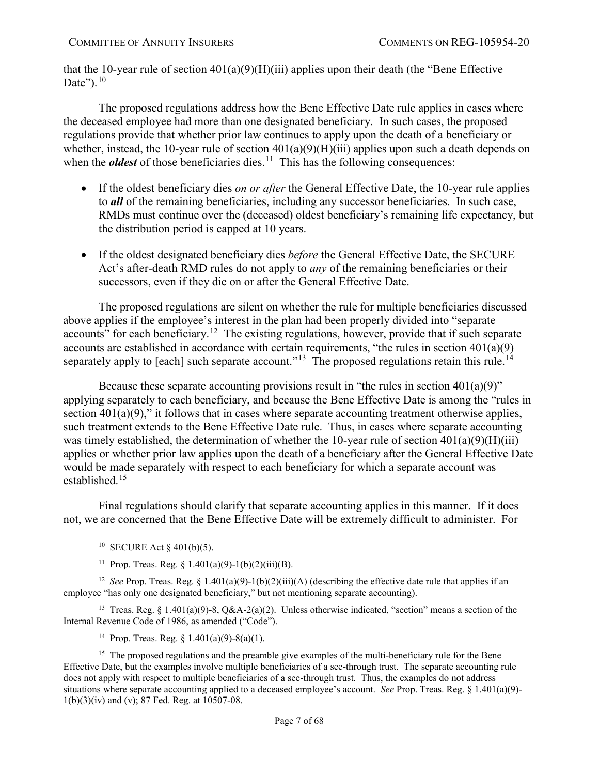that the 10-year rule of section  $401(a)(9)(H)(iii)$  applies upon their death (the "Bene Effective Date"). $10$ 

The proposed regulations address how the Bene Effective Date rule applies in cases where the deceased employee had more than one designated beneficiary. In such cases, the proposed regulations provide that whether prior law continues to apply upon the death of a beneficiary or whether, instead, the 10-year rule of section  $401(a)(9)(H)(iii)$  applies upon such a death depends on when the *oldest* of those beneficiaries dies.<sup>[11](#page-6-1)</sup> This has the following consequences:

- If the oldest beneficiary dies *on or after* the General Effective Date, the 10-year rule applies to *all* of the remaining beneficiaries, including any successor beneficiaries. In such case, RMDs must continue over the (deceased) oldest beneficiary's remaining life expectancy, but the distribution period is capped at 10 years.
- If the oldest designated beneficiary dies *before* the General Effective Date, the SECURE Act's after-death RMD rules do not apply to *any* of the remaining beneficiaries or their successors, even if they die on or after the General Effective Date.

The proposed regulations are silent on whether the rule for multiple beneficiaries discussed above applies if the employee's interest in the plan had been properly divided into "separate accounts" for each beneficiary.<sup>12</sup> The existing regulations, however, provide that if such separate accounts are established in accordance with certain requirements, "the rules in section  $401(a)(9)$ separately apply to [each] such separate account."<sup>[13](#page-6-3)</sup> The proposed regulations retain this rule.<sup>[14](#page-6-4)</sup>

Because these separate accounting provisions result in "the rules in section  $401(a)(9)$ " applying separately to each beneficiary, and because the Bene Effective Date is among the "rules in section  $401(a)(9)$ ," it follows that in cases where separate accounting treatment otherwise applies, such treatment extends to the Bene Effective Date rule. Thus, in cases where separate accounting was timely established, the determination of whether the 10-year rule of section  $401(a)(9)(H)(iii)$ applies or whether prior law applies upon the death of a beneficiary after the General Effective Date would be made separately with respect to each beneficiary for which a separate account was established.<sup>[15](#page-6-5)</sup>

Final regulations should clarify that separate accounting applies in this manner. If it does not, we are concerned that the Bene Effective Date will be extremely difficult to administer. For

<span id="page-6-2"></span><span id="page-6-1"></span><span id="page-6-0"></span><sup>12</sup> *See* Prop. Treas. Reg. § 1.401(a)(9)-1(b)(2)(iii)(A) (describing the effective date rule that applies if an employee "has only one designated beneficiary," but not mentioning separate accounting).

<span id="page-6-3"></span><sup>13</sup> Treas. Reg. § 1.401(a)(9)-8, Q&A-2(a)(2). Unless otherwise indicated, "section" means a section of the Internal Revenue Code of 1986, as amended ("Code").

<sup>14</sup> Prop. Treas. Reg.  $\frac{1401(a)(9)-8(a)(1)}{2}$ .

<span id="page-6-5"></span><span id="page-6-4"></span><sup>15</sup> The proposed regulations and the preamble give examples of the multi-beneficiary rule for the Bene Effective Date, but the examples involve multiple beneficiaries of a see-through trust. The separate accounting rule does not apply with respect to multiple beneficiaries of a see-through trust. Thus, the examples do not address situations where separate accounting applied to a deceased employee's account. *See* Prop. Treas. Reg. § 1.401(a)(9)- 1(b)(3)(iv) and (v); 87 Fed. Reg. at 10507-08.

<sup>&</sup>lt;sup>10</sup> SECURE Act  $\S$  401(b)(5).

<sup>&</sup>lt;sup>11</sup> Prop. Treas. Reg.  $\{1.401(a)(9)-1(b)(2)(iii)(B)\}.$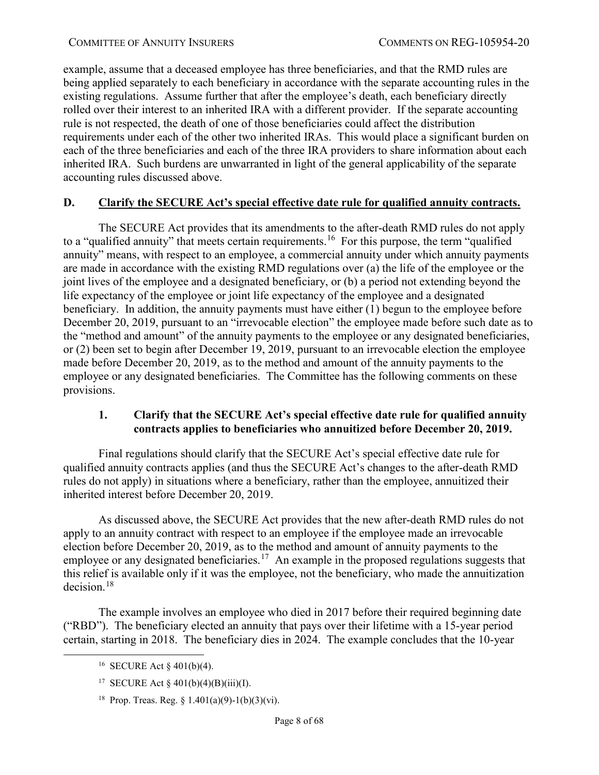example, assume that a deceased employee has three beneficiaries, and that the RMD rules are being applied separately to each beneficiary in accordance with the separate accounting rules in the existing regulations. Assume further that after the employee's death, each beneficiary directly rolled over their interest to an inherited IRA with a different provider. If the separate accounting rule is not respected, the death of one of those beneficiaries could affect the distribution requirements under each of the other two inherited IRAs. This would place a significant burden on each of the three beneficiaries and each of the three IRA providers to share information about each inherited IRA. Such burdens are unwarranted in light of the general applicability of the separate accounting rules discussed above.

# <span id="page-7-0"></span>**D. Clarify the SECURE Act's special effective date rule for qualified annuity contracts.**

The SECURE Act provides that its amendments to the after-death RMD rules do not apply to a "qualified annuity" that meets certain requirements.<sup>16</sup> For this purpose, the term "qualified annuity" means, with respect to an employee, a commercial annuity under which annuity payments are made in accordance with the existing RMD regulations over (a) the life of the employee or the joint lives of the employee and a designated beneficiary, or (b) a period not extending beyond the life expectancy of the employee or joint life expectancy of the employee and a designated beneficiary. In addition, the annuity payments must have either (1) begun to the employee before December 20, 2019, pursuant to an "irrevocable election" the employee made before such date as to the "method and amount" of the annuity payments to the employee or any designated beneficiaries, or (2) been set to begin after December 19, 2019, pursuant to an irrevocable election the employee made before December 20, 2019, as to the method and amount of the annuity payments to the employee or any designated beneficiaries. The Committee has the following comments on these provisions.

### <span id="page-7-1"></span>**1. Clarify that the SECURE Act's special effective date rule for qualified annuity contracts applies to beneficiaries who annuitized before December 20, 2019.**

Final regulations should clarify that the SECURE Act's special effective date rule for qualified annuity contracts applies (and thus the SECURE Act's changes to the after-death RMD rules do not apply) in situations where a beneficiary, rather than the employee, annuitized their inherited interest before December 20, 2019.

As discussed above, the SECURE Act provides that the new after-death RMD rules do not apply to an annuity contract with respect to an employee if the employee made an irrevocable election before December 20, 2019, as to the method and amount of annuity payments to the employee or any designated beneficiaries.<sup>[17](#page-7-3)</sup> An example in the proposed regulations suggests that this relief is available only if it was the employee, not the beneficiary, who made the annuitization decision. $18$ 

<span id="page-7-3"></span><span id="page-7-2"></span>The example involves an employee who died in 2017 before their required beginning date ("RBD"). The beneficiary elected an annuity that pays over their lifetime with a 15-year period certain, starting in 2018. The beneficiary dies in 2024. The example concludes that the 10-year

 <sup>16</sup> SECURE Act § 401(b)(4).

<sup>&</sup>lt;sup>17</sup> SECURE Act  $\&$  401(b)(4)(B)(iii)(I).

<span id="page-7-4"></span><sup>&</sup>lt;sup>18</sup> Prop. Treas. Reg. § 1.401(a)(9)-1(b)(3)(vi).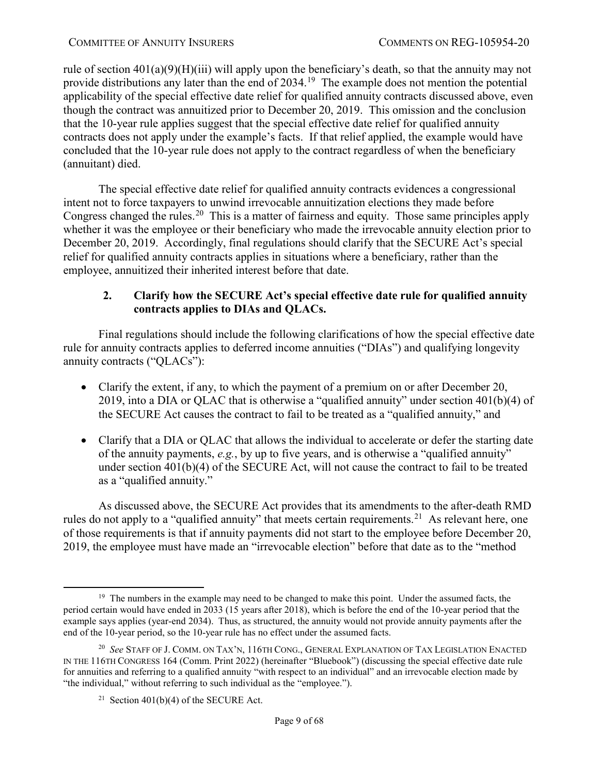rule of section 401(a)(9)(H)(iii) will apply upon the beneficiary's death, so that the annuity may not provide distributions any later than the end of 2034.<sup>[19](#page-8-1)</sup> The example does not mention the potential applicability of the special effective date relief for qualified annuity contracts discussed above, even though the contract was annuitized prior to December 20, 2019. This omission and the conclusion that the 10-year rule applies suggest that the special effective date relief for qualified annuity contracts does not apply under the example's facts. If that relief applied, the example would have concluded that the 10-year rule does not apply to the contract regardless of when the beneficiary (annuitant) died.

The special effective date relief for qualified annuity contracts evidences a congressional intent not to force taxpayers to unwind irrevocable annuitization elections they made before Congress changed the rules.<sup>[20](#page-8-2)</sup> This is a matter of fairness and equity. Those same principles apply whether it was the employee or their beneficiary who made the irrevocable annuity election prior to December 20, 2019. Accordingly, final regulations should clarify that the SECURE Act's special relief for qualified annuity contracts applies in situations where a beneficiary, rather than the employee, annuitized their inherited interest before that date.

# <span id="page-8-4"></span>**2. Clarify how the SECURE Act's special effective date rule for qualified annuity contracts applies to DIAs and QLACs.**

<span id="page-8-0"></span>Final regulations should include the following clarifications of how the special effective date rule for annuity contracts applies to deferred income annuities ("DIAs") and qualifying longevity annuity contracts ("QLACs"):

- Clarify the extent, if any, to which the payment of a premium on or after December 20, 2019, into a DIA or QLAC that is otherwise a "qualified annuity" under section 401(b)(4) of the SECURE Act causes the contract to fail to be treated as a "qualified annuity," and
- Clarify that a DIA or QLAC that allows the individual to accelerate or defer the starting date of the annuity payments, *e.g.*, by up to five years, and is otherwise a "qualified annuity" under section 401(b)(4) of the SECURE Act, will not cause the contract to fail to be treated as a "qualified annuity."

As discussed above, the SECURE Act provides that its amendments to the after-death RMD rules do not apply to a "qualified annuity" that meets certain requirements.<sup>[21](#page-8-3)</sup> As relevant here, one of those requirements is that if annuity payments did not start to the employee before December 20, 2019, the employee must have made an "irrevocable election" before that date as to the "method

<span id="page-8-1"></span> $19$  The numbers in the example may need to be changed to make this point. Under the assumed facts, the period certain would have ended in 2033 (15 years after 2018), which is before the end of the 10-year period that the example says applies (year-end 2034). Thus, as structured, the annuity would not provide annuity payments after the end of the 10-year period, so the 10-year rule has no effect under the assumed facts.

<span id="page-8-3"></span><span id="page-8-2"></span><sup>20</sup> *See* STAFF OF J. COMM. ON TAX'N, 116TH CONG., GENERAL EXPLANATION OF TAX LEGISLATION ENACTED IN THE 116TH CONGRESS 164 (Comm. Print 2022) (hereinafter "Bluebook") (discussing the special effective date rule for annuities and referring to a qualified annuity "with respect to an individual" and an irrevocable election made by "the individual," without referring to such individual as the "employee.").

<sup>&</sup>lt;sup>21</sup> Section 401(b)(4) of the SECURE Act.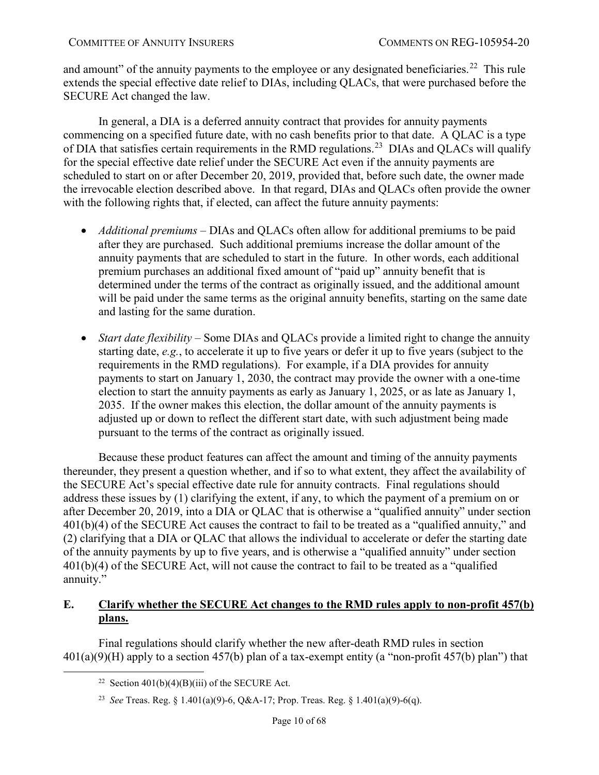and amount" of the annuity payments to the employee or any designated beneficiaries.<sup>[22](#page-9-1)</sup> This rule extends the special effective date relief to DIAs, including QLACs, that were purchased before the SECURE Act changed the law.

In general, a DIA is a deferred annuity contract that provides for annuity payments commencing on a specified future date, with no cash benefits prior to that date. A QLAC is a type of DIA that satisfies certain requirements in the RMD regulations.<sup>[23](#page-9-2)</sup> DIAs and QLACs will qualify for the special effective date relief under the SECURE Act even if the annuity payments are scheduled to start on or after December 20, 2019, provided that, before such date, the owner made the irrevocable election described above. In that regard, DIAs and QLACs often provide the owner with the following rights that, if elected, can affect the future annuity payments:

- *Additional premiums* DIAs and QLACs often allow for additional premiums to be paid after they are purchased. Such additional premiums increase the dollar amount of the annuity payments that are scheduled to start in the future. In other words, each additional premium purchases an additional fixed amount of "paid up" annuity benefit that is determined under the terms of the contract as originally issued, and the additional amount will be paid under the same terms as the original annuity benefits, starting on the same date and lasting for the same duration.
- *Start date flexibility* Some DIAs and QLACs provide a limited right to change the annuity starting date, *e.g.*, to accelerate it up to five years or defer it up to five years (subject to the requirements in the RMD regulations). For example, if a DIA provides for annuity payments to start on January 1, 2030, the contract may provide the owner with a one-time election to start the annuity payments as early as January 1, 2025, or as late as January 1, 2035. If the owner makes this election, the dollar amount of the annuity payments is adjusted up or down to reflect the different start date, with such adjustment being made pursuant to the terms of the contract as originally issued.

Because these product features can affect the amount and timing of the annuity payments thereunder, they present a question whether, and if so to what extent, they affect the availability of the SECURE Act's special effective date rule for annuity contracts. Final regulations should address these issues by (1) clarifying the extent, if any, to which the payment of a premium on or after December 20, 2019, into a DIA or QLAC that is otherwise a "qualified annuity" under section 401(b)(4) of the SECURE Act causes the contract to fail to be treated as a "qualified annuity," and (2) clarifying that a DIA or QLAC that allows the individual to accelerate or defer the starting date of the annuity payments by up to five years, and is otherwise a "qualified annuity" under section 401(b)(4) of the SECURE Act, will not cause the contract to fail to be treated as a "qualified annuity."

# <span id="page-9-0"></span>**E. Clarify whether the SECURE Act changes to the RMD rules apply to non-profit 457(b) plans.**

<span id="page-9-2"></span><span id="page-9-1"></span>Final regulations should clarify whether the new after-death RMD rules in section  $401(a)(9)$ (H) apply to a section 457(b) plan of a tax-exempt entity (a "non-profit 457(b) plan") that

<sup>&</sup>lt;sup>22</sup> Section  $401(b)(4)(B)(iii)$  of the SECURE Act.

<sup>23</sup> *See* Treas. Reg. § 1.401(a)(9)-6, Q&A-17; Prop. Treas. Reg. § 1.401(a)(9)-6(q).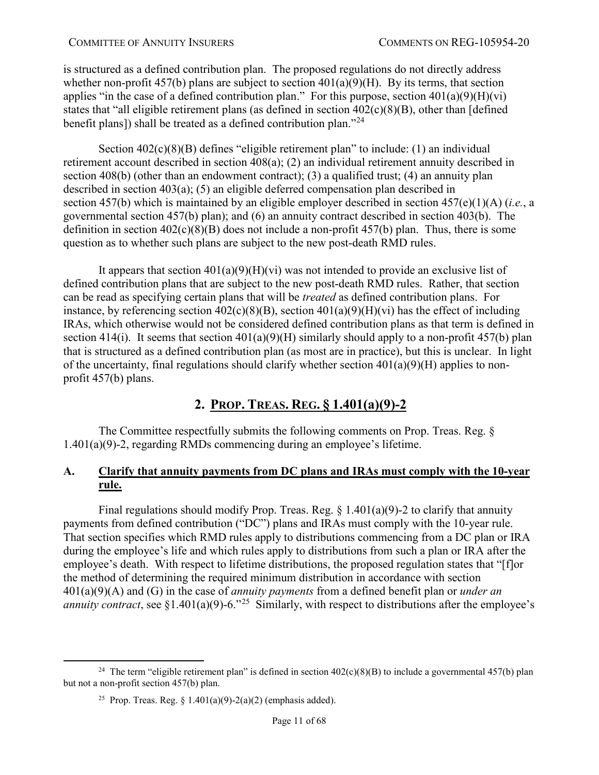is structured as a defined contribution plan. The proposed regulations do not directly address whether non-profit 457(b) plans are subject to section  $401(a)(9)(H)$ . By its terms, that section applies "in the case of a defined contribution plan." For this purpose, section  $401(a)(9)(H)(vi)$ states that "all eligible retirement plans (as defined in section  $402(c)(8)(B)$ , other than [defined] benefit plans]) shall be treated as a defined contribution plan."<sup>24</sup>

Section  $402(c)(8)(B)$  defines "eligible retirement plan" to include: (1) an individual retirement account described in section 408(a); (2) an individual retirement annuity described in section 408(b) (other than an endowment contract); (3) a qualified trust; (4) an annuity plan described in section 403(a); (5) an eligible deferred compensation plan described in section [457\(b\)](https://www.bloomberglaw.com/product/tax/bc/W1siRG9jdW1lbnQiLCIvcHJvZHVjdC90YXgvZG9jdW1lbnQvWE9GSUoySDg_amNzZWFyY2g9SVJDJTI1MjA0MDIlMjUyOGMlMjUyOSUyNTI4OCUyNTI5JTI1MjhCJTI1MjkiXV0--aa1af51396250a8b8c7c851f5b8fcbb82a197111/document/1?citation=26%20USC%20457(b)&summary=yes#jcite) which is maintained by an eligible employer described in section [457\(e\)\(1\)\(A\)](https://www.bloomberglaw.com/product/tax/bc/W1siRG9jdW1lbnQiLCIvcHJvZHVjdC90YXgvZG9jdW1lbnQvWE9GSUoySDg_amNzZWFyY2g9SVJDJTI1MjA0MDIlMjUyOGMlMjUyOSUyNTI4OCUyNTI5JTI1MjhCJTI1MjkiXV0--aa1af51396250a8b8c7c851f5b8fcbb82a197111/document/1?citation=26%20USC%20457(e)(1)(a)&summary=yes#jcite) (*i.e.*, a governmental section 457(b) plan); and (6) an annuity contract described in section [403\(b\).](https://www.bloomberglaw.com/product/tax/bc/W1siRG9jdW1lbnQiLCIvcHJvZHVjdC90YXgvZG9jdW1lbnQvWE9GSUoySDg_amNzZWFyY2g9SVJDJTI1MjA0MDIlMjUyOGMlMjUyOSUyNTI4OCUyNTI5JTI1MjhCJTI1MjkiXV0--aa1af51396250a8b8c7c851f5b8fcbb82a197111/document/1?citation=26%20USC%20403(b)&summary=yes#jcite) The definition in section  $402(c)(8)(B)$  does not include a non-profit  $457(b)$  plan. Thus, there is some question as to whether such plans are subject to the new post-death RMD rules.

It appears that section  $401(a)(9)(H)(vi)$  was not intended to provide an exclusive list of defined contribution plans that are subject to the new post-death RMD rules. Rather, that section can be read as specifying certain plans that will be *treated* as defined contribution plans. For instance, by referencing section  $402(c)(8)(B)$ , section  $401(a)(9)(H)(vi)$  has the effect of including IRAs, which otherwise would not be considered defined contribution plans as that term is defined in section 414(i). It seems that section  $401(a)(9)(H)$  similarly should apply to a non-profit 457(b) plan that is structured as a defined contribution plan (as most are in practice), but this is unclear. In light of the uncertainty, final regulations should clarify whether section  $401(a)(9)(H)$  applies to nonprofit 457(b) plans.

# <span id="page-10-0"></span>**2. PROP. TREAS. REG. § 1.401(a)(9)-2**

The Committee respectfully submits the following comments on Prop. Treas. Reg. § 1.401(a)(9)-2, regarding RMDs commencing during an employee's lifetime.

# <span id="page-10-1"></span>**A. Clarify that annuity payments from DC plans and IRAs must comply with the 10-year rule.**

Final regulations should modify Prop. Treas. Reg.  $\S 1.401(a)(9)$ -2 to clarify that annuity payments from defined contribution ("DC") plans and IRAs must comply with the 10-year rule. That section specifies which RMD rules apply to distributions commencing from a DC plan or IRA during the employee's life and which rules apply to distributions from such a plan or IRA after the employee's death. With respect to lifetime distributions, the proposed regulation states that "[f]or the method of determining the required minimum distribution in accordance with section 401(a)(9)(A) and (G) in the case of *annuity payments* from a defined benefit plan or *under an annuity contract*, see §1.401(a)(9)-6.<sup>"[25](#page-10-3)</sup> Similarly, with respect to distributions after the employee's

<span id="page-10-3"></span><span id="page-10-2"></span><sup>&</sup>lt;sup>24</sup> The term "eligible retirement plan" is defined in section  $402(c)(8)(B)$  to include a governmental 457(b) plan but not a non-profit section 457(b) plan.

<sup>&</sup>lt;sup>25</sup> Prop. Treas. Reg. § 1.401(a)(9)-2(a)(2) (emphasis added).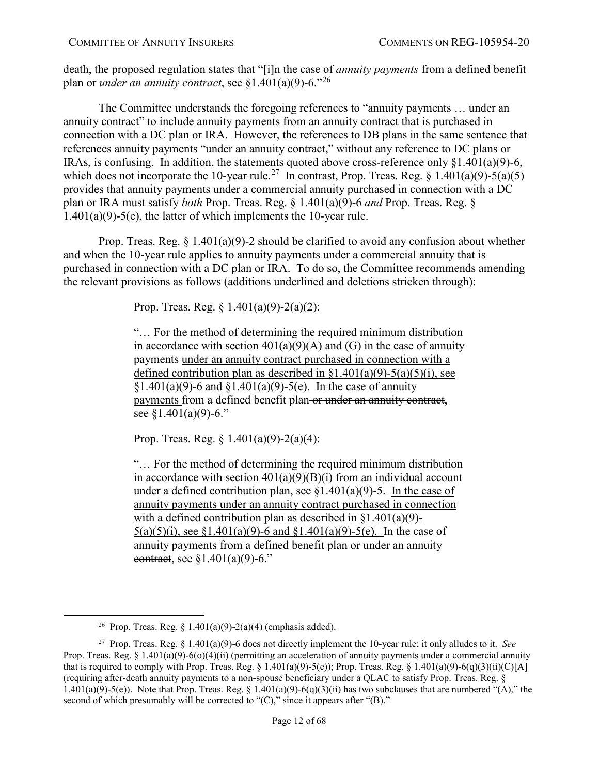death, the proposed regulation states that "[i]n the case of *annuity payments* from a defined benefit plan or *under an annuity contract*, see §1.401(a)(9)-6."[26](#page-11-0)

The Committee understands the foregoing references to "annuity payments … under an annuity contract" to include annuity payments from an annuity contract that is purchased in connection with a DC plan or IRA. However, the references to DB plans in the same sentence that references annuity payments "under an annuity contract," without any reference to DC plans or IRAs, is confusing. In addition, the statements quoted above cross-reference only §1.401(a)(9)-6, which does not incorporate the 10-year rule.<sup>27</sup> In contrast, Prop. Treas. Reg. § 1.401(a)(9)-5(a)(5) provides that annuity payments under a commercial annuity purchased in connection with a DC plan or IRA must satisfy *both* Prop. Treas. Reg. § 1.401(a)(9)-6 *and* Prop. Treas. Reg. § 1.401(a)(9)-5(e), the latter of which implements the 10-year rule.

Prop. Treas. Reg.  $\S 1.401(a)(9)-2$  should be clarified to avoid any confusion about whether and when the 10-year rule applies to annuity payments under a commercial annuity that is purchased in connection with a DC plan or IRA. To do so, the Committee recommends amending the relevant provisions as follows (additions underlined and deletions stricken through):

Prop. Treas. Reg. § 1.401(a)(9)-2(a)(2):

"… For the method of determining the required minimum distribution in accordance with section  $401(a)(9)(A)$  and (G) in the case of annuity payments under an annuity contract purchased in connection with a defined contribution plan as described in  $\{1.401(a)(9) - 5(a)(5)(i)\}$ , see  $§1.401(a)(9) - 6$  and  $§1.401(a)(9) - 5(e)$ . In the case of annuity payments from a defined benefit plan or under an annuity contract, see §1.401(a)(9)-6."

Prop. Treas. Reg.  $\S 1.401(a)(9) - 2(a)(4)$ :

"… For the method of determining the required minimum distribution in accordance with section  $401(a)(9)(B)(i)$  from an individual account under a defined contribution plan, see  $$1.401(a)(9)$ -5. In the case of annuity payments under an annuity contract purchased in connection with a defined contribution plan as described in  $\S1.401(a)(9)$ - $5(a)(5)(i)$ , see  $$1.401(a)(9)$ -6 and  $$1.401(a)(9)$ -5(e). In the case of annuity payments from a defined benefit plan-or under an annuity contract, see  $\S1.401(a)(9)$ -6."

<sup>&</sup>lt;sup>26</sup> Prop. Treas. Reg. § 1.401(a)(9)-2(a)(4) (emphasis added).

<span id="page-11-1"></span><span id="page-11-0"></span><sup>27</sup> Prop. Treas. Reg. § 1.401(a)(9)-6 does not directly implement the 10-year rule; it only alludes to it. *See* Prop. Treas. Reg. § 1.401(a)(9)-6(o)(4)(ii) (permitting an acceleration of annuity payments under a commercial annuity that is required to comply with Prop. Treas. Reg.  $\S 1.401(a)(9)$ -5(e)); Prop. Treas. Reg.  $\S 1.401(a)(9)$ -6(q)(3)(ii)(C)[A] (requiring after-death annuity payments to a non-spouse beneficiary under a QLAC to satisfy Prop. Treas. Reg. § 1.401(a)(9)-5(e)). Note that Prop. Treas. Reg. § 1.401(a)(9)-6(q)(3)(ii) has two subclauses that are numbered "(A)," the second of which presumably will be corrected to " $(C)$ ," since it appears after " $(B)$ ."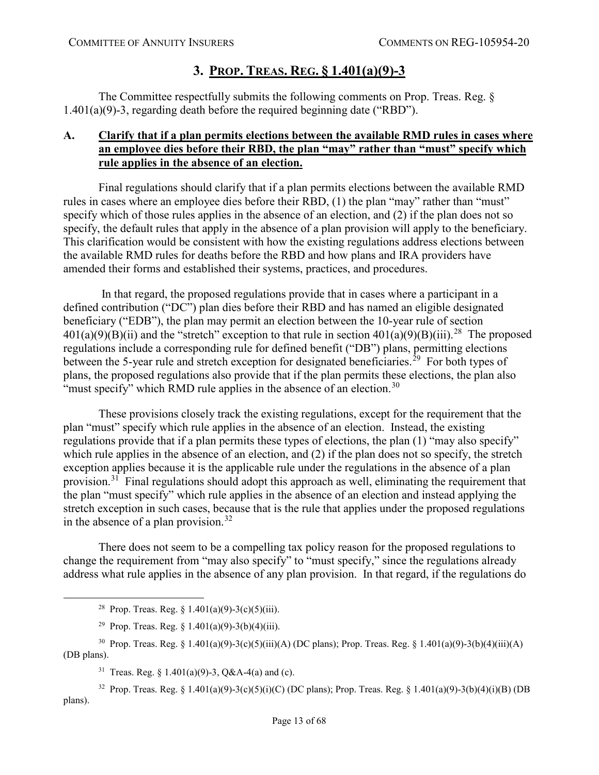# **3. PROP. TREAS. REG. § 1.401(a)(9)-3**

<span id="page-12-0"></span>The Committee respectfully submits the following comments on Prop. Treas. Reg. § 1.401(a)(9)-3, regarding death before the required beginning date ("RBD").

# <span id="page-12-1"></span>**A. Clarify that if a plan permits elections between the available RMD rules in cases where an employee dies before their RBD, the plan "may" rather than "must" specify which rule applies in the absence of an election.**

Final regulations should clarify that if a plan permits elections between the available RMD rules in cases where an employee dies before their RBD, (1) the plan "may" rather than "must" specify which of those rules applies in the absence of an election, and (2) if the plan does not so specify, the default rules that apply in the absence of a plan provision will apply to the beneficiary. This clarification would be consistent with how the existing regulations address elections between the available RMD rules for deaths before the RBD and how plans and IRA providers have amended their forms and established their systems, practices, and procedures.

In that regard, the proposed regulations provide that in cases where a participant in a defined contribution ("DC") plan dies before their RBD and has named an eligible designated beneficiary ("EDB"), the plan may permit an election between the 10-year rule of section  $401(a)(9)(B)(ii)$  and the "stretch" exception to that rule in section  $401(a)(9)(B)(iii)$ .<sup>[28](#page-12-2)</sup> The proposed regulations include a corresponding rule for defined benefit ("DB") plans, permitting elections between the 5-year rule and stretch exception for designated beneficiaries.<sup>[29](#page-12-3)</sup> For both types of plans, the proposed regulations also provide that if the plan permits these elections, the plan also "must specify" which RMD rule applies in the absence of an election.<sup>[30](#page-12-4)</sup>

These provisions closely track the existing regulations, except for the requirement that the plan "must" specify which rule applies in the absence of an election. Instead, the existing regulations provide that if a plan permits these types of elections, the plan (1) "may also specify" which rule applies in the absence of an election, and (2) if the plan does not so specify, the stretch exception applies because it is the applicable rule under the regulations in the absence of a plan provision.<sup>31</sup> Final regulations should adopt this approach as well, eliminating the requirement that the plan "must specify" which rule applies in the absence of an election and instead applying the stretch exception in such cases, because that is the rule that applies under the proposed regulations in the absence of a plan provision.<sup>[32](#page-12-6)</sup>

There does not seem to be a compelling tax policy reason for the proposed regulations to change the requirement from "may also specify" to "must specify," since the regulations already address what rule applies in the absence of any plan provision. In that regard, if the regulations do

<sup>31</sup> Treas. Reg. § 1.401(a)(9)-3, Q&A-4(a) and (c).

<span id="page-12-6"></span><span id="page-12-5"></span><sup>32</sup> Prop. Treas. Reg. § 1.401(a)(9)-3(c)(5)(i)(C) (DC plans); Prop. Treas. Reg. § 1.401(a)(9)-3(b)(4)(i)(B) (DB plans).

<sup>&</sup>lt;sup>28</sup> Prop. Treas. Reg. § 1.401(a)(9)-3(c)(5)(iii).

<sup>&</sup>lt;sup>29</sup> Prop. Treas. Reg. § 1.401(a)(9)-3(b)(4)(iii).

<span id="page-12-4"></span><span id="page-12-3"></span><span id="page-12-2"></span><sup>30</sup> Prop. Treas. Reg. § 1.401(a)(9)-3(c)(5)(iii)(A) (DC plans); Prop. Treas. Reg. § 1.401(a)(9)-3(b)(4)(iii)(A) (DB plans).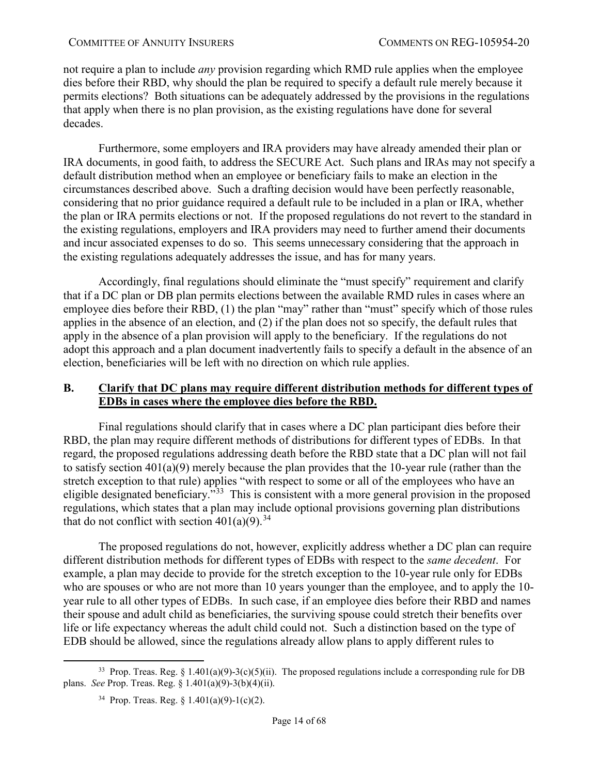not require a plan to include *any* provision regarding which RMD rule applies when the employee dies before their RBD, why should the plan be required to specify a default rule merely because it permits elections? Both situations can be adequately addressed by the provisions in the regulations that apply when there is no plan provision, as the existing regulations have done for several decades.

Furthermore, some employers and IRA providers may have already amended their plan or IRA documents, in good faith, to address the SECURE Act. Such plans and IRAs may not specify a default distribution method when an employee or beneficiary fails to make an election in the circumstances described above. Such a drafting decision would have been perfectly reasonable, considering that no prior guidance required a default rule to be included in a plan or IRA, whether the plan or IRA permits elections or not. If the proposed regulations do not revert to the standard in the existing regulations, employers and IRA providers may need to further amend their documents and incur associated expenses to do so. This seems unnecessary considering that the approach in the existing regulations adequately addresses the issue, and has for many years.

Accordingly, final regulations should eliminate the "must specify" requirement and clarify that if a DC plan or DB plan permits elections between the available RMD rules in cases where an employee dies before their RBD, (1) the plan "may" rather than "must" specify which of those rules applies in the absence of an election, and (2) if the plan does not so specify, the default rules that apply in the absence of a plan provision will apply to the beneficiary. If the regulations do not adopt this approach and a plan document inadvertently fails to specify a default in the absence of an election, beneficiaries will be left with no direction on which rule applies.

# <span id="page-13-0"></span>**B. Clarify that DC plans may require different distribution methods for different types of EDBs in cases where the employee dies before the RBD.**

Final regulations should clarify that in cases where a DC plan participant dies before their RBD, the plan may require different methods of distributions for different types of EDBs. In that regard, the proposed regulations addressing death before the RBD state that a DC plan will not fail to satisfy section 401(a)(9) merely because the plan provides that the 10-year rule (rather than the stretch exception to that rule) applies "with respect to some or all of the employees who have an eligible designated beneficiary."[33](#page-13-1) This is consistent with a more general provision in the proposed regulations, which states that a plan may include optional provisions governing plan distributions that do not conflict with section  $401(a)(9)$ .<sup>[34](#page-13-2)</sup>

The proposed regulations do not, however, explicitly address whether a DC plan can require different distribution methods for different types of EDBs with respect to the *same decedent*. For example, a plan may decide to provide for the stretch exception to the 10-year rule only for EDBs who are spouses or who are not more than 10 years younger than the employee, and to apply the 10year rule to all other types of EDBs. In such case, if an employee dies before their RBD and names their spouse and adult child as beneficiaries, the surviving spouse could stretch their benefits over life or life expectancy whereas the adult child could not. Such a distinction based on the type of EDB should be allowed, since the regulations already allow plans to apply different rules to

<span id="page-13-2"></span><span id="page-13-1"></span><sup>&</sup>lt;sup>33</sup> Prop. Treas. Reg. § 1.401(a)(9)-3(c)(5)(ii). The proposed regulations include a corresponding rule for DB plans. *See* Prop. Treas. Reg. § 1.401(a)(9)-3(b)(4)(ii).

<sup>&</sup>lt;sup>34</sup> Prop. Treas. Reg. § 1.401(a)(9)-1(c)(2).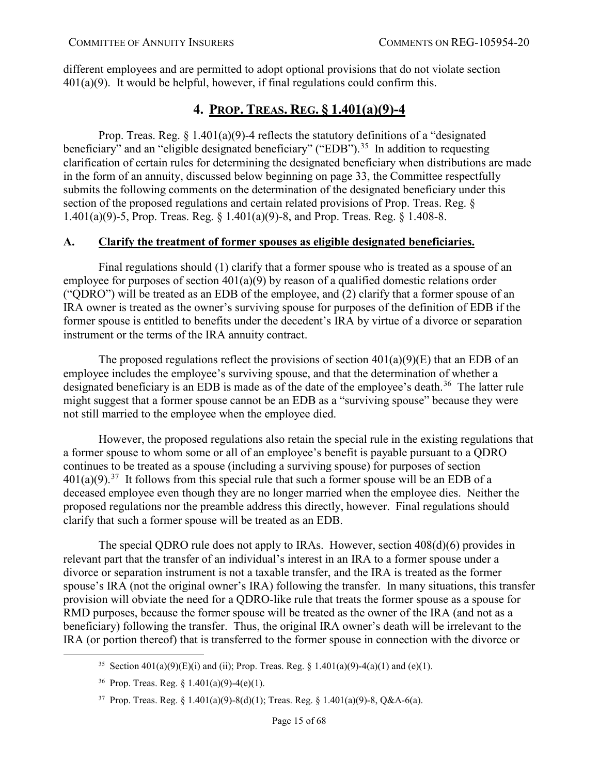different employees and are permitted to adopt optional provisions that do not violate section  $401(a)(9)$ . It would be helpful, however, if final regulations could confirm this.

# **4. PROP. TREAS. REG. § 1.401(a)(9)-4**

<span id="page-14-0"></span>Prop. Treas. Reg.  $\S 1.401(a)(9)$ -4 reflects the statutory definitions of a "designated" beneficiary" and an "eligible designated beneficiary" ("EDB").<sup>35</sup> In addition to requesting clarification of certain rules for determining the designated beneficiary when distributions are made in the form of an annuity, discussed below beginning on page [33,](#page-32-0) the Committee respectfully submits the following comments on the determination of the designated beneficiary under this section of the proposed regulations and certain related provisions of Prop. Treas. Reg. § 1.401(a)(9)-5, Prop. Treas. Reg. § 1.401(a)(9)-8, and Prop. Treas. Reg. § 1.408-8.

# <span id="page-14-1"></span>**A. Clarify the treatment of former spouses as eligible designated beneficiaries.**

Final regulations should (1) clarify that a former spouse who is treated as a spouse of an employee for purposes of section 401(a)(9) by reason of a qualified domestic relations order ("QDRO") will be treated as an EDB of the employee, and (2) clarify that a former spouse of an IRA owner is treated as the owner's surviving spouse for purposes of the definition of EDB if the former spouse is entitled to benefits under the decedent's IRA by virtue of a divorce or separation instrument or the terms of the IRA annuity contract.

The proposed regulations reflect the provisions of section  $401(a)(9)(E)$  that an EDB of an employee includes the employee's surviving spouse, and that the determination of whether a designated beneficiary is an EDB is made as of the date of the employee's death.<sup>36</sup> The latter rule might suggest that a former spouse cannot be an EDB as a "surviving spouse" because they were not still married to the employee when the employee died.

However, the proposed regulations also retain the special rule in the existing regulations that a former spouse to whom some or all of an employee's benefit is payable pursuant to a QDRO continues to be treated as a spouse (including a surviving spouse) for purposes of section  $401(a)(9)$ .<sup>37</sup> It follows from this special rule that such a former spouse will be an EDB of a deceased employee even though they are no longer married when the employee dies. Neither the proposed regulations nor the preamble address this directly, however. Final regulations should clarify that such a former spouse will be treated as an EDB.

The special QDRO rule does not apply to IRAs. However, section 408(d)(6) provides in relevant part that the transfer of an individual's interest in an IRA to a former spouse under a divorce or separation instrument is not a taxable transfer, and the IRA is treated as the former spouse's IRA (not the original owner's IRA) following the transfer. In many situations, this transfer provision will obviate the need for a QDRO-like rule that treats the former spouse as a spouse for RMD purposes, because the former spouse will be treated as the owner of the IRA (and not as a beneficiary) following the transfer. Thus, the original IRA owner's death will be irrelevant to the IRA (or portion thereof) that is transferred to the former spouse in connection with the divorce or

<span id="page-14-2"></span><sup>&</sup>lt;sup>35</sup> Section 401(a)(9)(E)(i) and (ii); Prop. Treas. Reg. § 1.401(a)(9)-4(a)(1) and (e)(1).

<span id="page-14-3"></span><sup>&</sup>lt;sup>36</sup> Prop. Treas. Reg.  $\frac{1.401(a)(9)-4(e)(1)}{1.6}$ .

<span id="page-14-4"></span><sup>37</sup> Prop. Treas. Reg. § 1.401(a)(9)-8(d)(1); Treas. Reg. § 1.401(a)(9)-8, Q&A-6(a).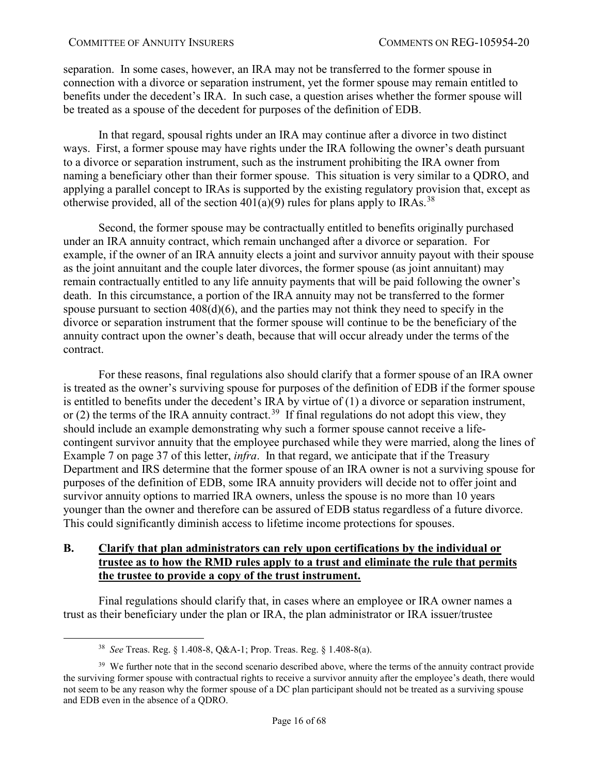separation. In some cases, however, an IRA may not be transferred to the former spouse in connection with a divorce or separation instrument, yet the former spouse may remain entitled to benefits under the decedent's IRA. In such case, a question arises whether the former spouse will be treated as a spouse of the decedent for purposes of the definition of EDB.

In that regard, spousal rights under an IRA may continue after a divorce in two distinct ways. First, a former spouse may have rights under the IRA following the owner's death pursuant to a divorce or separation instrument, such as the instrument prohibiting the IRA owner from naming a beneficiary other than their former spouse. This situation is very similar to a QDRO, and applying a parallel concept to IRAs is supported by the existing regulatory provision that, except as otherwise provided, all of the section  $401(a)(9)$  rules for plans apply to IRAs.<sup>38</sup>

Second, the former spouse may be contractually entitled to benefits originally purchased under an IRA annuity contract, which remain unchanged after a divorce or separation. For example, if the owner of an IRA annuity elects a joint and survivor annuity payout with their spouse as the joint annuitant and the couple later divorces, the former spouse (as joint annuitant) may remain contractually entitled to any life annuity payments that will be paid following the owner's death. In this circumstance, a portion of the IRA annuity may not be transferred to the former spouse pursuant to section  $408(d)(6)$ , and the parties may not think they need to specify in the divorce or separation instrument that the former spouse will continue to be the beneficiary of the annuity contract upon the owner's death, because that will occur already under the terms of the contract.

For these reasons, final regulations also should clarify that a former spouse of an IRA owner is treated as the owner's surviving spouse for purposes of the definition of EDB if the former spouse is entitled to benefits under the decedent's IRA by virtue of (1) a divorce or separation instrument, or (2) the terms of the IRA annuity contract.<sup>39</sup> If final regulations do not adopt this view, they should include an example demonstrating why such a former spouse cannot receive a lifecontingent survivor annuity that the employee purchased while they were married, along the lines of Example 7 on page [37](#page-36-0) of this letter, *infra*. In that regard, we anticipate that if the Treasury Department and IRS determine that the former spouse of an IRA owner is not a surviving spouse for purposes of the definition of EDB, some IRA annuity providers will decide not to offer joint and survivor annuity options to married IRA owners, unless the spouse is no more than 10 years younger than the owner and therefore can be assured of EDB status regardless of a future divorce. This could significantly diminish access to lifetime income protections for spouses.

### <span id="page-15-0"></span>**B. Clarify that plan administrators can rely upon certifications by the individual or trustee as to how the RMD rules apply to a trust and eliminate the rule that permits the trustee to provide a copy of the trust instrument.**

Final regulations should clarify that, in cases where an employee or IRA owner names a trust as their beneficiary under the plan or IRA, the plan administrator or IRA issuer/trustee

 <sup>38</sup> *See* Treas. Reg. § 1.408-8, Q&A-1; Prop. Treas. Reg. § 1.408-8(a).

<span id="page-15-2"></span><span id="page-15-1"></span><sup>&</sup>lt;sup>39</sup> We further note that in the second scenario described above, where the terms of the annuity contract provide the surviving former spouse with contractual rights to receive a survivor annuity after the employee's death, there would not seem to be any reason why the former spouse of a DC plan participant should not be treated as a surviving spouse and EDB even in the absence of a QDRO.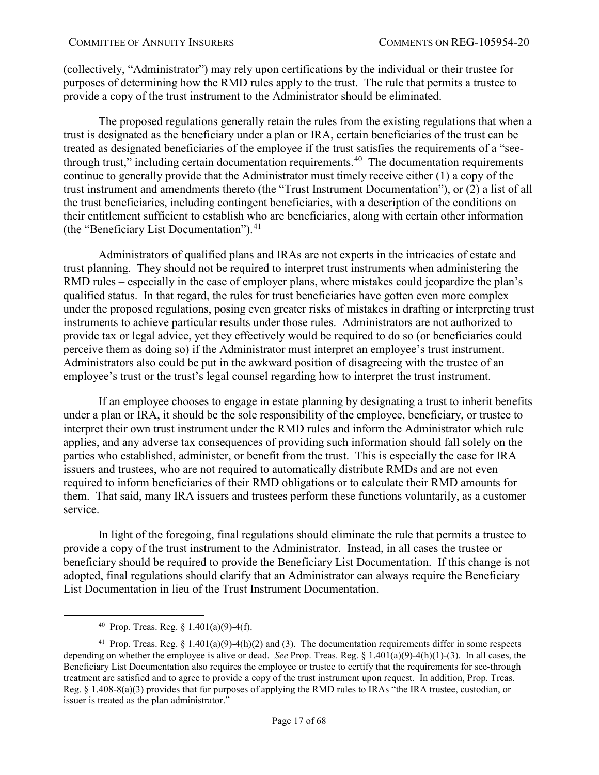(collectively, "Administrator") may rely upon certifications by the individual or their trustee for purposes of determining how the RMD rules apply to the trust. The rule that permits a trustee to provide a copy of the trust instrument to the Administrator should be eliminated.

The proposed regulations generally retain the rules from the existing regulations that when a trust is designated as the beneficiary under a plan or IRA, certain beneficiaries of the trust can be treated as designated beneficiaries of the employee if the trust satisfies the requirements of a "see-through trust," including certain documentation requirements.<sup>[40](#page-16-0)</sup> The documentation requirements continue to generally provide that the Administrator must timely receive either (1) a copy of the trust instrument and amendments thereto (the "Trust Instrument Documentation"), or (2) a list of all the trust beneficiaries, including contingent beneficiaries, with a description of the conditions on their entitlement sufficient to establish who are beneficiaries, along with certain other information (the "Beneficiary List Documentation").<sup>[41](#page-16-1)</sup>

Administrators of qualified plans and IRAs are not experts in the intricacies of estate and trust planning. They should not be required to interpret trust instruments when administering the RMD rules – especially in the case of employer plans, where mistakes could jeopardize the plan's qualified status. In that regard, the rules for trust beneficiaries have gotten even more complex under the proposed regulations, posing even greater risks of mistakes in drafting or interpreting trust instruments to achieve particular results under those rules. Administrators are not authorized to provide tax or legal advice, yet they effectively would be required to do so (or beneficiaries could perceive them as doing so) if the Administrator must interpret an employee's trust instrument. Administrators also could be put in the awkward position of disagreeing with the trustee of an employee's trust or the trust's legal counsel regarding how to interpret the trust instrument.

If an employee chooses to engage in estate planning by designating a trust to inherit benefits under a plan or IRA, it should be the sole responsibility of the employee, beneficiary, or trustee to interpret their own trust instrument under the RMD rules and inform the Administrator which rule applies, and any adverse tax consequences of providing such information should fall solely on the parties who established, administer, or benefit from the trust. This is especially the case for IRA issuers and trustees, who are not required to automatically distribute RMDs and are not even required to inform beneficiaries of their RMD obligations or to calculate their RMD amounts for them. That said, many IRA issuers and trustees perform these functions voluntarily, as a customer service.

In light of the foregoing, final regulations should eliminate the rule that permits a trustee to provide a copy of the trust instrument to the Administrator. Instead, in all cases the trustee or beneficiary should be required to provide the Beneficiary List Documentation. If this change is not adopted, final regulations should clarify that an Administrator can always require the Beneficiary List Documentation in lieu of the Trust Instrument Documentation.

<sup>&</sup>lt;sup>40</sup> Prop. Treas. Reg. §  $1.401(a)(9) - 4(f)$ .

<span id="page-16-1"></span><span id="page-16-0"></span><sup>&</sup>lt;sup>41</sup> Prop. Treas. Reg. § 1.401(a)(9)-4(h)(2) and (3). The documentation requirements differ in some respects depending on whether the employee is alive or dead. *See* Prop. Treas. Reg. § 1.401(a)(9)-4(h)(1)-(3). In all cases, the Beneficiary List Documentation also requires the employee or trustee to certify that the requirements for see-through treatment are satisfied and to agree to provide a copy of the trust instrument upon request. In addition, Prop. Treas. Reg. § 1.408-8(a)(3) provides that for purposes of applying the RMD rules to IRAs "the IRA trustee, custodian, or issuer is treated as the plan administrator."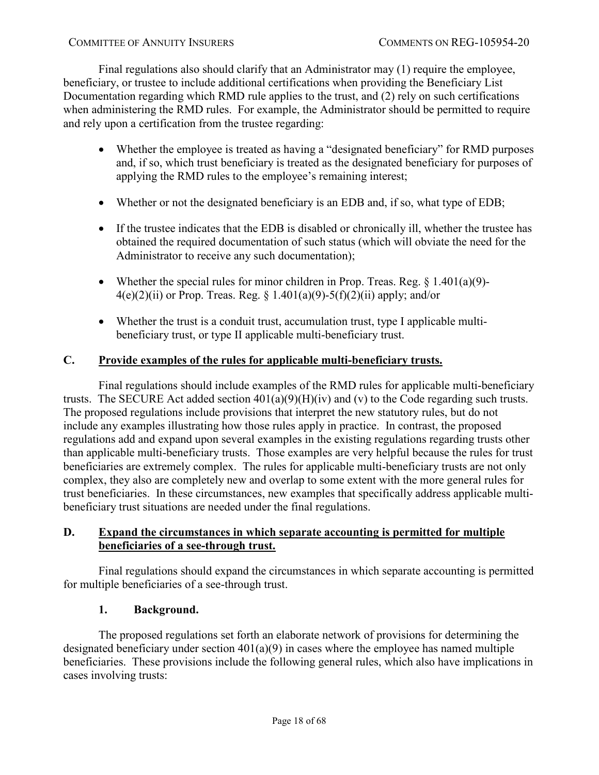Final regulations also should clarify that an Administrator may (1) require the employee, beneficiary, or trustee to include additional certifications when providing the Beneficiary List Documentation regarding which RMD rule applies to the trust, and (2) rely on such certifications when administering the RMD rules. For example, the Administrator should be permitted to require and rely upon a certification from the trustee regarding:

- Whether the employee is treated as having a "designated beneficiary" for RMD purposes and, if so, which trust beneficiary is treated as the designated beneficiary for purposes of applying the RMD rules to the employee's remaining interest;
- Whether or not the designated beneficiary is an EDB and, if so, what type of EDB;
- If the trustee indicates that the EDB is disabled or chronically ill, whether the trustee has obtained the required documentation of such status (which will obviate the need for the Administrator to receive any such documentation);
- Whether the special rules for minor children in Prop. Treas. Reg.  $\S 1.401(a)(9)$ - $4(e)(2)(ii)$  or Prop. Treas. Reg. § 1.401(a)(9)-5(f)(2)(ii) apply; and/or
- Whether the trust is a conduit trust, accumulation trust, type I applicable multibeneficiary trust, or type II applicable multi-beneficiary trust.

# <span id="page-17-0"></span>**C. Provide examples of the rules for applicable multi-beneficiary trusts.**

Final regulations should include examples of the RMD rules for applicable multi-beneficiary trusts. The SECURE Act added section  $401(a)(9)(H)(iv)$  and (v) to the Code regarding such trusts. The proposed regulations include provisions that interpret the new statutory rules, but do not include any examples illustrating how those rules apply in practice. In contrast, the proposed regulations add and expand upon several examples in the existing regulations regarding trusts other than applicable multi-beneficiary trusts. Those examples are very helpful because the rules for trust beneficiaries are extremely complex. The rules for applicable multi-beneficiary trusts are not only complex, they also are completely new and overlap to some extent with the more general rules for trust beneficiaries. In these circumstances, new examples that specifically address applicable multibeneficiary trust situations are needed under the final regulations.

# <span id="page-17-1"></span>**D. Expand the circumstances in which separate accounting is permitted for multiple beneficiaries of a see-through trust.**

Final regulations should expand the circumstances in which separate accounting is permitted for multiple beneficiaries of a see-through trust.

# **1. Background.**

The proposed regulations set forth an elaborate network of provisions for determining the designated beneficiary under section 401(a)(9) in cases where the employee has named multiple beneficiaries. These provisions include the following general rules, which also have implications in cases involving trusts: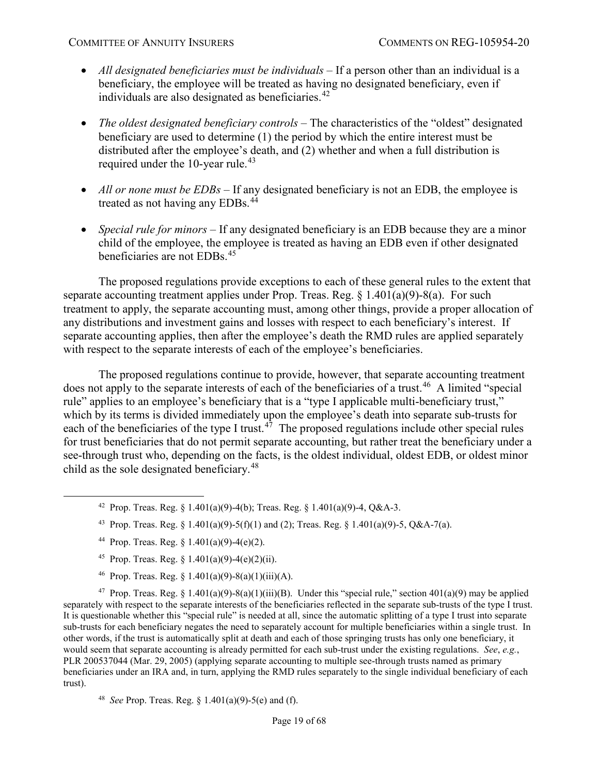- *All designated beneficiaries must be individuals* If a person other than an individual is a beneficiary, the employee will be treated as having no designated beneficiary, even if individuals are also designated as beneficiaries.<sup>[42](#page-18-0)</sup>
- *The oldest designated beneficiary controls* The characteristics of the "oldest" designated beneficiary are used to determine (1) the period by which the entire interest must be distributed after the employee's death, and (2) whether and when a full distribution is required under the 10-year rule.<sup>[43](#page-18-1)</sup>
- *All or none must be EDBs* If any designated beneficiary is not an EDB, the employee is treated as not having any EDBs.<sup>[44](#page-18-2)</sup>
- *Special rule for minors* If any designated beneficiary is an EDB because they are a minor child of the employee, the employee is treated as having an EDB even if other designated beneficiaries are not EDBs.[45](#page-18-3)

The proposed regulations provide exceptions to each of these general rules to the extent that separate accounting treatment applies under Prop. Treas. Reg.  $\S 1.401(a)(9)-8(a)$ . For such treatment to apply, the separate accounting must, among other things, provide a proper allocation of any distributions and investment gains and losses with respect to each beneficiary's interest. If separate accounting applies, then after the employee's death the RMD rules are applied separately with respect to the separate interests of each of the employee's beneficiaries.

The proposed regulations continue to provide, however, that separate accounting treatment does not apply to the separate interests of each of the beneficiaries of a trust.<sup>[46](#page-18-4)</sup> A limited "special rule" applies to an employee's beneficiary that is a "type I applicable multi-beneficiary trust," which by its terms is divided immediately upon the employee's death into separate sub-trusts for each of the beneficiaries of the type I trust.<sup>[47](#page-18-5)</sup> The proposed regulations include other special rules for trust beneficiaries that do not permit separate accounting, but rather treat the beneficiary under a see-through trust who, depending on the facts, is the oldest individual, oldest EDB, or oldest minor child as the sole designated beneficiary.<sup>[48](#page-18-6)</sup>

- <span id="page-18-0"></span><sup>42</sup> Prop. Treas. Reg. § 1.401(a)(9)-4(b); Treas. Reg. § 1.401(a)(9)-4, Q&A-3.
- 43 Prop. Treas. Reg. § 1.401(a)(9)-5(f)(1) and (2); Treas. Reg. § 1.401(a)(9)-5, Q&A-7(a).
- 44 Prop. Treas. Reg.  $\S$  1.401(a)(9)-4(e)(2).
- <sup>45</sup> Prop. Treas. Reg. § 1.401(a)(9)-4(e)(2)(ii).
- <sup>46</sup> Prop. Treas. Reg.  $\frac{1.401(a)(9) 8(a)(1)(iii)(A)}{2}$ .

<span id="page-18-5"></span><span id="page-18-4"></span><span id="page-18-3"></span><span id="page-18-2"></span><span id="page-18-1"></span><sup>47</sup> Prop. Treas. Reg. § 1.401(a)(9)-8(a)(1)(iii)(B). Under this "special rule," section 401(a)(9) may be applied separately with respect to the separate interests of the beneficiaries reflected in the separate sub-trusts of the type I trust. It is questionable whether this "special rule" is needed at all, since the automatic splitting of a type I trust into separate sub-trusts for each beneficiary negates the need to separately account for multiple beneficiaries within a single trust. In other words, if the trust is automatically split at death and each of those springing trusts has only one beneficiary, it would seem that separate accounting is already permitted for each sub-trust under the existing regulations. *See*, *e.g.*, PLR 200537044 (Mar. 29, 2005) (applying separate accounting to multiple see-through trusts named as primary beneficiaries under an IRA and, in turn, applying the RMD rules separately to the single individual beneficiary of each trust).

<span id="page-18-6"></span><sup>48</sup> *See* Prop. Treas. Reg. § 1.401(a)(9)-5(e) and (f).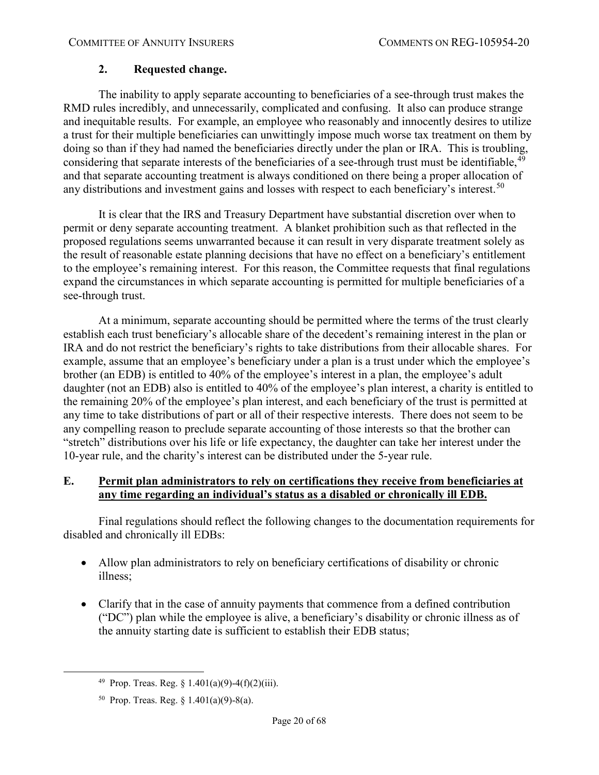# **2. Requested change.**

The inability to apply separate accounting to beneficiaries of a see-through trust makes the RMD rules incredibly, and unnecessarily, complicated and confusing. It also can produce strange and inequitable results. For example, an employee who reasonably and innocently desires to utilize a trust for their multiple beneficiaries can unwittingly impose much worse tax treatment on them by doing so than if they had named the beneficiaries directly under the plan or IRA. This is troubling, considering that separate interests of the beneficiaries of a see-through trust must be identifiable, <sup>[49](#page-19-1)</sup> and that separate accounting treatment is always conditioned on there being a proper allocation of any distributions and investment gains and losses with respect to each beneficiary's interest.<sup>[50](#page-19-2)</sup>

It is clear that the IRS and Treasury Department have substantial discretion over when to permit or deny separate accounting treatment. A blanket prohibition such as that reflected in the proposed regulations seems unwarranted because it can result in very disparate treatment solely as the result of reasonable estate planning decisions that have no effect on a beneficiary's entitlement to the employee's remaining interest. For this reason, the Committee requests that final regulations expand the circumstances in which separate accounting is permitted for multiple beneficiaries of a see-through trust.

At a minimum, separate accounting should be permitted where the terms of the trust clearly establish each trust beneficiary's allocable share of the decedent's remaining interest in the plan or IRA and do not restrict the beneficiary's rights to take distributions from their allocable shares. For example, assume that an employee's beneficiary under a plan is a trust under which the employee's brother (an EDB) is entitled to 40% of the employee's interest in a plan, the employee's adult daughter (not an EDB) also is entitled to 40% of the employee's plan interest, a charity is entitled to the remaining 20% of the employee's plan interest, and each beneficiary of the trust is permitted at any time to take distributions of part or all of their respective interests. There does not seem to be any compelling reason to preclude separate accounting of those interests so that the brother can "stretch" distributions over his life or life expectancy, the daughter can take her interest under the 10-year rule, and the charity's interest can be distributed under the 5-year rule.

# <span id="page-19-0"></span>**E. Permit plan administrators to rely on certifications they receive from beneficiaries at any time regarding an individual's status as a disabled or chronically ill EDB.**

Final regulations should reflect the following changes to the documentation requirements for disabled and chronically ill EDBs:

- Allow plan administrators to rely on beneficiary certifications of disability or chronic illness;
- Clarify that in the case of annuity payments that commence from a defined contribution ("DC") plan while the employee is alive, a beneficiary's disability or chronic illness as of the annuity starting date is sufficient to establish their EDB status;

<span id="page-19-1"></span><sup>&</sup>lt;sup>49</sup> Prop. Treas. Reg.  $\frac{1.401(a)(9)-4(f)(2)(iii)}{2}$ .

<span id="page-19-2"></span><sup>50</sup> Prop. Treas. Reg. § 1.401(a)(9)-8(a).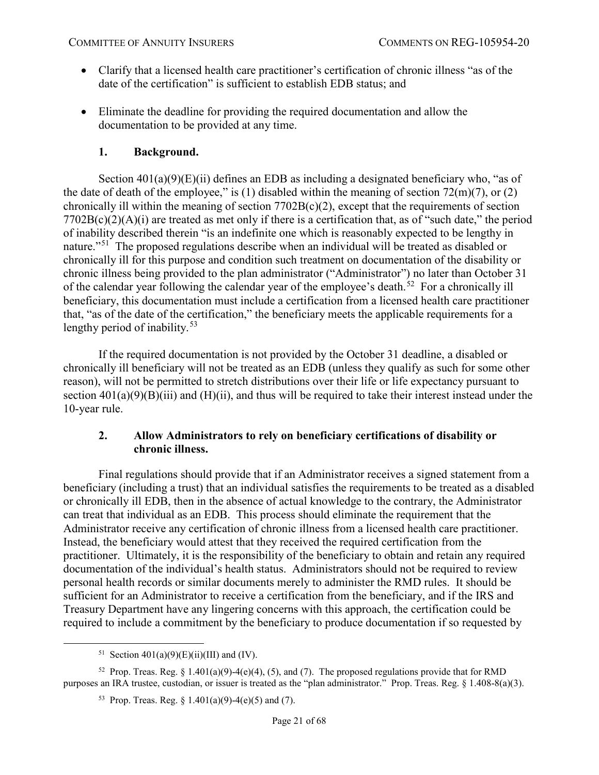- Clarify that a licensed health care practitioner's certification of chronic illness "as of the date of the certification" is sufficient to establish EDB status; and
- Eliminate the deadline for providing the required documentation and allow the documentation to be provided at any time.

# **1. Background.**

<span id="page-20-0"></span>Section  $401(a)(9)(E)(ii)$  defines an EDB as including a designated beneficiary who, "as of the date of death of the employee," is (1) disabled within the meaning of section  $72(m)(7)$ , or (2) chronically ill within the meaning of section  $7702B(c)(2)$ , except that the requirements of section  $7702B(c)(2)(A)(i)$  are treated as met only if there is a certification that, as of "such date," the period of inability described therein "is an indefinite one which is reasonably expected to be lengthy in nature."[51](#page-20-2) The proposed regulations describe when an individual will be treated as disabled or chronically ill for this purpose and condition such treatment on documentation of the disability or chronic illness being provided to the plan administrator ("Administrator") no later than October 31 of the calendar year following the calendar year of the employee's death.<sup>52</sup> For a chronically ill beneficiary, this documentation must include a certification from a licensed health care practitioner that, "as of the date of the certification," the beneficiary meets the applicable requirements for a lengthy period of inability.<sup>[53](#page-20-4)</sup>

If the required documentation is not provided by the October 31 deadline, a disabled or chronically ill beneficiary will not be treated as an EDB (unless they qualify as such for some other reason), will not be permitted to stretch distributions over their life or life expectancy pursuant to section  $401(a)(9)(B)(iii)$  and  $(H)(ii)$ , and thus will be required to take their interest instead under the 10-year rule.

# <span id="page-20-1"></span>**2. Allow Administrators to rely on beneficiary certifications of disability or chronic illness.**

Final regulations should provide that if an Administrator receives a signed statement from a beneficiary (including a trust) that an individual satisfies the requirements to be treated as a disabled or chronically ill EDB, then in the absence of actual knowledge to the contrary, the Administrator can treat that individual as an EDB. This process should eliminate the requirement that the Administrator receive any certification of chronic illness from a licensed health care practitioner. Instead, the beneficiary would attest that they received the required certification from the practitioner. Ultimately, it is the responsibility of the beneficiary to obtain and retain any required documentation of the individual's health status. Administrators should not be required to review personal health records or similar documents merely to administer the RMD rules. It should be sufficient for an Administrator to receive a certification from the beneficiary, and if the IRS and Treasury Department have any lingering concerns with this approach, the certification could be required to include a commitment by the beneficiary to produce documentation if so requested by

<sup>&</sup>lt;sup>51</sup> Section  $401(a)(9)(E)(ii)(III)$  and (IV).

<span id="page-20-4"></span><span id="page-20-3"></span><span id="page-20-2"></span><sup>&</sup>lt;sup>52</sup> Prop. Treas. Reg. § 1.401(a)(9)-4(e)(4), (5), and (7). The proposed regulations provide that for RMD purposes an IRA trustee, custodian, or issuer is treated as the "plan administrator." Prop. Treas. Reg. § 1.408-8(a)(3).

<sup>53</sup> Prop. Treas. Reg. §  $1.401(a)(9)-4(e)(5)$  and (7).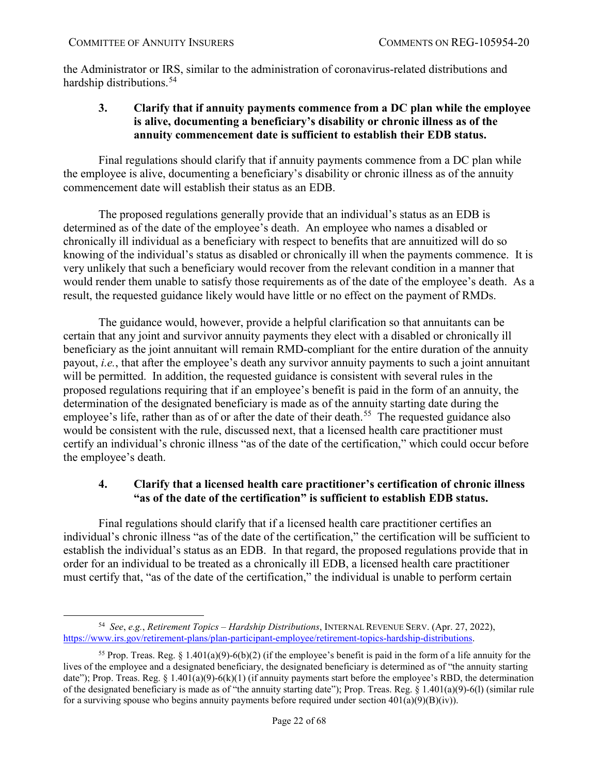the Administrator or IRS, similar to the administration of coronavirus-related distributions and hardship distributions.<sup>54</sup>

# <span id="page-21-0"></span>**3. Clarify that if annuity payments commence from a DC plan while the employee is alive, documenting a beneficiary's disability or chronic illness as of the annuity commencement date is sufficient to establish their EDB status.**

Final regulations should clarify that if annuity payments commence from a DC plan while the employee is alive, documenting a beneficiary's disability or chronic illness as of the annuity commencement date will establish their status as an EDB.

The proposed regulations generally provide that an individual's status as an EDB is determined as of the date of the employee's death. An employee who names a disabled or chronically ill individual as a beneficiary with respect to benefits that are annuitized will do so knowing of the individual's status as disabled or chronically ill when the payments commence. It is very unlikely that such a beneficiary would recover from the relevant condition in a manner that would render them unable to satisfy those requirements as of the date of the employee's death. As a result, the requested guidance likely would have little or no effect on the payment of RMDs.

The guidance would, however, provide a helpful clarification so that annuitants can be certain that any joint and survivor annuity payments they elect with a disabled or chronically ill beneficiary as the joint annuitant will remain RMD-compliant for the entire duration of the annuity payout, *i.e.*, that after the employee's death any survivor annuity payments to such a joint annuitant will be permitted. In addition, the requested guidance is consistent with several rules in the proposed regulations requiring that if an employee's benefit is paid in the form of an annuity, the determination of the designated beneficiary is made as of the annuity starting date during the employee's life, rather than as of or after the date of their death.<sup>55</sup> The requested guidance also would be consistent with the rule, discussed next, that a licensed health care practitioner must certify an individual's chronic illness "as of the date of the certification," which could occur before the employee's death.

# <span id="page-21-1"></span>**4. Clarify that a licensed health care practitioner's certification of chronic illness "as of the date of the certification" is sufficient to establish EDB status.**

Final regulations should clarify that if a licensed health care practitioner certifies an individual's chronic illness "as of the date of the certification," the certification will be sufficient to establish the individual's status as an EDB. In that regard, the proposed regulations provide that in order for an individual to be treated as a chronically ill EDB, a licensed health care practitioner must certify that, "as of the date of the certification," the individual is unable to perform certain

<span id="page-21-2"></span> <sup>54</sup> *See*, *e.g.*, *Retirement Topics – Hardship Distributions*, INTERNAL REVENUE SERV. (Apr. 27, 2022), [https://www.irs.gov/retirement-plans/plan-participant-employee/retirement-topics-hardship-distributions.](https://www.irs.gov/retirement-plans/plan-participant-employee/retirement-topics-hardship-distributions)

<span id="page-21-3"></span><sup>&</sup>lt;sup>55</sup> Prop. Treas. Reg. § 1.401(a)(9)-6(b)(2) (if the employee's benefit is paid in the form of a life annuity for the lives of the employee and a designated beneficiary, the designated beneficiary is determined as of "the annuity starting date"); Prop. Treas. Reg. § 1.401(a)(9)-6(k)(1) (if annuity payments start before the employee's RBD, the determination of the designated beneficiary is made as of "the annuity starting date"); Prop. Treas. Reg. § 1.401(a)(9)-6(1) (similar rule for a surviving spouse who begins annuity payments before required under section  $401(a)(9)(B)(iv)$ .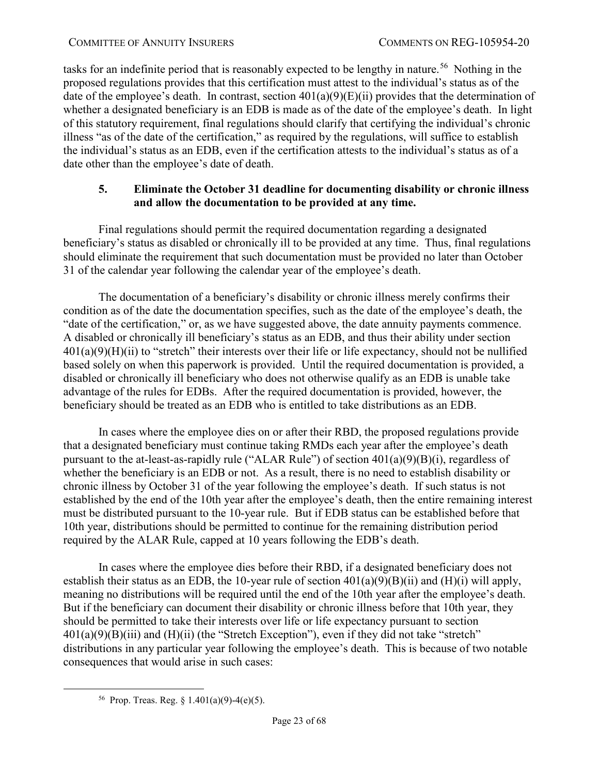tasks for an indefinite period that is reasonably expected to be lengthy in nature.<sup>[56](#page-22-1)</sup> Nothing in the proposed regulations provides that this certification must attest to the individual's status as of the date of the employee's death. In contrast, section  $401(a)(9)(E)(ii)$  provides that the determination of whether a designated beneficiary is an EDB is made as of the date of the employee's death. In light of this statutory requirement, final regulations should clarify that certifying the individual's chronic illness "as of the date of the certification," as required by the regulations, will suffice to establish the individual's status as an EDB, even if the certification attests to the individual's status as of a date other than the employee's date of death.

### <span id="page-22-0"></span>**5. Eliminate the October 31 deadline for documenting disability or chronic illness and allow the documentation to be provided at any time.**

Final regulations should permit the required documentation regarding a designated beneficiary's status as disabled or chronically ill to be provided at any time. Thus, final regulations should eliminate the requirement that such documentation must be provided no later than October 31 of the calendar year following the calendar year of the employee's death.

The documentation of a beneficiary's disability or chronic illness merely confirms their condition as of the date the documentation specifies, such as the date of the employee's death, the "date of the certification," or, as we have suggested above, the date annuity payments commence. A disabled or chronically ill beneficiary's status as an EDB, and thus their ability under section  $401(a)(9)(H)(ii)$  to "stretch" their interests over their life or life expectancy, should not be nullified based solely on when this paperwork is provided. Until the required documentation is provided, a disabled or chronically ill beneficiary who does not otherwise qualify as an EDB is unable take advantage of the rules for EDBs. After the required documentation is provided, however, the beneficiary should be treated as an EDB who is entitled to take distributions as an EDB.

In cases where the employee dies on or after their RBD, the proposed regulations provide that a designated beneficiary must continue taking RMDs each year after the employee's death pursuant to the at-least-as-rapidly rule ("ALAR Rule") of section 401(a)(9)(B)(i), regardless of whether the beneficiary is an EDB or not. As a result, there is no need to establish disability or chronic illness by October 31 of the year following the employee's death. If such status is not established by the end of the 10th year after the employee's death, then the entire remaining interest must be distributed pursuant to the 10-year rule. But if EDB status can be established before that 10th year, distributions should be permitted to continue for the remaining distribution period required by the ALAR Rule, capped at 10 years following the EDB's death.

In cases where the employee dies before their RBD, if a designated beneficiary does not establish their status as an EDB, the 10-year rule of section  $401(a)(9)(B)(ii)$  and  $(H)(i)$  will apply, meaning no distributions will be required until the end of the 10th year after the employee's death. But if the beneficiary can document their disability or chronic illness before that 10th year, they should be permitted to take their interests over life or life expectancy pursuant to section  $401(a)(9)(B)(iii)$  and  $(H)(ii)$  (the "Stretch Exception"), even if they did not take "stretch" distributions in any particular year following the employee's death. This is because of two notable consequences that would arise in such cases:

<span id="page-22-1"></span><sup>&</sup>lt;sup>56</sup> Prop. Treas. Reg. § 1.401(a)(9)-4(e)(5).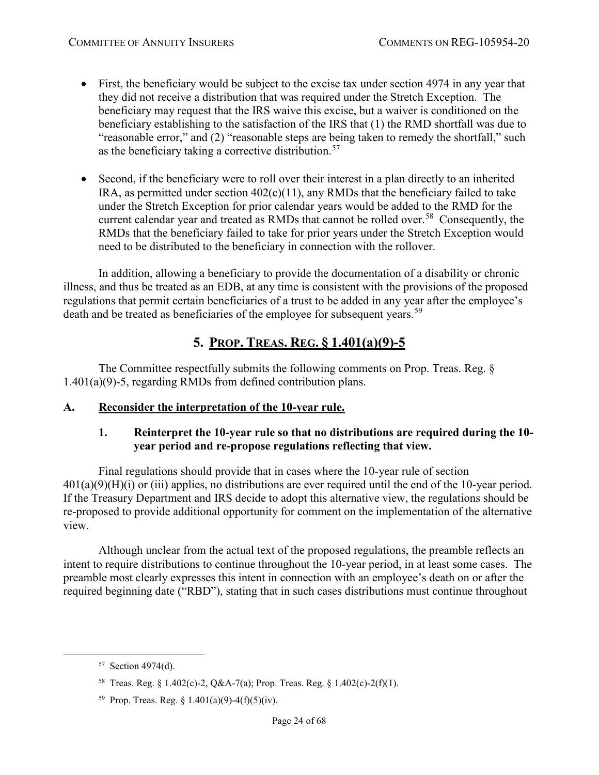- First, the beneficiary would be subject to the excise tax under section 4974 in any year that they did not receive a distribution that was required under the Stretch Exception. The beneficiary may request that the IRS waive this excise, but a waiver is conditioned on the beneficiary establishing to the satisfaction of the IRS that (1) the RMD shortfall was due to "reasonable error," and (2) "reasonable steps are being taken to remedy the shortfall," such as the beneficiary taking a corrective distribution.<sup>[57](#page-23-3)</sup>
- Second, if the beneficiary were to roll over their interest in a plan directly to an inherited IRA, as permitted under section  $402(c)(11)$ , any RMDs that the beneficiary failed to take under the Stretch Exception for prior calendar years would be added to the RMD for the current calendar year and treated as RMDs that cannot be rolled over.<sup>[58](#page-23-4)</sup> Consequently, the RMDs that the beneficiary failed to take for prior years under the Stretch Exception would need to be distributed to the beneficiary in connection with the rollover.

In addition, allowing a beneficiary to provide the documentation of a disability or chronic illness, and thus be treated as an EDB, at any time is consistent with the provisions of the proposed regulations that permit certain beneficiaries of a trust to be added in any year after the employee's death and be treated as beneficiaries of the employee for subsequent years.<sup>[59](#page-23-5)</sup>

# **5. PROP. TREAS. REG. § 1.401(a)(9)-5**

<span id="page-23-0"></span>The Committee respectfully submits the following comments on Prop. Treas. Reg. § 1.401(a)(9)-5, regarding RMDs from defined contribution plans.

# <span id="page-23-2"></span><span id="page-23-1"></span>**A. Reconsider the interpretation of the 10-year rule.**

# **1. Reinterpret the 10-year rule so that no distributions are required during the 10 year period and re-propose regulations reflecting that view.**

Final regulations should provide that in cases where the 10-year rule of section  $401(a)(9)(H)(i)$  or (iii) applies, no distributions are ever required until the end of the 10-year period. If the Treasury Department and IRS decide to adopt this alternative view, the regulations should be re-proposed to provide additional opportunity for comment on the implementation of the alternative view.

Although unclear from the actual text of the proposed regulations, the preamble reflects an intent to require distributions to continue throughout the 10-year period, in at least some cases. The preamble most clearly expresses this intent in connection with an employee's death on or after the required beginning date ("RBD"), stating that in such cases distributions must continue throughout

<span id="page-23-3"></span> <sup>57</sup> Section 4974(d).

<span id="page-23-4"></span><sup>58</sup> Treas. Reg. § 1.402(c)-2, Q&A-7(a); Prop. Treas. Reg. § 1.402(c)-2(f)(1).

<span id="page-23-5"></span><sup>&</sup>lt;sup>59</sup> Prop. Treas. Reg. § 1.401(a)(9)-4(f)(5)(iv).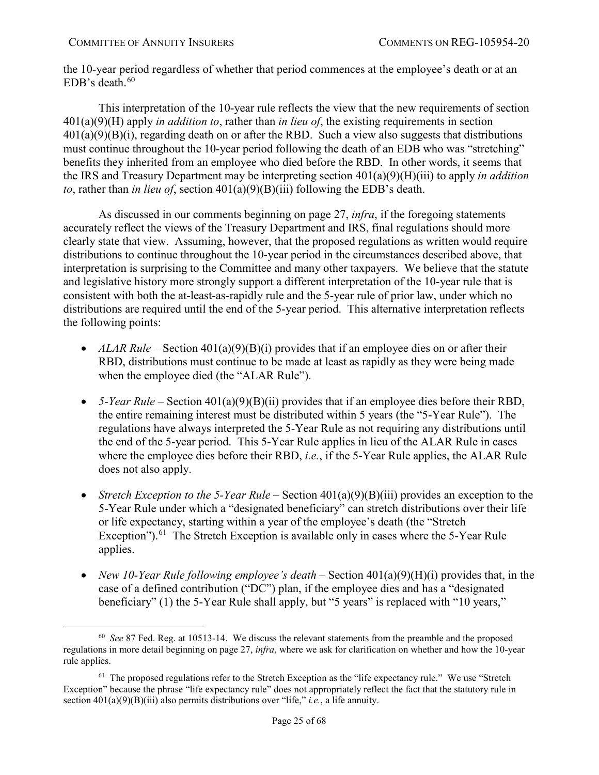the 10-year period regardless of whether that period commences at the employee's death or at an EDB's death. $60$ 

This interpretation of the 10-year rule reflects the view that the new requirements of section 401(a)(9)(H) apply *in addition to*, rather than *in lieu of*, the existing requirements in section  $401(a)(9)(B)(i)$ , regarding death on or after the RBD. Such a view also suggests that distributions must continue throughout the 10-year period following the death of an EDB who was "stretching" benefits they inherited from an employee who died before the RBD. In other words, it seems that the IRS and Treasury Department may be interpreting section 401(a)(9)(H)(iii) to apply *in addition to*, rather than *in lieu of*, section 401(a)(9)(B)(iii) following the EDB's death.

As discussed in our comments beginning on page [27,](#page-26-0) *infra*, if the foregoing statements accurately reflect the views of the Treasury Department and IRS, final regulations should more clearly state that view. Assuming, however, that the proposed regulations as written would require distributions to continue throughout the 10-year period in the circumstances described above, that interpretation is surprising to the Committee and many other taxpayers. We believe that the statute and legislative history more strongly support a different interpretation of the 10-year rule that is consistent with both the at-least-as-rapidly rule and the 5-year rule of prior law, under which no distributions are required until the end of the 5-year period. This alternative interpretation reflects the following points:

- *ALAR Rule* Section  $401(a)(9)(B)(i)$  provides that if an employee dies on or after their RBD, distributions must continue to be made at least as rapidly as they were being made when the employee died (the "ALAR Rule").
- 5-*Year Rule* Section 401(a)(9)(B)(ii) provides that if an employee dies before their RBD, the entire remaining interest must be distributed within 5 years (the "5-Year Rule"). The regulations have always interpreted the 5-Year Rule as not requiring any distributions until the end of the 5-year period. This 5-Year Rule applies in lieu of the ALAR Rule in cases where the employee dies before their RBD, *i.e.*, if the 5-Year Rule applies, the ALAR Rule does not also apply.
- *Stretch Exception to the 5-Year Rule* Section  $401(a)(9)(B)(iii)$  provides an exception to the 5-Year Rule under which a "designated beneficiary" can stretch distributions over their life or life expectancy, starting within a year of the employee's death (the "Stretch Exception").<sup>[61](#page-24-1)</sup> The Stretch Exception is available only in cases where the 5-Year Rule applies.
- *New 10-Year Rule following employee's death* Section 401(a)(9)(H)(i) provides that, in the case of a defined contribution ("DC") plan, if the employee dies and has a "designated beneficiary" (1) the 5-Year Rule shall apply, but "5 years" is replaced with "10 years,"

<span id="page-24-0"></span> <sup>60</sup> *See* 87 Fed. Reg. at 10513-14. We discuss the relevant statements from the preamble and the proposed regulations in more detail beginning on page [27,](#page-26-0) *infra*, where we ask for clarification on whether and how the 10-year rule applies.

<span id="page-24-1"></span><sup>&</sup>lt;sup>61</sup> The proposed regulations refer to the Stretch Exception as the "life expectancy rule." We use "Stretch Exception" because the phrase "life expectancy rule" does not appropriately reflect the fact that the statutory rule in section 401(a)(9)(B)(iii) also permits distributions over "life," *i.e.*, a life annuity.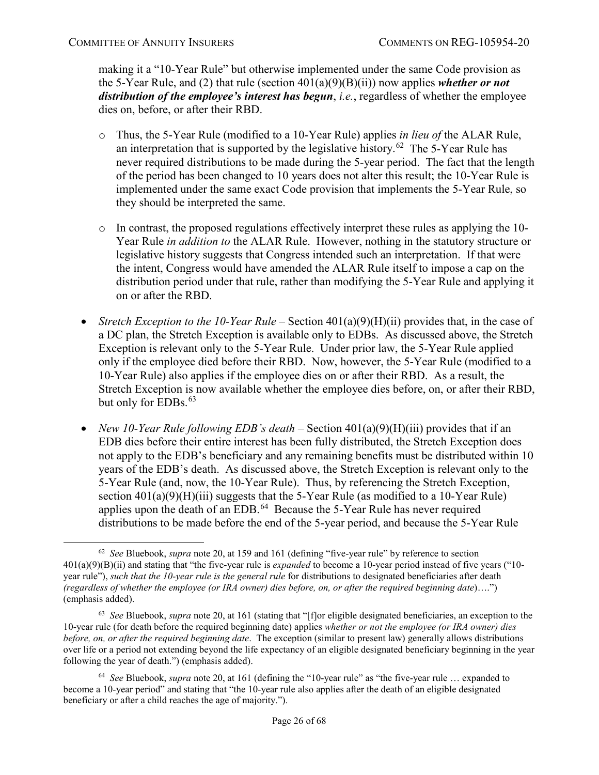making it a "10-Year Rule" but otherwise implemented under the same Code provision as the 5-Year Rule, and (2) that rule (section 401(a)(9)(B)(ii)) now applies *whether or not distribution of the employee's interest has begun*, *i.e.*, regardless of whether the employee dies on, before, or after their RBD.

- o Thus, the 5-Year Rule (modified to a 10-Year Rule) applies *in lieu of* the ALAR Rule, an interpretation that is supported by the legislative history.<sup>[62](#page-25-0)</sup> The 5-Year Rule has never required distributions to be made during the 5-year period. The fact that the length of the period has been changed to 10 years does not alter this result; the 10-Year Rule is implemented under the same exact Code provision that implements the 5-Year Rule, so they should be interpreted the same.
- o In contrast, the proposed regulations effectively interpret these rules as applying the 10- Year Rule *in addition to* the ALAR Rule. However, nothing in the statutory structure or legislative history suggests that Congress intended such an interpretation. If that were the intent, Congress would have amended the ALAR Rule itself to impose a cap on the distribution period under that rule, rather than modifying the 5-Year Rule and applying it on or after the RBD.
- *Stretch Exception to the 10-Year Rule* Section 401(a)(9)(H)(ii) provides that, in the case of a DC plan, the Stretch Exception is available only to EDBs. As discussed above, the Stretch Exception is relevant only to the 5-Year Rule. Under prior law, the 5-Year Rule applied only if the employee died before their RBD. Now, however, the 5-Year Rule (modified to a 10-Year Rule) also applies if the employee dies on or after their RBD. As a result, the Stretch Exception is now available whether the employee dies before, on, or after their RBD, but only for EDBs.<sup>[63](#page-25-1)</sup>
- *New 10-Year Rule following EDB's death* Section 401(a)(9)(H)(iii) provides that if an EDB dies before their entire interest has been fully distributed, the Stretch Exception does not apply to the EDB's beneficiary and any remaining benefits must be distributed within 10 years of the EDB's death. As discussed above, the Stretch Exception is relevant only to the 5-Year Rule (and, now, the 10-Year Rule). Thus, by referencing the Stretch Exception, section  $401(a)(9)(H)(iii)$  suggests that the 5-Year Rule (as modified to a 10-Year Rule) applies upon the death of an EDB.<sup>[64](#page-25-2)</sup> Because the 5-Year Rule has never required distributions to be made before the end of the 5-year period, and because the 5-Year Rule

<span id="page-25-0"></span> <sup>62</sup> *See* Bluebook, *supra* not[e 20,](#page-8-4) at 159 and 161 (defining "five-year rule" by reference to section 401(a)(9)(B)(ii) and stating that "the five-year rule is *expanded* to become a 10-year period instead of five years ("10 year rule"), *such that the 10-year rule is the general rule* for distributions to designated beneficiaries after death *(regardless of whether the employee (or IRA owner) dies before, on, or after the required beginning date*)….") (emphasis added).

<span id="page-25-1"></span><sup>63</sup> *See* Bluebook, *supra* not[e 20,](#page-8-4) at 161 (stating that "[f]or eligible designated beneficiaries, an exception to the 10-year rule (for death before the required beginning date) applies *whether or not the employee (or IRA owner) dies before, on, or after the required beginning date*. The exception (similar to present law) generally allows distributions over life or a period not extending beyond the life expectancy of an eligible designated beneficiary beginning in the year following the year of death.") (emphasis added).

<span id="page-25-2"></span><sup>64</sup> *See* Bluebook, *supra* not[e 20,](#page-8-4) at 161 (defining the "10-year rule" as "the five-year rule … expanded to become a 10-year period" and stating that "the 10-year rule also applies after the death of an eligible designated beneficiary or after a child reaches the age of majority.").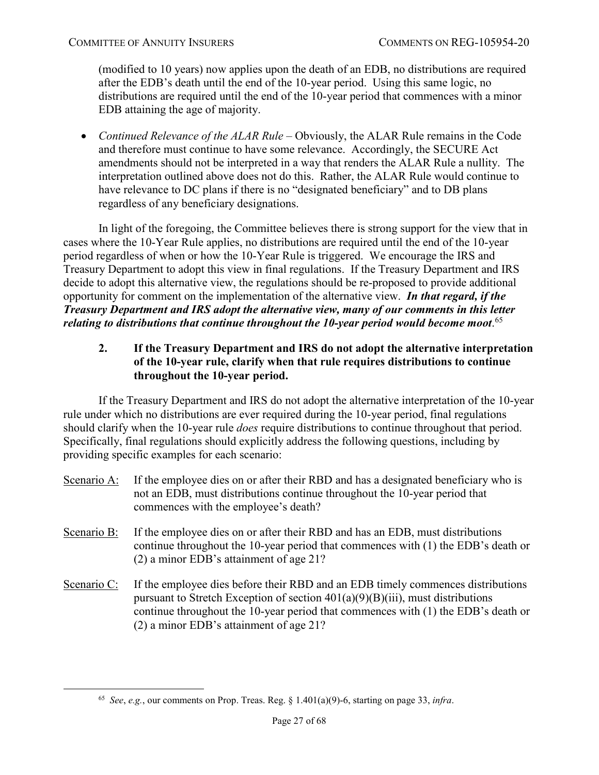(modified to 10 years) now applies upon the death of an EDB, no distributions are required after the EDB's death until the end of the 10-year period. Using this same logic, no distributions are required until the end of the 10-year period that commences with a minor EDB attaining the age of majority.

• *Continued Relevance of the ALAR Rule* – Obviously, the ALAR Rule remains in the Code and therefore must continue to have some relevance. Accordingly, the SECURE Act amendments should not be interpreted in a way that renders the ALAR Rule a nullity. The interpretation outlined above does not do this. Rather, the ALAR Rule would continue to have relevance to DC plans if there is no "designated beneficiary" and to DB plans regardless of any beneficiary designations.

In light of the foregoing, the Committee believes there is strong support for the view that in cases where the 10-Year Rule applies, no distributions are required until the end of the 10-year period regardless of when or how the 10-Year Rule is triggered. We encourage the IRS and Treasury Department to adopt this view in final regulations. If the Treasury Department and IRS decide to adopt this alternative view, the regulations should be re-proposed to provide additional opportunity for comment on the implementation of the alternative view. *In that regard, if the Treasury Department and IRS adopt the alternative view, many of our comments in this letter relating to distributions that continue throughout the 10-year period would become moot*. [65](#page-26-1)

# <span id="page-26-0"></span>**2. If the Treasury Department and IRS do not adopt the alternative interpretation of the 10-year rule, clarify when that rule requires distributions to continue throughout the 10-year period.**

If the Treasury Department and IRS do not adopt the alternative interpretation of the 10-year rule under which no distributions are ever required during the 10-year period, final regulations should clarify when the 10-year rule *does* require distributions to continue throughout that period. Specifically, final regulations should explicitly address the following questions, including by providing specific examples for each scenario:

- Scenario A: If the employee dies on or after their RBD and has a designated beneficiary who is not an EDB, must distributions continue throughout the 10-year period that commences with the employee's death?
- Scenario B: If the employee dies on or after their RBD and has an EDB, must distributions continue throughout the 10-year period that commences with (1) the EDB's death or (2) a minor EDB's attainment of age 21?
- Scenario C: If the employee dies before their RBD and an EDB timely commences distributions pursuant to Stretch Exception of section  $401(a)(9)(B)(iii)$ , must distributions continue throughout the 10-year period that commences with (1) the EDB's death or (2) a minor EDB's attainment of age 21?

<span id="page-26-1"></span> <sup>65</sup> *See*, *e.g.*, our comments on Prop. Treas. Reg. § 1.401(a)(9)-6, starting on page [33,](#page-32-0) *infra*.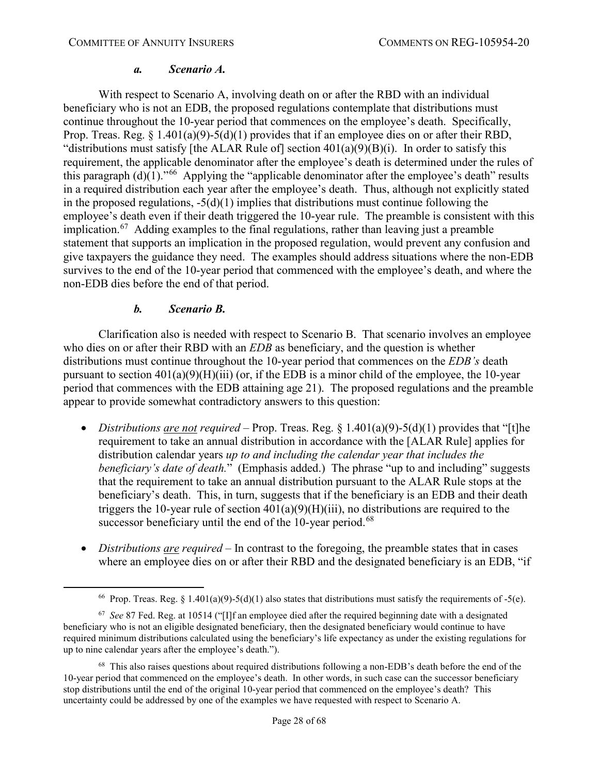#### <span id="page-27-3"></span>*a. Scenario A.*

With respect to Scenario A, involving death on or after the RBD with an individual beneficiary who is not an EDB, the proposed regulations contemplate that distributions must continue throughout the 10-year period that commences on the employee's death. Specifically, Prop. Treas. Reg.  $\S$  1.401(a)(9)-5(d)(1) provides that if an employee dies on or after their RBD, "distributions must satisfy [the ALAR Rule of] section  $401(a)(9)(B)(i)$ . In order to satisfy this requirement, the applicable denominator after the employee's death is determined under the rules of this paragraph  $(d)(1)$ ."<sup>[66](#page-27-0)</sup> Applying the "applicable denominator after the employee's death" results in a required distribution each year after the employee's death. Thus, although not explicitly stated in the proposed regulations,  $-5(d)(1)$  implies that distributions must continue following the employee's death even if their death triggered the 10-year rule. The preamble is consistent with this implication.<sup>[67](#page-27-1)</sup> Adding examples to the final regulations, rather than leaving just a preamble statement that supports an implication in the proposed regulation, would prevent any confusion and give taxpayers the guidance they need. The examples should address situations where the non-EDB survives to the end of the 10-year period that commenced with the employee's death, and where the non-EDB dies before the end of that period.

### *b. Scenario B.*

Clarification also is needed with respect to Scenario B. That scenario involves an employee who dies on or after their RBD with an *EDB* as beneficiary, and the question is whether distributions must continue throughout the 10-year period that commences on the *EDB's* death pursuant to section  $401(a)(9)(H)(iii)$  (or, if the EDB is a minor child of the employee, the 10-year period that commences with the EDB attaining age 21). The proposed regulations and the preamble appear to provide somewhat contradictory answers to this question:

- *Distributions are not required* Prop. Treas. Reg. § 1.401(a)(9)-5(d)(1) provides that "[t]he requirement to take an annual distribution in accordance with the [ALAR Rule] applies for distribution calendar years *up to and including the calendar year that includes the beneficiary's date of death.*" (Emphasis added.) The phrase "up to and including" suggests that the requirement to take an annual distribution pursuant to the ALAR Rule stops at the beneficiary's death. This, in turn, suggests that if the beneficiary is an EDB and their death triggers the 10-year rule of section  $401(a)(9)(H)(iii)$ , no distributions are required to the successor beneficiary until the end of the 10-year period.<sup>[68](#page-27-2)</sup>
- *Distributions are required* In contrast to the foregoing, the preamble states that in cases where an employee dies on or after their RBD and the designated beneficiary is an EDB, "if

<sup>&</sup>lt;sup>66</sup> Prop. Treas. Reg. § 1.401(a)(9)-5(d)(1) also states that distributions must satisfy the requirements of -5(e).

<span id="page-27-1"></span><span id="page-27-0"></span><sup>67</sup> *See* 87 Fed. Reg. at 10514 ("[I]f an employee died after the required beginning date with a designated beneficiary who is not an eligible designated beneficiary, then the designated beneficiary would continue to have required minimum distributions calculated using the beneficiary's life expectancy as under the existing regulations for up to nine calendar years after the employee's death.").

<span id="page-27-2"></span><sup>68</sup> This also raises questions about required distributions following a non-EDB's death before the end of the 10-year period that commenced on the employee's death. In other words, in such case can the successor beneficiary stop distributions until the end of the original 10-year period that commenced on the employee's death? This uncertainty could be addressed by one of the examples we have requested with respect to Scenario A.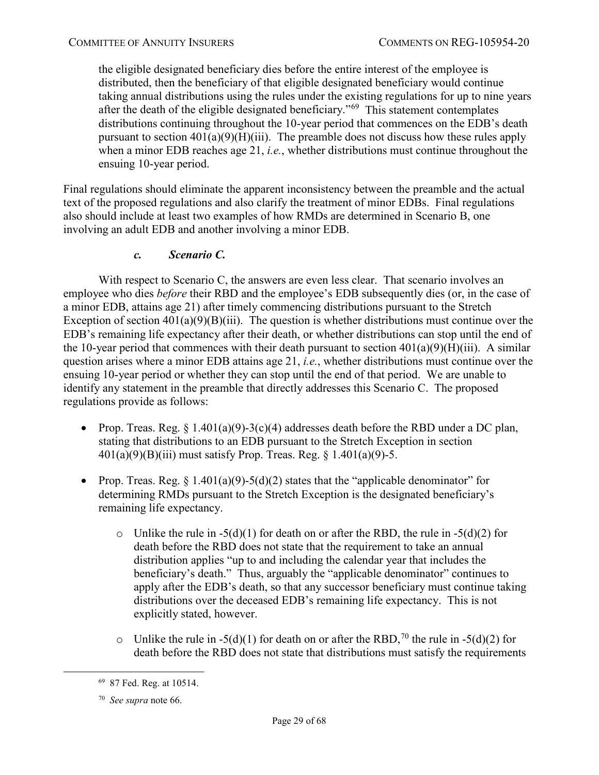the eligible designated beneficiary dies before the entire interest of the employee is distributed, then the beneficiary of that eligible designated beneficiary would continue taking annual distributions using the rules under the existing regulations for up to nine years after the death of the eligible designated beneficiary."[69](#page-28-0) This statement contemplates distributions continuing throughout the 10-year period that commences on the EDB's death pursuant to section  $401(a)(9)(H)(iii)$ . The preamble does not discuss how these rules apply when a minor EDB reaches age 21, *i.e.*, whether distributions must continue throughout the ensuing 10-year period.

Final regulations should eliminate the apparent inconsistency between the preamble and the actual text of the proposed regulations and also clarify the treatment of minor EDBs. Final regulations also should include at least two examples of how RMDs are determined in Scenario B, one involving an adult EDB and another involving a minor EDB.

# *c. Scenario C.*

With respect to Scenario C, the answers are even less clear. That scenario involves an employee who dies *before* their RBD and the employee's EDB subsequently dies (or, in the case of a minor EDB, attains age 21) after timely commencing distributions pursuant to the Stretch Exception of section  $401(a)(9)(B)(iii)$ . The question is whether distributions must continue over the EDB's remaining life expectancy after their death, or whether distributions can stop until the end of the 10-year period that commences with their death pursuant to section  $401(a)(9)(H)(iii)$ . A similar question arises where a minor EDB attains age 21, *i.e.*, whether distributions must continue over the ensuing 10-year period or whether they can stop until the end of that period. We are unable to identify any statement in the preamble that directly addresses this Scenario C. The proposed regulations provide as follows:

- Prop. Treas. Reg.  $\S 1.401(a)(9)-3(c)(4)$  addresses death before the RBD under a DC plan, stating that distributions to an EDB pursuant to the Stretch Exception in section  $401(a)(9)(B)(iii)$  must satisfy Prop. Treas. Reg. § 1.401(a)(9)-5.
- Prop. Treas. Reg.  $\S 1.401(a)(9) 5(d)(2)$  states that the "applicable denominator" for determining RMDs pursuant to the Stretch Exception is the designated beneficiary's remaining life expectancy.
	- o Unlike the rule in  $-5(d)(1)$  for death on or after the RBD, the rule in  $-5(d)(2)$  for death before the RBD does not state that the requirement to take an annual distribution applies "up to and including the calendar year that includes the beneficiary's death." Thus, arguably the "applicable denominator" continues to apply after the EDB's death, so that any successor beneficiary must continue taking distributions over the deceased EDB's remaining life expectancy. This is not explicitly stated, however.
	- o Unlike the rule in -5(d)(1) for death on or after the RBD,<sup>[70](#page-28-1)</sup> the rule in -5(d)(2) for death before the RBD does not state that distributions must satisfy the requirements

<span id="page-28-0"></span> <sup>69 87</sup> Fed. Reg. at 10514.

<span id="page-28-1"></span><sup>70</sup> *See supra* not[e 66.](#page-27-3)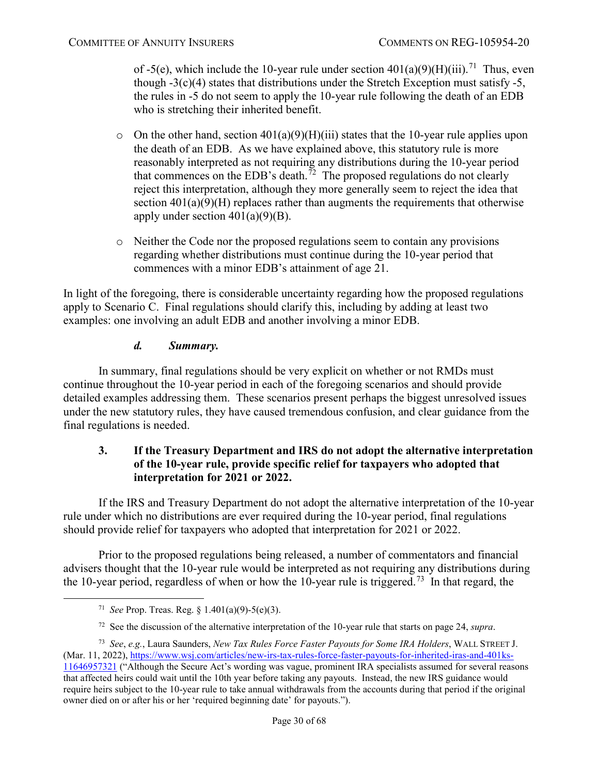of -5(e), which include the 10-year rule under section  $401(a)(9)(H)(iii)$ .<sup>71</sup> Thus, even though  $-3(c)(4)$  states that distributions under the Stretch Exception must satisfy  $-5$ , the rules in -5 do not seem to apply the 10-year rule following the death of an EDB who is stretching their inherited benefit.

- $\circ$  On the other hand, section 401(a)(9)(H)(iii) states that the 10-year rule applies upon the death of an EDB. As we have explained above, this statutory rule is more reasonably interpreted as not requiring any distributions during the 10-year period that commences on the EDB's death.<sup>[72](#page-29-2)</sup> The proposed regulations do not clearly reject this interpretation, although they more generally seem to reject the idea that section  $401(a)(9)(H)$  replaces rather than augments the requirements that otherwise apply under section  $401(a)(9)(B)$ .
- o Neither the Code nor the proposed regulations seem to contain any provisions regarding whether distributions must continue during the 10-year period that commences with a minor EDB's attainment of age 21.

In light of the foregoing, there is considerable uncertainty regarding how the proposed regulations apply to Scenario C. Final regulations should clarify this, including by adding at least two examples: one involving an adult EDB and another involving a minor EDB.

# *d. Summary.*

In summary, final regulations should be very explicit on whether or not RMDs must continue throughout the 10-year period in each of the foregoing scenarios and should provide detailed examples addressing them. These scenarios present perhaps the biggest unresolved issues under the new statutory rules, they have caused tremendous confusion, and clear guidance from the final regulations is needed.

# <span id="page-29-0"></span>**3. If the Treasury Department and IRS do not adopt the alternative interpretation of the 10-year rule, provide specific relief for taxpayers who adopted that interpretation for 2021 or 2022.**

If the IRS and Treasury Department do not adopt the alternative interpretation of the 10-year rule under which no distributions are ever required during the 10-year period, final regulations should provide relief for taxpayers who adopted that interpretation for 2021 or 2022.

Prior to the proposed regulations being released, a number of commentators and financial advisers thought that the 10-year rule would be interpreted as not requiring any distributions during the 10-year period, regardless of when or how the 10-year rule is triggered.<sup>[73](#page-29-3)</sup> In that regard, the

 <sup>71</sup> *See* Prop. Treas. Reg. § 1.401(a)(9)-5(e)(3).

<sup>72</sup> See the discussion of the alternative interpretation of the 10-year rule that starts on page [24,](#page-23-2) *supra*.

<span id="page-29-3"></span><span id="page-29-2"></span><span id="page-29-1"></span><sup>73</sup> *See*, *e.g.*, Laura Saunders, *New Tax Rules Force Faster Payouts for Some IRA Holders*, WALL STREET J. (Mar. 11, 2022), [https://www.wsj.com/articles/new-irs-tax-rules-force-faster-payouts-for-inherited-iras-and-401ks-](https://www.wsj.com/articles/new-irs-tax-rules-force-faster-payouts-for-inherited-iras-and-401ks-11646957321)

[<sup>11646957321</sup>](https://www.wsj.com/articles/new-irs-tax-rules-force-faster-payouts-for-inherited-iras-and-401ks-11646957321) ("Although the Secure Act's wording was vague, prominent IRA specialists assumed for several reasons that affected heirs could wait until the 10th year before taking any payouts. Instead, the new IRS guidance would require heirs subject to the 10-year rule to take annual withdrawals from the accounts during that period if the original owner died on or after his or her 'required beginning date' for payouts.").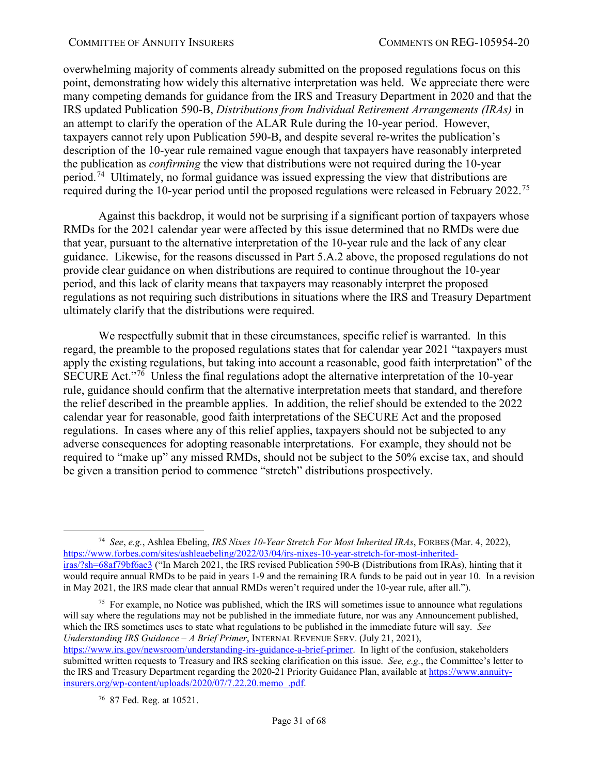overwhelming majority of comments already submitted on the proposed regulations focus on this point, demonstrating how widely this alternative interpretation was held. We appreciate there were many competing demands for guidance from the IRS and Treasury Department in 2020 and that the IRS updated Publication 590-B, *Distributions from Individual Retirement Arrangements (IRAs)* in an attempt to clarify the operation of the ALAR Rule during the 10-year period. However, taxpayers cannot rely upon Publication 590-B, and despite several re-writes the publication's description of the 10-year rule remained vague enough that taxpayers have reasonably interpreted the publication as *confirming* the view that distributions were not required during the 10-year period.[74](#page-30-0) Ultimately, no formal guidance was issued expressing the view that distributions are required during the 10-year period until the proposed regulations were released in February 2022.<sup>75</sup>

Against this backdrop, it would not be surprising if a significant portion of taxpayers whose RMDs for the 2021 calendar year were affected by this issue determined that no RMDs were due that year, pursuant to the alternative interpretation of the 10-year rule and the lack of any clear guidance. Likewise, for the reasons discussed in Part 5.A.2 above, the proposed regulations do not provide clear guidance on when distributions are required to continue throughout the 10-year period, and this lack of clarity means that taxpayers may reasonably interpret the proposed regulations as not requiring such distributions in situations where the IRS and Treasury Department ultimately clarify that the distributions were required.

We respectfully submit that in these circumstances, specific relief is warranted. In this regard, the preamble to the proposed regulations states that for calendar year 2021 "taxpayers must apply the existing regulations, but taking into account a reasonable, good faith interpretation" of the SECURE Act."<sup>[76](#page-30-2)</sup> Unless the final regulations adopt the alternative interpretation of the 10-year rule, guidance should confirm that the alternative interpretation meets that standard, and therefore the relief described in the preamble applies. In addition, the relief should be extended to the 2022 calendar year for reasonable, good faith interpretations of the SECURE Act and the proposed regulations. In cases where any of this relief applies, taxpayers should not be subjected to any adverse consequences for adopting reasonable interpretations. For example, they should not be required to "make up" any missed RMDs, should not be subject to the 50% excise tax, and should be given a transition period to commence "stretch" distributions prospectively.

<span id="page-30-1"></span> $<sup>75</sup>$  For example, no Notice was published, which the IRS will sometimes issue to announce what regulations</sup> will say where the regulations may not be published in the immediate future, nor was any Announcement published, which the IRS sometimes uses to state what regulations to be published in the immediate future will say. *See Understanding IRS Guidance – A Brief Primer*, INTERNAL REVENUE SERV. (July 21, 2021),

<span id="page-30-0"></span> <sup>74</sup> *See*, *e.g.*, Ashlea Ebeling, *IRS Nixes 10-Year Stretch For Most Inherited IRAs*, FORBES (Mar. 4, 2022), [https://www.forbes.com/sites/ashleaebeling/2022/03/04/irs-nixes-10-year-stretch-for-most-inherited](https://www.forbes.com/sites/ashleaebeling/2022/03/04/irs-nixes-10-year-stretch-for-most-inherited-iras/?sh=68af79bf6ac3)[iras/?sh=68af79bf6ac3](https://www.forbes.com/sites/ashleaebeling/2022/03/04/irs-nixes-10-year-stretch-for-most-inherited-iras/?sh=68af79bf6ac3) ("In March 2021, the IRS revised Publication 590-B (Distributions from IRAs), hinting that it would require annual RMDs to be paid in years 1-9 and the remaining IRA funds to be paid out in year 10. In a revision in May 2021, the IRS made clear that annual RMDs weren't required under the 10-year rule, after all.").

<span id="page-30-2"></span>[https://www.irs.gov/newsroom/understanding-irs-guidance-a-brief-primer.](https://www.irs.gov/newsroom/understanding-irs-guidance-a-brief-primer) In light of the confusion, stakeholders submitted written requests to Treasury and IRS seeking clarification on this issue. *See, e.g.*, the Committee's letter to the IRS and Treasury Department regarding the 2020-21 Priority Guidance Plan, available a[t https://www.annuity](https://www.annuity-insurers.org/wp-content/uploads/2020/07/7.22.20.memo_.pdf)[insurers.org/wp-content/uploads/2020/07/7.22.20.memo\\_.pdf.](https://www.annuity-insurers.org/wp-content/uploads/2020/07/7.22.20.memo_.pdf)

<sup>76 87</sup> Fed. Reg. at 10521.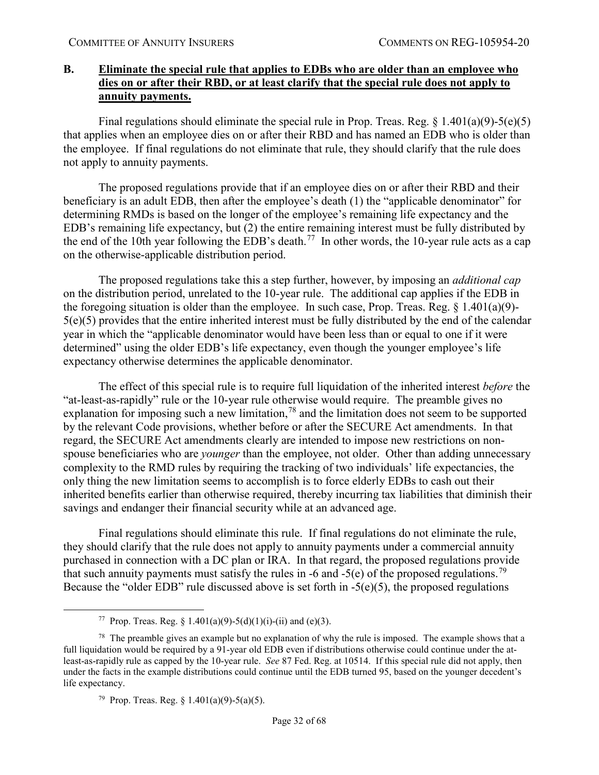### <span id="page-31-0"></span>**B. Eliminate the special rule that applies to EDBs who are older than an employee who dies on or after their RBD, or at least clarify that the special rule does not apply to annuity payments.**

Final regulations should eliminate the special rule in Prop. Treas. Reg.  $\S$  1.401(a)(9)-5(e)(5) that applies when an employee dies on or after their RBD and has named an EDB who is older than the employee. If final regulations do not eliminate that rule, they should clarify that the rule does not apply to annuity payments.

The proposed regulations provide that if an employee dies on or after their RBD and their beneficiary is an adult EDB, then after the employee's death (1) the "applicable denominator" for determining RMDs is based on the longer of the employee's remaining life expectancy and the EDB's remaining life expectancy, but (2) the entire remaining interest must be fully distributed by the end of the 10th year following the EDB's death.<sup>[77](#page-31-1)</sup> In other words, the 10-year rule acts as a cap on the otherwise-applicable distribution period.

The proposed regulations take this a step further, however, by imposing an *additional cap* on the distribution period, unrelated to the 10-year rule. The additional cap applies if the EDB in the foregoing situation is older than the employee. In such case, Prop. Treas. Reg.  $\S$  1.401(a)(9)-5(e)(5) provides that the entire inherited interest must be fully distributed by the end of the calendar year in which the "applicable denominator would have been less than or equal to one if it were determined" using the older EDB's life expectancy, even though the younger employee's life expectancy otherwise determines the applicable denominator.

The effect of this special rule is to require full liquidation of the inherited interest *before* the "at-least-as-rapidly" rule or the 10-year rule otherwise would require. The preamble gives no explanation for imposing such a new limitation,  $78$  and the limitation does not seem to be supported by the relevant Code provisions, whether before or after the SECURE Act amendments. In that regard, the SECURE Act amendments clearly are intended to impose new restrictions on nonspouse beneficiaries who are *younger* than the employee, not older. Other than adding unnecessary complexity to the RMD rules by requiring the tracking of two individuals' life expectancies, the only thing the new limitation seems to accomplish is to force elderly EDBs to cash out their inherited benefits earlier than otherwise required, thereby incurring tax liabilities that diminish their savings and endanger their financial security while at an advanced age.

Final regulations should eliminate this rule. If final regulations do not eliminate the rule, they should clarify that the rule does not apply to annuity payments under a commercial annuity purchased in connection with a DC plan or IRA. In that regard, the proposed regulations provide that such annuity payments must satisfy the rules in -6 and -5(e) of the proposed regulations.<sup>[79](#page-31-3)</sup> Because the "older EDB" rule discussed above is set forth in -5(e)(5), the proposed regulations

<sup>&</sup>lt;sup>77</sup> Prop. Treas. Reg. § 1.401(a)(9)-5(d)(1)(i)-(ii) and (e)(3).

<span id="page-31-3"></span><span id="page-31-2"></span><span id="page-31-1"></span><sup>&</sup>lt;sup>78</sup> The preamble gives an example but no explanation of why the rule is imposed. The example shows that a full liquidation would be required by a 91-year old EDB even if distributions otherwise could continue under the atleast-as-rapidly rule as capped by the 10-year rule. *See* 87 Fed. Reg. at 10514. If this special rule did not apply, then under the facts in the example distributions could continue until the EDB turned 95, based on the younger decedent's life expectancy.

<sup>&</sup>lt;sup>79</sup> Prop. Treas. Reg. § 1.401(a)(9)-5(a)(5).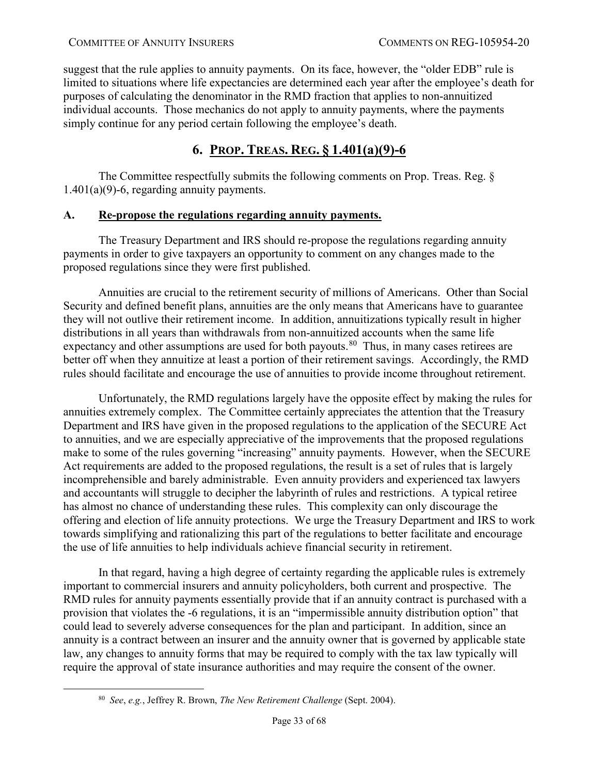suggest that the rule applies to annuity payments. On its face, however, the "older EDB" rule is limited to situations where life expectancies are determined each year after the employee's death for purposes of calculating the denominator in the RMD fraction that applies to non-annuitized individual accounts. Those mechanics do not apply to annuity payments, where the payments simply continue for any period certain following the employee's death.

# **6. PROP. TREAS. REG. § 1.401(a)(9)-6**

<span id="page-32-0"></span>The Committee respectfully submits the following comments on Prop. Treas. Reg. §  $1.401(a)(9)$ -6, regarding annuity payments.

### <span id="page-32-1"></span>**A. Re-propose the regulations regarding annuity payments.**

The Treasury Department and IRS should re-propose the regulations regarding annuity payments in order to give taxpayers an opportunity to comment on any changes made to the proposed regulations since they were first published.

Annuities are crucial to the retirement security of millions of Americans. Other than Social Security and defined benefit plans, annuities are the only means that Americans have to guarantee they will not outlive their retirement income. In addition, annuitizations typically result in higher distributions in all years than withdrawals from non-annuitized accounts when the same life expectancy and other assumptions are used for both payouts.<sup>[80](#page-32-2)</sup> Thus, in many cases retirees are better off when they annuitize at least a portion of their retirement savings. Accordingly, the RMD rules should facilitate and encourage the use of annuities to provide income throughout retirement.

Unfortunately, the RMD regulations largely have the opposite effect by making the rules for annuities extremely complex. The Committee certainly appreciates the attention that the Treasury Department and IRS have given in the proposed regulations to the application of the SECURE Act to annuities, and we are especially appreciative of the improvements that the proposed regulations make to some of the rules governing "increasing" annuity payments. However, when the SECURE Act requirements are added to the proposed regulations, the result is a set of rules that is largely incomprehensible and barely administrable. Even annuity providers and experienced tax lawyers and accountants will struggle to decipher the labyrinth of rules and restrictions. A typical retiree has almost no chance of understanding these rules. This complexity can only discourage the offering and election of life annuity protections. We urge the Treasury Department and IRS to work towards simplifying and rationalizing this part of the regulations to better facilitate and encourage the use of life annuities to help individuals achieve financial security in retirement.

In that regard, having a high degree of certainty regarding the applicable rules is extremely important to commercial insurers and annuity policyholders, both current and prospective. The RMD rules for annuity payments essentially provide that if an annuity contract is purchased with a provision that violates the -6 regulations, it is an "impermissible annuity distribution option" that could lead to severely adverse consequences for the plan and participant. In addition, since an annuity is a contract between an insurer and the annuity owner that is governed by applicable state law, any changes to annuity forms that may be required to comply with the tax law typically will require the approval of state insurance authorities and may require the consent of the owner.

<span id="page-32-2"></span> <sup>80</sup> *See*, *e.g.*, Jeffrey R. Brown, *The New Retirement Challenge* (Sept. 2004).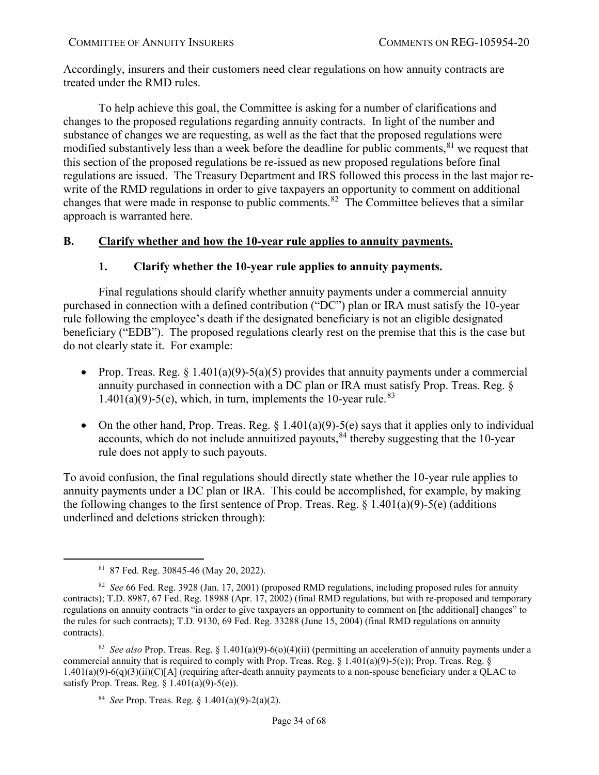Accordingly, insurers and their customers need clear regulations on how annuity contracts are treated under the RMD rules.

To help achieve this goal, the Committee is asking for a number of clarifications and changes to the proposed regulations regarding annuity contracts. In light of the number and substance of changes we are requesting, as well as the fact that the proposed regulations were modified substantively less than a week before the deadline for public comments, <sup>[81](#page-33-2)</sup> we request that this section of the proposed regulations be re-issued as new proposed regulations before final regulations are issued. The Treasury Department and IRS followed this process in the last major rewrite of the RMD regulations in order to give taxpayers an opportunity to comment on additional changes that were made in response to public comments.<sup>[82](#page-33-3)</sup> The Committee believes that a similar approach is warranted here.

# <span id="page-33-1"></span><span id="page-33-0"></span>**B. Clarify whether and how the 10-year rule applies to annuity payments.**

# **1. Clarify whether the 10-year rule applies to annuity payments.**

Final regulations should clarify whether annuity payments under a commercial annuity purchased in connection with a defined contribution ("DC") plan or IRA must satisfy the 10-year rule following the employee's death if the designated beneficiary is not an eligible designated beneficiary ("EDB"). The proposed regulations clearly rest on the premise that this is the case but do not clearly state it. For example:

- Prop. Treas. Reg. § 1.401(a)(9)-5(a)(5) provides that annuity payments under a commercial annuity purchased in connection with a DC plan or IRA must satisfy Prop. Treas. Reg. §  $1.401(a)(9)$ -5(e), which, in turn, implements the 10-year rule.<sup>[83](#page-33-4)</sup>
- On the other hand, Prop. Treas. Reg.  $\S 1.401(a)(9) 5(e)$  says that it applies only to individual accounts, which do not include annuitized payouts,  $84$  thereby suggesting that the 10-year rule does not apply to such payouts.

To avoid confusion, the final regulations should directly state whether the 10-year rule applies to annuity payments under a DC plan or IRA. This could be accomplished, for example, by making the following changes to the first sentence of Prop. Treas. Reg.  $\S 1.401(a)(9)-5(e)$  (additions underlined and deletions stricken through):

 <sup>81 87</sup> Fed. Reg. 30845-46 (May 20, 2022).

<span id="page-33-3"></span><span id="page-33-2"></span><sup>82</sup> *See* 66 Fed. Reg. 3928 (Jan. 17, 2001) (proposed RMD regulations, including proposed rules for annuity contracts); T.D. 8987, 67 Fed. Reg. 18988 (Apr. 17, 2002) (final RMD regulations, but with re-proposed and temporary regulations on annuity contracts "in order to give taxpayers an opportunity to comment on [the additional] changes" to the rules for such contracts); T.D. 9130, 69 Fed. Reg. 33288 (June 15, 2004) (final RMD regulations on annuity contracts).

<span id="page-33-5"></span><span id="page-33-4"></span><sup>83</sup> *See also* Prop. Treas. Reg. § 1.401(a)(9)-6(o)(4)(ii) (permitting an acceleration of annuity payments under a commercial annuity that is required to comply with Prop. Treas. Reg.  $\S 1.401(a)(9)-5(e)$ ; Prop. Treas. Reg.  $\S 1.401(a)(9)-5(e)$  $1.401(a)(9)-6(q)(3)(ii)(C)[A]$  (requiring after-death annuity payments to a non-spouse beneficiary under a QLAC to satisfy Prop. Treas. Reg.  $\S 1.401(a)(9)-5(e)$ .

<sup>84</sup> *See* Prop. Treas. Reg. § 1.401(a)(9)-2(a)(2).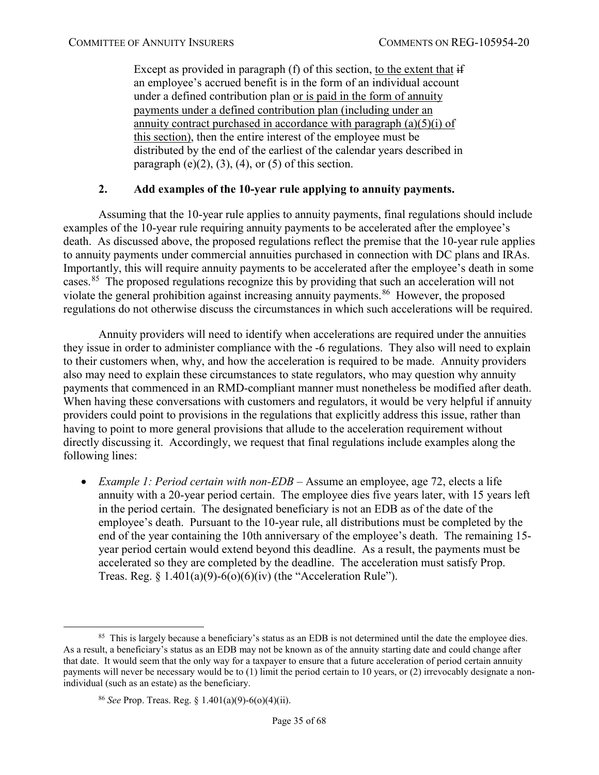Except as provided in paragraph (f) of this section, to the extent that if an employee's accrued benefit is in the form of an individual account under a defined contribution plan or is paid in the form of annuity payments under a defined contribution plan (including under an annuity contract purchased in accordance with paragraph  $(a)(5)(i)$  of this section), then the entire interest of the employee must be distributed by the end of the earliest of the calendar years described in paragraph  $(e)(2)$ ,  $(3)$ ,  $(4)$ , or  $(5)$  of this section.

### **2. Add examples of the 10-year rule applying to annuity payments.**

<span id="page-34-0"></span>Assuming that the 10-year rule applies to annuity payments, final regulations should include examples of the 10-year rule requiring annuity payments to be accelerated after the employee's death. As discussed above, the proposed regulations reflect the premise that the 10-year rule applies to annuity payments under commercial annuities purchased in connection with DC plans and IRAs. Importantly, this will require annuity payments to be accelerated after the employee's death in some cases.<sup>85</sup> The proposed regulations recognize this by providing that such an acceleration will not violate the general prohibition against increasing annuity payments.<sup>86</sup> However, the proposed regulations do not otherwise discuss the circumstances in which such accelerations will be required.

Annuity providers will need to identify when accelerations are required under the annuities they issue in order to administer compliance with the -6 regulations. They also will need to explain to their customers when, why, and how the acceleration is required to be made. Annuity providers also may need to explain these circumstances to state regulators, who may question why annuity payments that commenced in an RMD-compliant manner must nonetheless be modified after death. When having these conversations with customers and regulators, it would be very helpful if annuity providers could point to provisions in the regulations that explicitly address this issue, rather than having to point to more general provisions that allude to the acceleration requirement without directly discussing it. Accordingly, we request that final regulations include examples along the following lines:

• *Example 1: Period certain with non-EDB –* Assume an employee, age 72, elects a life annuity with a 20-year period certain. The employee dies five years later, with 15 years left in the period certain. The designated beneficiary is not an EDB as of the date of the employee's death. Pursuant to the 10-year rule, all distributions must be completed by the end of the year containing the 10th anniversary of the employee's death. The remaining 15 year period certain would extend beyond this deadline. As a result, the payments must be accelerated so they are completed by the deadline. The acceleration must satisfy Prop. Treas. Reg.  $\S 1.401(a)(9) - 6(0)(6)(iv)$  (the "Acceleration Rule").

<span id="page-34-2"></span><span id="page-34-1"></span><sup>&</sup>lt;sup>85</sup> This is largely because a beneficiary's status as an EDB is not determined until the date the employee dies. As a result, a beneficiary's status as an EDB may not be known as of the annuity starting date and could change after that date. It would seem that the only way for a taxpayer to ensure that a future acceleration of period certain annuity payments will never be necessary would be to (1) limit the period certain to 10 years, or (2) irrevocably designate a nonindividual (such as an estate) as the beneficiary.

<sup>86</sup> *See* Prop. Treas. Reg. § 1.401(a)(9)-6(o)(4)(ii).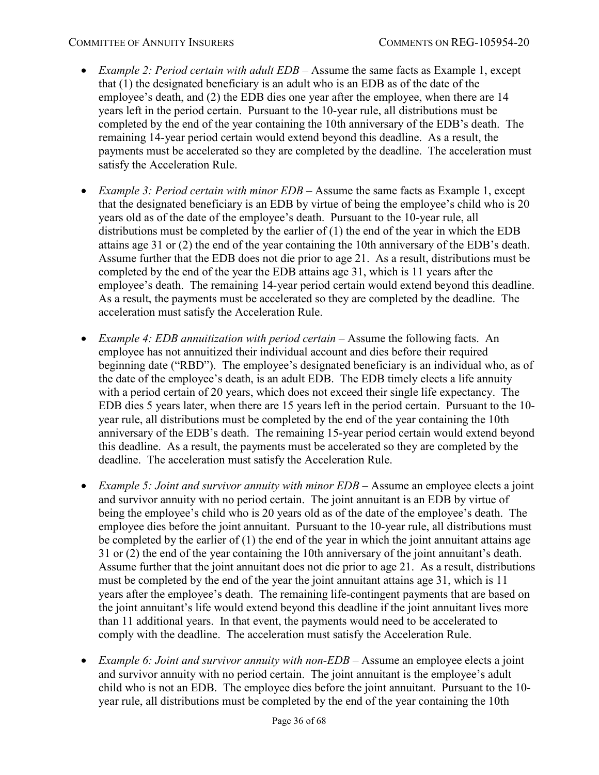- *Example 2: Period certain with adult EDB –* Assume the same facts as Example 1, except that (1) the designated beneficiary is an adult who is an EDB as of the date of the employee's death, and (2) the EDB dies one year after the employee, when there are 14 years left in the period certain. Pursuant to the 10-year rule, all distributions must be completed by the end of the year containing the 10th anniversary of the EDB's death. The remaining 14-year period certain would extend beyond this deadline. As a result, the payments must be accelerated so they are completed by the deadline. The acceleration must satisfy the Acceleration Rule.
- *Example 3: Period certain with minor EDB –* Assume the same facts as Example 1, except that the designated beneficiary is an EDB by virtue of being the employee's child who is 20 years old as of the date of the employee's death. Pursuant to the 10-year rule, all distributions must be completed by the earlier of (1) the end of the year in which the EDB attains age 31 or (2) the end of the year containing the 10th anniversary of the EDB's death. Assume further that the EDB does not die prior to age 21. As a result, distributions must be completed by the end of the year the EDB attains age 31, which is 11 years after the employee's death. The remaining 14-year period certain would extend beyond this deadline. As a result, the payments must be accelerated so they are completed by the deadline. The acceleration must satisfy the Acceleration Rule.
- *Example 4: EDB annuitization with period certain –* Assume the following facts. An employee has not annuitized their individual account and dies before their required beginning date ("RBD"). The employee's designated beneficiary is an individual who, as of the date of the employee's death, is an adult EDB. The EDB timely elects a life annuity with a period certain of 20 years, which does not exceed their single life expectancy. The EDB dies 5 years later, when there are 15 years left in the period certain. Pursuant to the 10 year rule, all distributions must be completed by the end of the year containing the 10th anniversary of the EDB's death. The remaining 15-year period certain would extend beyond this deadline. As a result, the payments must be accelerated so they are completed by the deadline. The acceleration must satisfy the Acceleration Rule.
- *Example 5: Joint and survivor annuity with minor EDB* Assume an employee elects a joint and survivor annuity with no period certain. The joint annuitant is an EDB by virtue of being the employee's child who is 20 years old as of the date of the employee's death. The employee dies before the joint annuitant. Pursuant to the 10-year rule, all distributions must be completed by the earlier of  $(1)$  the end of the year in which the joint annuitant attains age 31 or (2) the end of the year containing the 10th anniversary of the joint annuitant's death. Assume further that the joint annuitant does not die prior to age 21. As a result, distributions must be completed by the end of the year the joint annuitant attains age 31, which is 11 years after the employee's death. The remaining life-contingent payments that are based on the joint annuitant's life would extend beyond this deadline if the joint annuitant lives more than 11 additional years. In that event, the payments would need to be accelerated to comply with the deadline. The acceleration must satisfy the Acceleration Rule.
- *Example 6: Joint and survivor annuity with non-EDB –* Assume an employee elects a joint and survivor annuity with no period certain. The joint annuitant is the employee's adult child who is not an EDB. The employee dies before the joint annuitant. Pursuant to the 10 year rule, all distributions must be completed by the end of the year containing the 10th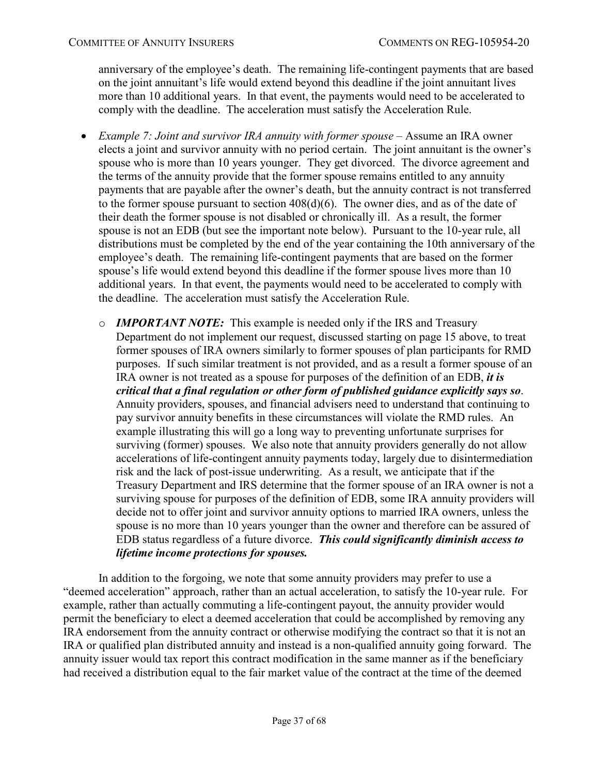anniversary of the employee's death. The remaining life-contingent payments that are based on the joint annuitant's life would extend beyond this deadline if the joint annuitant lives more than 10 additional years. In that event, the payments would need to be accelerated to comply with the deadline. The acceleration must satisfy the Acceleration Rule.

- <span id="page-36-0"></span>• *Example 7: Joint and survivor IRA annuity with former spouse* – Assume an IRA owner elects a joint and survivor annuity with no period certain. The joint annuitant is the owner's spouse who is more than 10 years younger. They get divorced. The divorce agreement and the terms of the annuity provide that the former spouse remains entitled to any annuity payments that are payable after the owner's death, but the annuity contract is not transferred to the former spouse pursuant to section 408(d)(6). The owner dies, and as of the date of their death the former spouse is not disabled or chronically ill. As a result, the former spouse is not an EDB (but see the important note below). Pursuant to the 10-year rule, all distributions must be completed by the end of the year containing the 10th anniversary of the employee's death. The remaining life-contingent payments that are based on the former spouse's life would extend beyond this deadline if the former spouse lives more than 10 additional years. In that event, the payments would need to be accelerated to comply with the deadline. The acceleration must satisfy the Acceleration Rule.
	- o *IMPORTANT NOTE:* This example is needed only if the IRS and Treasury Department do not implement our request, discussed starting on page [15](#page-14-1) above, to treat former spouses of IRA owners similarly to former spouses of plan participants for RMD purposes. If such similar treatment is not provided, and as a result a former spouse of an IRA owner is not treated as a spouse for purposes of the definition of an EDB, *it is critical that a final regulation or other form of published guidance explicitly says so*. Annuity providers, spouses, and financial advisers need to understand that continuing to pay survivor annuity benefits in these circumstances will violate the RMD rules. An example illustrating this will go a long way to preventing unfortunate surprises for surviving (former) spouses. We also note that annuity providers generally do not allow accelerations of life-contingent annuity payments today, largely due to disintermediation risk and the lack of post-issue underwriting. As a result, we anticipate that if the Treasury Department and IRS determine that the former spouse of an IRA owner is not a surviving spouse for purposes of the definition of EDB, some IRA annuity providers will decide not to offer joint and survivor annuity options to married IRA owners, unless the spouse is no more than 10 years younger than the owner and therefore can be assured of EDB status regardless of a future divorce. *This could significantly diminish access to lifetime income protections for spouses.*

In addition to the forgoing, we note that some annuity providers may prefer to use a "deemed acceleration" approach, rather than an actual acceleration, to satisfy the 10-year rule. For example, rather than actually commuting a life-contingent payout, the annuity provider would permit the beneficiary to elect a deemed acceleration that could be accomplished by removing any IRA endorsement from the annuity contract or otherwise modifying the contract so that it is not an IRA or qualified plan distributed annuity and instead is a non-qualified annuity going forward. The annuity issuer would tax report this contract modification in the same manner as if the beneficiary had received a distribution equal to the fair market value of the contract at the time of the deemed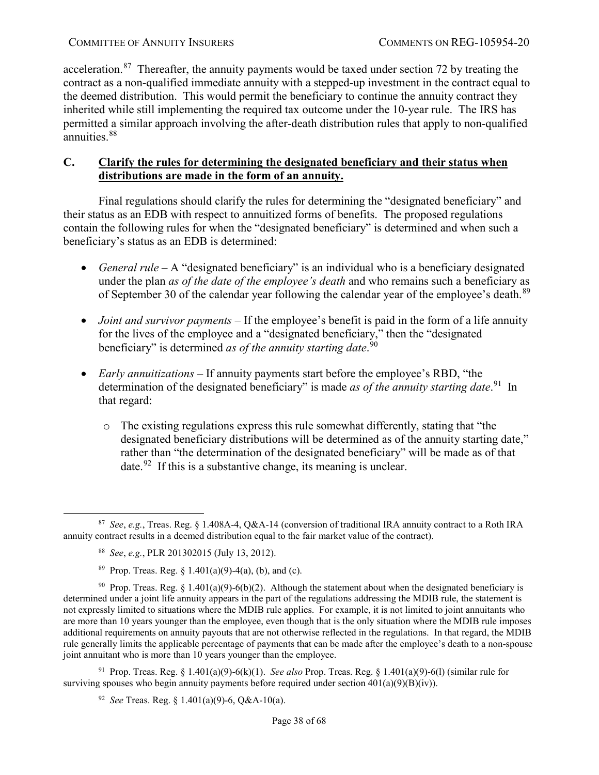acceleration.<sup>[87](#page-37-1)</sup> Thereafter, the annuity payments would be taxed under section 72 by treating the contract as a non-qualified immediate annuity with a stepped-up investment in the contract equal to the deemed distribution. This would permit the beneficiary to continue the annuity contract they inherited while still implementing the required tax outcome under the 10-year rule. The IRS has permitted a similar approach involving the after-death distribution rules that apply to non-qualified annuities.<sup>88</sup>

# <span id="page-37-0"></span>**C. Clarify the rules for determining the designated beneficiary and their status when distributions are made in the form of an annuity.**

Final regulations should clarify the rules for determining the "designated beneficiary" and their status as an EDB with respect to annuitized forms of benefits. The proposed regulations contain the following rules for when the "designated beneficiary" is determined and when such a beneficiary's status as an EDB is determined:

- *General rule* A "designated beneficiary" is an individual who is a beneficiary designated under the plan *as of the date of the employee's death* and who remains such a beneficiary as of September 30 of the calendar year following the calendar year of the employee's death.<sup>[89](#page-37-3)</sup>
- *Joint and survivor payments* If the employee's benefit is paid in the form of a life annuity for the lives of the employee and a "designated beneficiary," then the "designated beneficiary" is determined *as of the annuity starting date*. [90](#page-37-4)
- *Early annuitizations*  If annuity payments start before the employee's RBD, "the determination of the designated beneficiary" is made *as of the annuity starting date*. [91](#page-37-5) In that regard:
	- o The existing regulations express this rule somewhat differently, stating that "the designated beneficiary distributions will be determined as of the annuity starting date," rather than "the determination of the designated beneficiary" will be made as of that date.<sup>[92](#page-37-6)</sup> If this is a substantive change, its meaning is unclear.

<span id="page-37-6"></span><span id="page-37-5"></span>91 Prop. Treas. Reg. § 1.401(a)(9)-6(k)(1). *See also* Prop. Treas. Reg. § 1.401(a)(9)-6(l) (similar rule for surviving spouses who begin annuity payments before required under section  $401(a)(9)(B)(iv)$ .

92 *See* Treas. Reg. § 1.401(a)(9)-6, Q&A-10(a).

<span id="page-37-2"></span><span id="page-37-1"></span> <sup>87</sup> *See*, *e.g.*, Treas. Reg. § 1.408A-4, Q&A-14 (conversion of traditional IRA annuity contract to a Roth IRA annuity contract results in a deemed distribution equal to the fair market value of the contract).

<sup>88</sup> *See*, *e.g.*, PLR 201302015 (July 13, 2012).

<sup>&</sup>lt;sup>89</sup> Prop. Treas. Reg.  $\frac{1.401(a)(9)-4(a)}{b}$ , (b), and (c).

<span id="page-37-4"></span><span id="page-37-3"></span><sup>&</sup>lt;sup>90</sup> Prop. Treas. Reg. § 1.401(a)(9)-6(b)(2). Although the statement about when the designated beneficiary is determined under a joint life annuity appears in the part of the regulations addressing the MDIB rule, the statement is not expressly limited to situations where the MDIB rule applies. For example, it is not limited to joint annuitants who are more than 10 years younger than the employee, even though that is the only situation where the MDIB rule imposes additional requirements on annuity payouts that are not otherwise reflected in the regulations. In that regard, the MDIB rule generally limits the applicable percentage of payments that can be made after the employee's death to a non-spouse joint annuitant who is more than 10 years younger than the employee.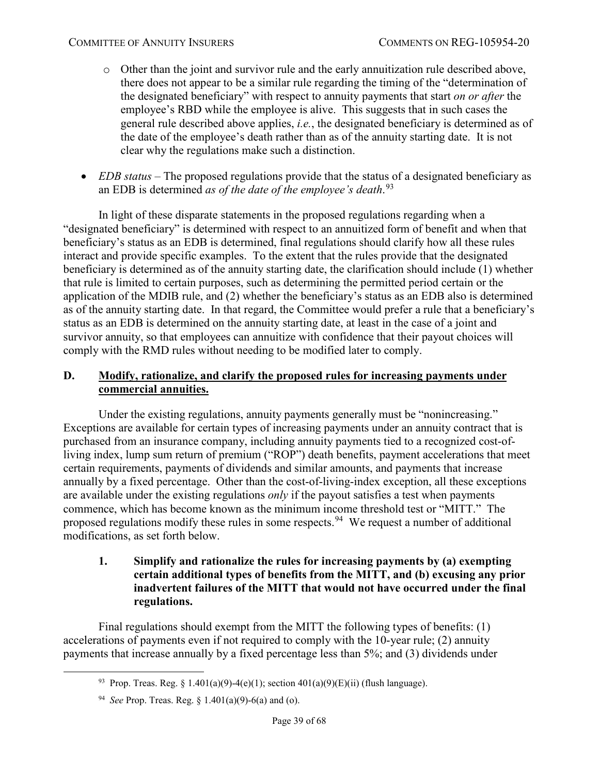- o Other than the joint and survivor rule and the early annuitization rule described above, there does not appear to be a similar rule regarding the timing of the "determination of the designated beneficiary" with respect to annuity payments that start *on or after* the employee's RBD while the employee is alive. This suggests that in such cases the general rule described above applies, *i.e.*, the designated beneficiary is determined as of the date of the employee's death rather than as of the annuity starting date. It is not clear why the regulations make such a distinction.
- *EDB status* The proposed regulations provide that the status of a designated beneficiary as an EDB is determined *as of the date of the employee's death*. [93](#page-38-2)

In light of these disparate statements in the proposed regulations regarding when a "designated beneficiary" is determined with respect to an annuitized form of benefit and when that beneficiary's status as an EDB is determined, final regulations should clarify how all these rules interact and provide specific examples. To the extent that the rules provide that the designated beneficiary is determined as of the annuity starting date, the clarification should include (1) whether that rule is limited to certain purposes, such as determining the permitted period certain or the application of the MDIB rule, and (2) whether the beneficiary's status as an EDB also is determined as of the annuity starting date. In that regard, the Committee would prefer a rule that a beneficiary's status as an EDB is determined on the annuity starting date, at least in the case of a joint and survivor annuity, so that employees can annuitize with confidence that their payout choices will comply with the RMD rules without needing to be modified later to comply.

### <span id="page-38-0"></span>**D. Modify, rationalize, and clarify the proposed rules for increasing payments under commercial annuities.**

Under the existing regulations, annuity payments generally must be "nonincreasing." Exceptions are available for certain types of increasing payments under an annuity contract that is purchased from an insurance company, including annuity payments tied to a recognized cost-ofliving index, lump sum return of premium ("ROP") death benefits, payment accelerations that meet certain requirements, payments of dividends and similar amounts, and payments that increase annually by a fixed percentage. Other than the cost-of-living-index exception, all these exceptions are available under the existing regulations *only* if the payout satisfies a test when payments commence, which has become known as the minimum income threshold test or "MITT." The proposed regulations modify these rules in some respects.<sup>94</sup> We request a number of additional modifications, as set forth below.

### <span id="page-38-1"></span>**1. Simplify and rationalize the rules for increasing payments by (a) exempting certain additional types of benefits from the MITT, and (b) excusing any prior inadvertent failures of the MITT that would not have occurred under the final regulations.**

<span id="page-38-3"></span><span id="page-38-2"></span>Final regulations should exempt from the MITT the following types of benefits: (1) accelerations of payments even if not required to comply with the 10-year rule; (2) annuity payments that increase annually by a fixed percentage less than 5%; and (3) dividends under

<sup>93</sup> Prop. Treas. Reg. § 1.401(a)(9)-4(e)(1); section  $401(a)(9)(E)(ii)$  (flush language).

<sup>94</sup> *See* Prop. Treas. Reg. § 1.401(a)(9)-6(a) and (o).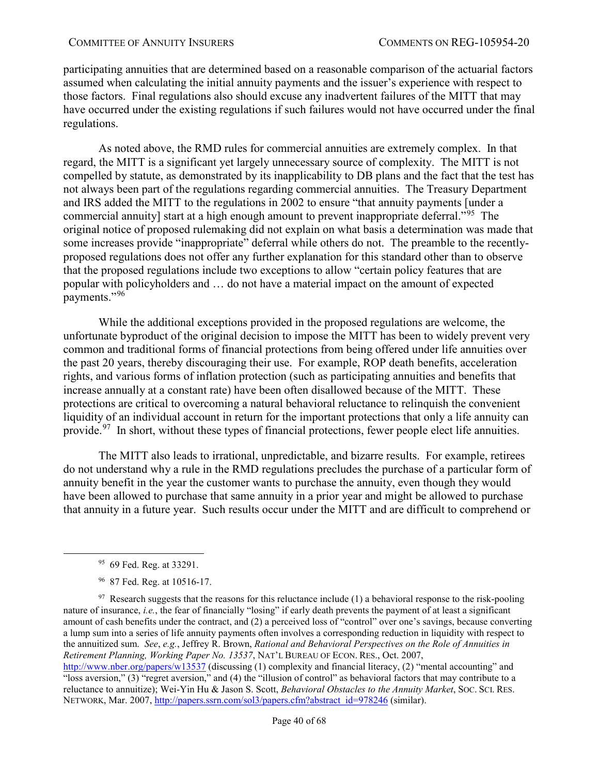participating annuities that are determined based on a reasonable comparison of the actuarial factors assumed when calculating the initial annuity payments and the issuer's experience with respect to those factors. Final regulations also should excuse any inadvertent failures of the MITT that may have occurred under the existing regulations if such failures would not have occurred under the final regulations.

As noted above, the RMD rules for commercial annuities are extremely complex. In that regard, the MITT is a significant yet largely unnecessary source of complexity. The MITT is not compelled by statute, as demonstrated by its inapplicability to DB plans and the fact that the test has not always been part of the regulations regarding commercial annuities. The Treasury Department and IRS added the MITT to the regulations in 2002 to ensure "that annuity payments [under a commercial annuity] start at a high enough amount to prevent inappropriate deferral."<sup>95</sup> The original notice of proposed rulemaking did not explain on what basis a determination was made that some increases provide "inappropriate" deferral while others do not. The preamble to the recentlyproposed regulations does not offer any further explanation for this standard other than to observe that the proposed regulations include two exceptions to allow "certain policy features that are popular with policyholders and … do not have a material impact on the amount of expected payments."[96](#page-39-1) 

While the additional exceptions provided in the proposed regulations are welcome, the unfortunate byproduct of the original decision to impose the MITT has been to widely prevent very common and traditional forms of financial protections from being offered under life annuities over the past 20 years, thereby discouraging their use. For example, ROP death benefits, acceleration rights, and various forms of inflation protection (such as participating annuities and benefits that increase annually at a constant rate) have been often disallowed because of the MITT. These protections are critical to overcoming a natural behavioral reluctance to relinquish the convenient liquidity of an individual account in return for the important protections that only a life annuity can provide.<sup>[97](#page-39-2)</sup> In short, without these types of financial protections, fewer people elect life annuities.

The MITT also leads to irrational, unpredictable, and bizarre results. For example, retirees do not understand why a rule in the RMD regulations precludes the purchase of a particular form of annuity benefit in the year the customer wants to purchase the annuity, even though they would have been allowed to purchase that same annuity in a prior year and might be allowed to purchase that annuity in a future year. Such results occur under the MITT and are difficult to comprehend or

 <sup>95 69</sup> Fed. Reg. at 33291.

<sup>96 87</sup> Fed. Reg. at 10516-17.

<span id="page-39-2"></span><span id="page-39-1"></span><span id="page-39-0"></span> $97$  Research suggests that the reasons for this reluctance include (1) a behavioral response to the risk-pooling nature of insurance, *i.e.*, the fear of financially "losing" if early death prevents the payment of at least a significant amount of cash benefits under the contract, and (2) a perceived loss of "control" over one's savings, because converting a lump sum into a series of life annuity payments often involves a corresponding reduction in liquidity with respect to the annuitized sum. *See*, *e.g.*, Jeffrey R. Brown, *Rational and Behavioral Perspectives on the Role of Annuities in Retirement Planning, Working Paper No. 13537*, NAT'L BUREAU OF ECON. RES., Oct. 2007,

<http://www.nber.org/papers/w13537> (discussing (1) complexity and financial literacy, (2) "mental accounting" and "loss aversion," (3) "regret aversion," and (4) the "illusion of control" as behavioral factors that may contribute to a reluctance to annuitize); Wei-Yin Hu & Jason S. Scott, *Behavioral Obstacles to the Annuity Market*, SOC. SCI. RES. NETWORK, Mar. 2007, [http://papers.ssrn.com/sol3/papers.cfm?abstract\\_id=978246](http://papers.ssrn.com/sol3/papers.cfm?abstract_id=978246) (similar).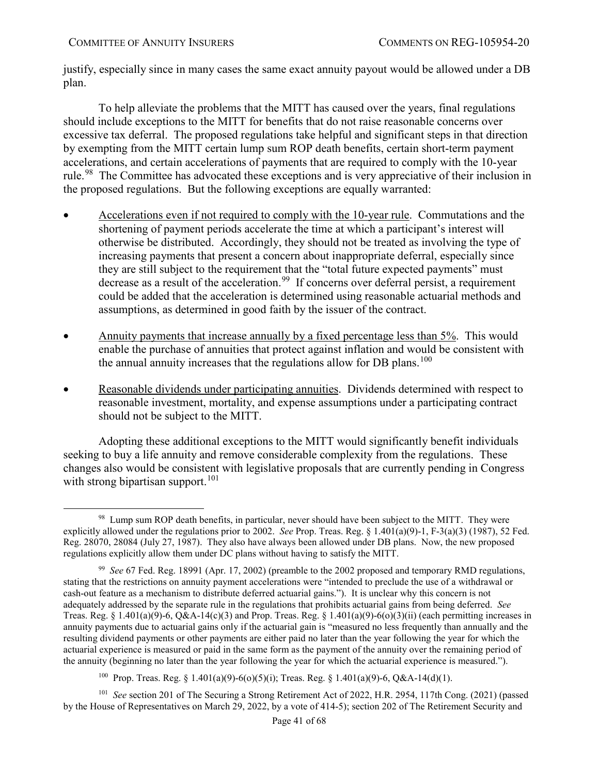justify, especially since in many cases the same exact annuity payout would be allowed under a DB plan.

To help alleviate the problems that the MITT has caused over the years, final regulations should include exceptions to the MITT for benefits that do not raise reasonable concerns over excessive tax deferral. The proposed regulations take helpful and significant steps in that direction by exempting from the MITT certain lump sum ROP death benefits, certain short-term payment accelerations, and certain accelerations of payments that are required to comply with the 10-year rule.<sup>[98](#page-40-0)</sup> The Committee has advocated these exceptions and is very appreciative of their inclusion in the proposed regulations. But the following exceptions are equally warranted:

- Accelerations even if not required to comply with the 10-year rule. Commutations and the shortening of payment periods accelerate the time at which a participant's interest will otherwise be distributed. Accordingly, they should not be treated as involving the type of increasing payments that present a concern about inappropriate deferral, especially since they are still subject to the requirement that the "total future expected payments" must decrease as a result of the acceleration.<sup>[99](#page-40-1)</sup> If concerns over deferral persist, a requirement could be added that the acceleration is determined using reasonable actuarial methods and assumptions, as determined in good faith by the issuer of the contract.
- Annuity payments that increase annually by a fixed percentage less than 5%. This would enable the purchase of annuities that protect against inflation and would be consistent with the annual annuity increases that the regulations allow for DB plans.<sup>[100](#page-40-2)</sup>
- Reasonable dividends under participating annuities. Dividends determined with respect to reasonable investment, mortality, and expense assumptions under a participating contract should not be subject to the MITT.

Adopting these additional exceptions to the MITT would significantly benefit individuals seeking to buy a life annuity and remove considerable complexity from the regulations. These changes also would be consistent with legislative proposals that are currently pending in Congress with strong bipartisan support.<sup>[101](#page-40-3)</sup>

100 Prop. Treas. Reg. § 1.401(a)(9)-6(o)(5)(i); Treas. Reg. § 1.401(a)(9)-6, Q&A-14(d)(1).

<span id="page-40-3"></span><span id="page-40-2"></span>101 *See* section 201 of The Securing a Strong Retirement Act of 2022, H.R. 2954, 117th Cong. (2021) (passed by the House of Representatives on March 29, 2022, by a vote of 414-5); section 202 of The Retirement Security and

<span id="page-40-0"></span><sup>&</sup>lt;sup>98</sup> Lump sum ROP death benefits, in particular, never should have been subject to the MITT. They were explicitly allowed under the regulations prior to 2002. *See* Prop. Treas. Reg. § 1.401(a)(9)-1, F-3(a)(3) (1987), 52 Fed. Reg. 28070, 28084 (July 27, 1987). They also have always been allowed under DB plans. Now, the new proposed regulations explicitly allow them under DC plans without having to satisfy the MITT.

<span id="page-40-1"></span><sup>99</sup> *See* 67 Fed. Reg. 18991 (Apr. 17, 2002) (preamble to the 2002 proposed and temporary RMD regulations, stating that the restrictions on annuity payment accelerations were "intended to preclude the use of a withdrawal or cash-out feature as a mechanism to distribute deferred actuarial gains."). It is unclear why this concern is not adequately addressed by the separate rule in the regulations that prohibits actuarial gains from being deferred. *See* Treas. Reg. § 1.401(a)(9)-6, Q&A-14(c)(3) and Prop. Treas. Reg. § 1.401(a)(9)-6(o)(3)(ii) (each permitting increases in annuity payments due to actuarial gains only if the actuarial gain is "measured no less frequently than annually and the resulting dividend payments or other payments are either paid no later than the year following the year for which the actuarial experience is measured or paid in the same form as the payment of the annuity over the remaining period of the annuity (beginning no later than the year following the year for which the actuarial experience is measured.").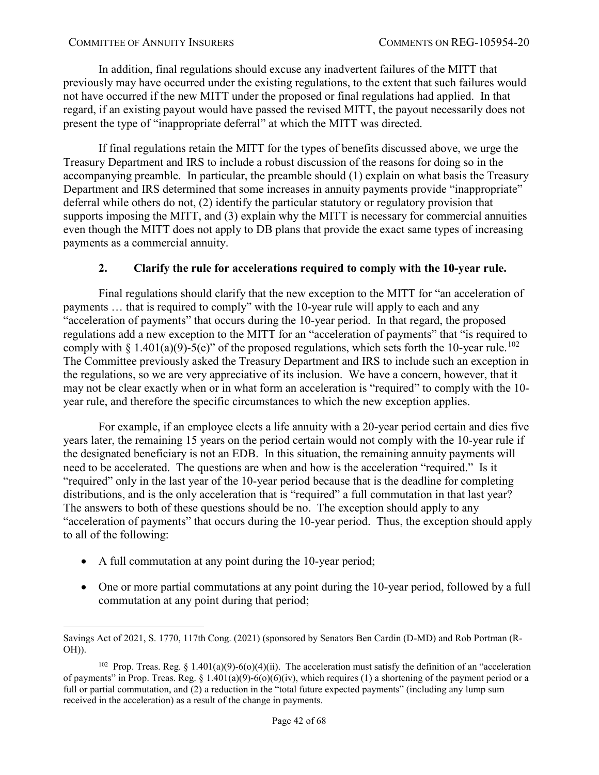In addition, final regulations should excuse any inadvertent failures of the MITT that previously may have occurred under the existing regulations, to the extent that such failures would not have occurred if the new MITT under the proposed or final regulations had applied. In that regard, if an existing payout would have passed the revised MITT, the payout necessarily does not present the type of "inappropriate deferral" at which the MITT was directed.

If final regulations retain the MITT for the types of benefits discussed above, we urge the Treasury Department and IRS to include a robust discussion of the reasons for doing so in the accompanying preamble. In particular, the preamble should (1) explain on what basis the Treasury Department and IRS determined that some increases in annuity payments provide "inappropriate" deferral while others do not, (2) identify the particular statutory or regulatory provision that supports imposing the MITT, and (3) explain why the MITT is necessary for commercial annuities even though the MITT does not apply to DB plans that provide the exact same types of increasing payments as a commercial annuity.

# **2. Clarify the rule for accelerations required to comply with the 10-year rule.**

<span id="page-41-0"></span>Final regulations should clarify that the new exception to the MITT for "an acceleration of payments … that is required to comply" with the 10-year rule will apply to each and any "acceleration of payments" that occurs during the 10-year period. In that regard, the proposed regulations add a new exception to the MITT for an "acceleration of payments" that "is required to comply with § 1.401(a)(9)-5(e)" of the proposed regulations, which sets forth the 10-year rule.<sup>[102](#page-41-1)</sup> The Committee previously asked the Treasury Department and IRS to include such an exception in the regulations, so we are very appreciative of its inclusion. We have a concern, however, that it may not be clear exactly when or in what form an acceleration is "required" to comply with the 10 year rule, and therefore the specific circumstances to which the new exception applies.

For example, if an employee elects a life annuity with a 20-year period certain and dies five years later, the remaining 15 years on the period certain would not comply with the 10-year rule if the designated beneficiary is not an EDB. In this situation, the remaining annuity payments will need to be accelerated. The questions are when and how is the acceleration "required." Is it "required" only in the last year of the 10-year period because that is the deadline for completing distributions, and is the only acceleration that is "required" a full commutation in that last year? The answers to both of these questions should be no. The exception should apply to any "acceleration of payments" that occurs during the 10-year period. Thus, the exception should apply to all of the following:

- A full commutation at any point during the 10-year period;
- One or more partial commutations at any point during the 10-year period, followed by a full commutation at any point during that period;

 $\overline{a}$ Savings Act of 2021, S. 1770, 117th Cong. (2021) (sponsored by Senators Ben Cardin (D-MD) and Rob Portman (R-OH)).

<span id="page-41-1"></span><sup>&</sup>lt;sup>102</sup> Prop. Treas. Reg. § 1.401(a)(9)-6(o)(4)(ii). The acceleration must satisfy the definition of an "acceleration" of payments" in Prop. Treas. Reg. §  $1.401(a)(9) - 6(0)(6)(iv)$ , which requires (1) a shortening of the payment period or a full or partial commutation, and (2) a reduction in the "total future expected payments" (including any lump sum received in the acceleration) as a result of the change in payments.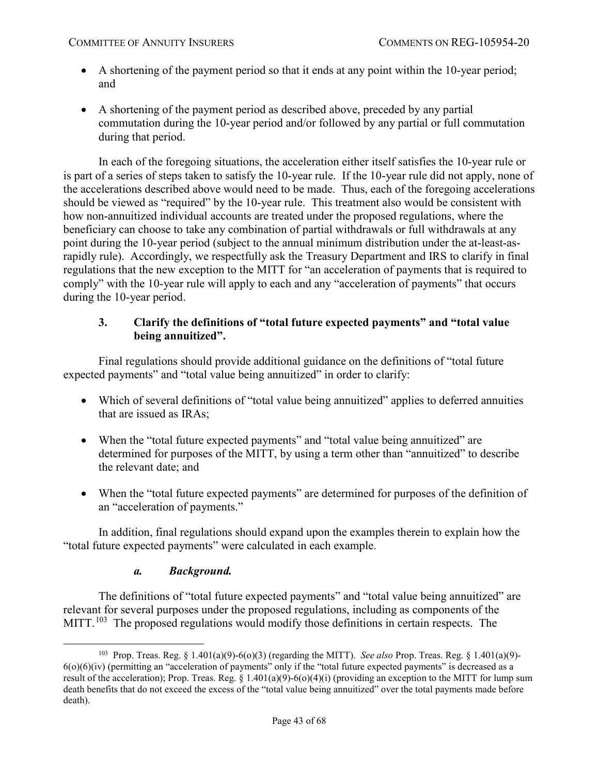- A shortening of the payment period so that it ends at any point within the 10-year period; and
- A shortening of the payment period as described above, preceded by any partial commutation during the 10-year period and/or followed by any partial or full commutation during that period.

In each of the foregoing situations, the acceleration either itself satisfies the 10-year rule or is part of a series of steps taken to satisfy the 10-year rule. If the 10-year rule did not apply, none of the accelerations described above would need to be made. Thus, each of the foregoing accelerations should be viewed as "required" by the 10-year rule. This treatment also would be consistent with how non-annuitized individual accounts are treated under the proposed regulations, where the beneficiary can choose to take any combination of partial withdrawals or full withdrawals at any point during the 10-year period (subject to the annual minimum distribution under the at-least-asrapidly rule). Accordingly, we respectfully ask the Treasury Department and IRS to clarify in final regulations that the new exception to the MITT for "an acceleration of payments that is required to comply" with the 10-year rule will apply to each and any "acceleration of payments" that occurs during the 10-year period.

# <span id="page-42-0"></span>**3. Clarify the definitions of "total future expected payments" and "total value being annuitized".**

Final regulations should provide additional guidance on the definitions of "total future expected payments" and "total value being annuitized" in order to clarify:

- Which of several definitions of "total value being annuitized" applies to deferred annuities that are issued as IRAs;
- When the "total future expected payments" and "total value being annuitized" are determined for purposes of the MITT, by using a term other than "annuitized" to describe the relevant date; and
- When the "total future expected payments" are determined for purposes of the definition of an "acceleration of payments."

In addition, final regulations should expand upon the examples therein to explain how the "total future expected payments" were calculated in each example.

# *a. Background.*

<span id="page-42-1"></span>The definitions of "total future expected payments" and "total value being annuitized" are relevant for several purposes under the proposed regulations, including as components of the MITT.<sup>103</sup> The proposed regulations would modify those definitions in certain respects. The

<span id="page-42-2"></span> <sup>103</sup> Prop. Treas. Reg. § 1.401(a)(9)-6(o)(3) (regarding the MITT). *See also* Prop. Treas. Reg. § 1.401(a)(9)-  $6(0)(6)(iv)$  (permitting an "acceleration of payments" only if the "total future expected payments" is decreased as a result of the acceleration); Prop. Treas. Reg. § 1.401(a)(9)-6(o)(4)(i) (providing an exception to the MITT for lump sum death benefits that do not exceed the excess of the "total value being annuitized" over the total payments made before death).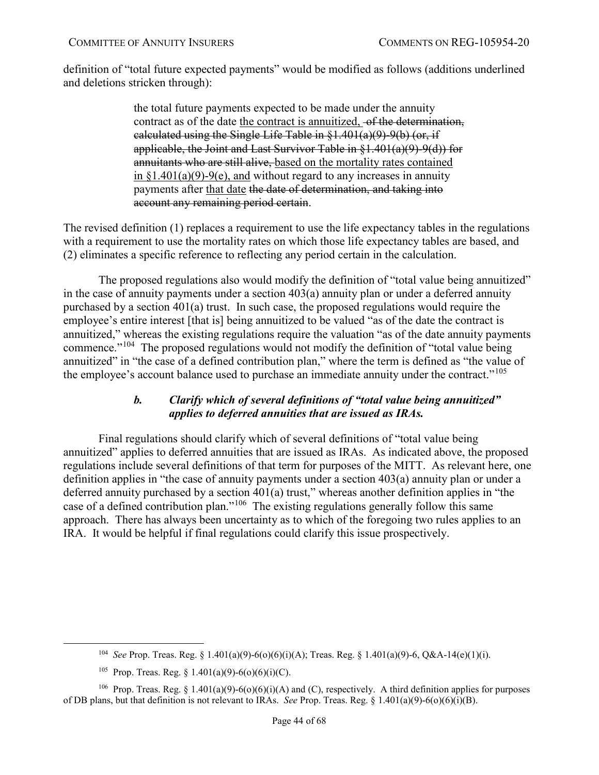definition of "total future expected payments" would be modified as follows (additions underlined and deletions stricken through):

> the total future payments expected to be made under the annuity contract as of the date the contract is annuitized, of the determination, calculated using the Single Life Table in §1.401(a)(9)-9(b) (or, if applicable, the Joint and Last Survivor Table in §1.401(a)(9)-9(d)) for annuitants who are still alive, based on the mortality rates contained in  $\S1.401(a)(9) - 9(e)$ , and without regard to any increases in annuity payments after that date the date of determination, and taking into account any remaining period certain.

The revised definition (1) replaces a requirement to use the life expectancy tables in the regulations with a requirement to use the mortality rates on which those life expectancy tables are based, and (2) eliminates a specific reference to reflecting any period certain in the calculation.

The proposed regulations also would modify the definition of "total value being annuitized" in the case of annuity payments under a section 403(a) annuity plan or under a deferred annuity purchased by a section 401(a) trust. In such case, the proposed regulations would require the employee's entire interest [that is] being annuitized to be valued "as of the date the contract is annuitized," whereas the existing regulations require the valuation "as of the date annuity payments commence."<sup>104</sup> The proposed regulations would not modify the definition of "total value being" annuitized" in "the case of a defined contribution plan," where the term is defined as "the value of the employee's account balance used to purchase an immediate annuity under the contract."<sup>[105](#page-43-2)</sup>

# *b. Clarify which of several definitions of "total value being annuitized" applies to deferred annuities that are issued as IRAs.*

<span id="page-43-0"></span>Final regulations should clarify which of several definitions of "total value being annuitized" applies to deferred annuities that are issued as IRAs. As indicated above, the proposed regulations include several definitions of that term for purposes of the MITT. As relevant here, one definition applies in "the case of annuity payments under a section 403(a) annuity plan or under a deferred annuity purchased by a section 401(a) trust," whereas another definition applies in "the case of a defined contribution plan."[106](#page-43-3) The existing regulations generally follow this same approach. There has always been uncertainty as to which of the foregoing two rules applies to an IRA. It would be helpful if final regulations could clarify this issue prospectively.

 <sup>104</sup> *See* Prop. Treas. Reg. § 1.401(a)(9)-6(o)(6)(i)(A); Treas. Reg. § 1.401(a)(9)-6, Q&A-14(e)(1)(i).

<sup>&</sup>lt;sup>105</sup> Prop. Treas. Reg. § 1.401(a)(9)-6(o)(6)(i)(C).

<span id="page-43-3"></span><span id="page-43-2"></span><span id="page-43-1"></span><sup>&</sup>lt;sup>106</sup> Prop. Treas. Reg. § 1.401(a)(9)-6(o)(6)(i)(A) and (C), respectively. A third definition applies for purposes of DB plans, but that definition is not relevant to IRAs. *See* Prop. Treas. Reg. § 1.401(a)(9)-6(o)(6)(i)(B).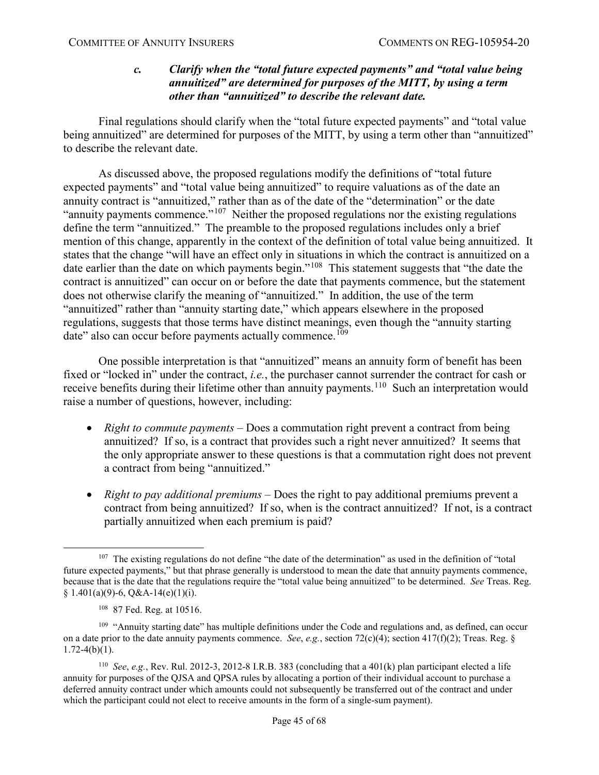#### *c. Clarify when the "total future expected payments" and "total value being annuitized" are determined for purposes of the MITT, by using a term other than "annuitized" to describe the relevant date.*

<span id="page-44-0"></span>Final regulations should clarify when the "total future expected payments" and "total value being annuitized" are determined for purposes of the MITT, by using a term other than "annuitized" to describe the relevant date.

As discussed above, the proposed regulations modify the definitions of "total future expected payments" and "total value being annuitized" to require valuations as of the date an annuity contract is "annuitized," rather than as of the date of the "determination" or the date "annuity payments commence."<sup>[107](#page-44-1)</sup> Neither the proposed regulations nor the existing regulations define the term "annuitized." The preamble to the proposed regulations includes only a brief mention of this change, apparently in the context of the definition of total value being annuitized. It states that the change "will have an effect only in situations in which the contract is annuitized on a date earlier than the date on which payments begin."<sup>108</sup> This statement suggests that "the date the contract is annuitized" can occur on or before the date that payments commence, but the statement does not otherwise clarify the meaning of "annuitized." In addition, the use of the term "annuitized" rather than "annuity starting date," which appears elsewhere in the proposed regulations, suggests that those terms have distinct meanings, even though the "annuity starting date" also can occur before payments actually commence.<sup>[109](#page-44-3)</sup>

One possible interpretation is that "annuitized" means an annuity form of benefit has been fixed or "locked in" under the contract, *i.e.*, the purchaser cannot surrender the contract for cash or receive benefits during their lifetime other than annuity payments.<sup>[110](#page-44-4)</sup> Such an interpretation would raise a number of questions, however, including:

- *Right to commute payments* Does a commutation right prevent a contract from being annuitized? If so, is a contract that provides such a right never annuitized? It seems that the only appropriate answer to these questions is that a commutation right does not prevent a contract from being "annuitized."
- *Right to pay additional premiums* Does the right to pay additional premiums prevent a contract from being annuitized? If so, when is the contract annuitized? If not, is a contract partially annuitized when each premium is paid?

<span id="page-44-1"></span><sup>&</sup>lt;sup>107</sup> The existing regulations do not define "the date of the determination" as used in the definition of "total future expected payments," but that phrase generally is understood to mean the date that annuity payments commence, because that is the date that the regulations require the "total value being annuitized" to be determined. *See* Treas. Reg. § 1.401(a)(9)-6, Q&A-14(e)(1)(i).

<sup>108 87</sup> Fed. Reg. at 10516.

<span id="page-44-3"></span><span id="page-44-2"></span><sup>&</sup>lt;sup>109</sup> "Annuity starting date" has multiple definitions under the Code and regulations and, as defined, can occur on a date prior to the date annuity payments commence. *See*, *e.g.*, section 72(c)(4); section 417(f)(2); Treas. Reg. §  $1.72-4(b)(1)$ .

<span id="page-44-4"></span><sup>110</sup> *See*, *e.g.*, Rev. Rul. 2012-3, 2012-8 I.R.B. 383 (concluding that a 401(k) plan participant elected a life annuity for purposes of the QJSA and QPSA rules by allocating a portion of their individual account to purchase a deferred annuity contract under which amounts could not subsequently be transferred out of the contract and under which the participant could not elect to receive amounts in the form of a single-sum payment).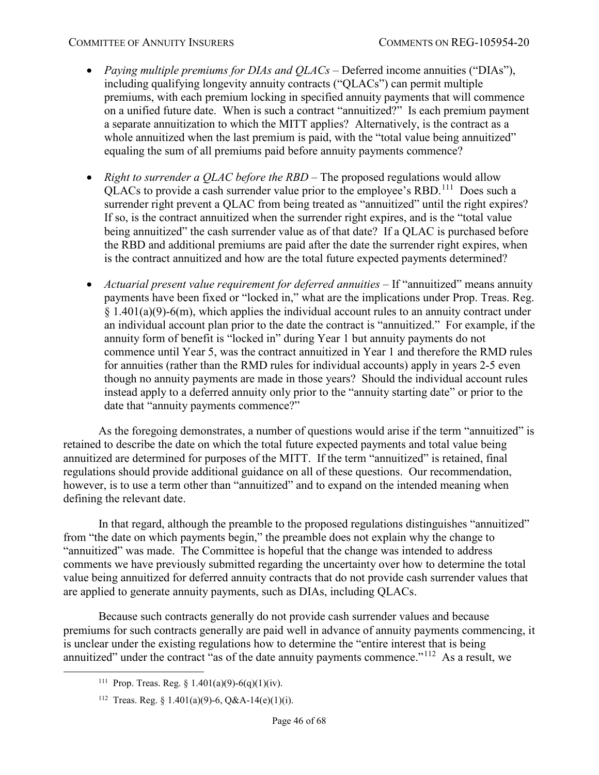- *Paying multiple premiums for DIAs and QLACs* Deferred income annuities ("DIAs"), including qualifying longevity annuity contracts ("QLACs") can permit multiple premiums, with each premium locking in specified annuity payments that will commence on a unified future date. When is such a contract "annuitized?" Is each premium payment a separate annuitization to which the MITT applies? Alternatively, is the contract as a whole annuitized when the last premium is paid, with the "total value being annuitized" equaling the sum of all premiums paid before annuity payments commence?
- *Right to surrender a QLAC before the RBD* The proposed regulations would allow QLACs to provide a cash surrender value prior to the employee's RBD.[111](#page-45-0) Does such a surrender right prevent a QLAC from being treated as "annuitized" until the right expires? If so, is the contract annuitized when the surrender right expires, and is the "total value being annuitized" the cash surrender value as of that date? If a QLAC is purchased before the RBD and additional premiums are paid after the date the surrender right expires, when is the contract annuitized and how are the total future expected payments determined?
- *Actuarial present value requirement for deferred annuities* If "annuitized" means annuity payments have been fixed or "locked in," what are the implications under Prop. Treas. Reg.  $§ 1.401(a)(9)-6(m)$ , which applies the individual account rules to an annuity contract under an individual account plan prior to the date the contract is "annuitized." For example, if the annuity form of benefit is "locked in" during Year 1 but annuity payments do not commence until Year 5, was the contract annuitized in Year 1 and therefore the RMD rules for annuities (rather than the RMD rules for individual accounts) apply in years 2-5 even though no annuity payments are made in those years? Should the individual account rules instead apply to a deferred annuity only prior to the "annuity starting date" or prior to the date that "annuity payments commence?"

As the foregoing demonstrates, a number of questions would arise if the term "annuitized" is retained to describe the date on which the total future expected payments and total value being annuitized are determined for purposes of the MITT. If the term "annuitized" is retained, final regulations should provide additional guidance on all of these questions. Our recommendation, however, is to use a term other than "annuitized" and to expand on the intended meaning when defining the relevant date.

In that regard, although the preamble to the proposed regulations distinguishes "annuitized" from "the date on which payments begin," the preamble does not explain why the change to "annuitized" was made. The Committee is hopeful that the change was intended to address comments we have previously submitted regarding the uncertainty over how to determine the total value being annuitized for deferred annuity contracts that do not provide cash surrender values that are applied to generate annuity payments, such as DIAs, including QLACs.

<span id="page-45-0"></span>Because such contracts generally do not provide cash surrender values and because premiums for such contracts generally are paid well in advance of annuity payments commencing, it is unclear under the existing regulations how to determine the "entire interest that is being annuitized" under the contract "as of the date annuity payments commence."<sup>112</sup> As a result, we

<sup>&</sup>lt;sup>111</sup> Prop. Treas. Reg.  $\frac{1.401(a)(9)-6(a)(1)(iv)}{i}$ .

<span id="page-45-1"></span><sup>&</sup>lt;sup>112</sup> Treas. Reg. § 1.401(a)(9)-6, Q&A-14(e)(1)(i).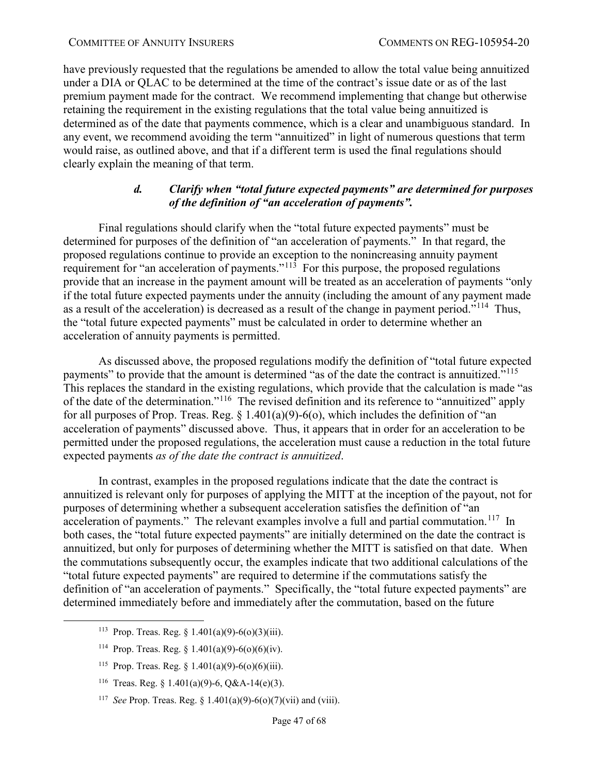have previously requested that the regulations be amended to allow the total value being annuitized under a DIA or QLAC to be determined at the time of the contract's issue date or as of the last premium payment made for the contract. We recommend implementing that change but otherwise retaining the requirement in the existing regulations that the total value being annuitized is determined as of the date that payments commence, which is a clear and unambiguous standard. In any event, we recommend avoiding the term "annuitized" in light of numerous questions that term would raise, as outlined above, and that if a different term is used the final regulations should clearly explain the meaning of that term.

### *d. Clarify when "total future expected payments" are determined for purposes of the definition of "an acceleration of payments".*

<span id="page-46-0"></span>Final regulations should clarify when the "total future expected payments" must be determined for purposes of the definition of "an acceleration of payments." In that regard, the proposed regulations continue to provide an exception to the nonincreasing annuity payment requirement for "an acceleration of payments." $11\frac{3}{10}$  For this purpose, the proposed regulations provide that an increase in the payment amount will be treated as an acceleration of payments "only if the total future expected payments under the annuity (including the amount of any payment made as a result of the acceleration) is decreased as a result of the change in payment period."<sup>114</sup> Thus, the "total future expected payments" must be calculated in order to determine whether an acceleration of annuity payments is permitted.

As discussed above, the proposed regulations modify the definition of "total future expected payments" to provide that the amount is determined "as of the date the contract is annuitized."<sup>[115](#page-46-3)</sup> This replaces the standard in the existing regulations, which provide that the calculation is made "as of the date of the determination."[116](#page-46-4) The revised definition and its reference to "annuitized" apply for all purposes of Prop. Treas. Reg.  $\S 1.401(a)(9) - 6(a)$ , which includes the definition of "an acceleration of payments" discussed above. Thus, it appears that in order for an acceleration to be permitted under the proposed regulations, the acceleration must cause a reduction in the total future expected payments *as of the date the contract is annuitized*.

In contrast, examples in the proposed regulations indicate that the date the contract is annuitized is relevant only for purposes of applying the MITT at the inception of the payout, not for purposes of determining whether a subsequent acceleration satisfies the definition of "an acceleration of payments." The relevant examples involve a full and partial commutation.<sup>117</sup> In both cases, the "total future expected payments" are initially determined on the date the contract is annuitized, but only for purposes of determining whether the MITT is satisfied on that date. When the commutations subsequently occur, the examples indicate that two additional calculations of the "total future expected payments" are required to determine if the commutations satisfy the definition of "an acceleration of payments." Specifically, the "total future expected payments" are determined immediately before and immediately after the commutation, based on the future

- <span id="page-46-1"></span><sup>113</sup> Prop. Treas. Reg.  $\frac{1401(a)(9)-6(b)(3)(iii)}{3}$ .
- <span id="page-46-2"></span><sup>114</sup> Prop. Treas. Reg. § 1.401(a)(9)-6(o)(6)(iv).
- <span id="page-46-3"></span><sup>115</sup> Prop. Treas. Reg. § 1.401(a)(9)-6(o)(6)(iii).
- <span id="page-46-4"></span><sup>116</sup> Treas. Reg. § 1.401(a)(9)-6, O&A-14(e)(3).
- <span id="page-46-5"></span>117 *See* Prop. Treas. Reg. § 1.401(a)(9)-6(o)(7)(vii) and (viii).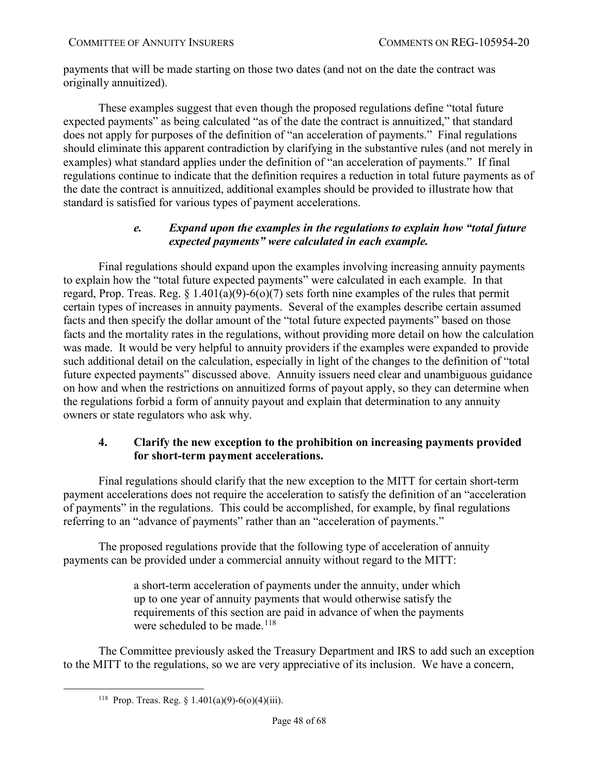payments that will be made starting on those two dates (and not on the date the contract was originally annuitized).

These examples suggest that even though the proposed regulations define "total future expected payments" as being calculated "as of the date the contract is annuitized," that standard does not apply for purposes of the definition of "an acceleration of payments." Final regulations should eliminate this apparent contradiction by clarifying in the substantive rules (and not merely in examples) what standard applies under the definition of "an acceleration of payments." If final regulations continue to indicate that the definition requires a reduction in total future payments as of the date the contract is annuitized, additional examples should be provided to illustrate how that standard is satisfied for various types of payment accelerations.

# *e. Expand upon the examples in the regulations to explain how "total future expected payments" were calculated in each example.*

<span id="page-47-0"></span>Final regulations should expand upon the examples involving increasing annuity payments to explain how the "total future expected payments" were calculated in each example. In that regard, Prop. Treas. Reg.  $\S 1.401(a)(9) - 6(0)(7)$  sets forth nine examples of the rules that permit certain types of increases in annuity payments. Several of the examples describe certain assumed facts and then specify the dollar amount of the "total future expected payments" based on those facts and the mortality rates in the regulations, without providing more detail on how the calculation was made. It would be very helpful to annuity providers if the examples were expanded to provide such additional detail on the calculation, especially in light of the changes to the definition of "total future expected payments" discussed above. Annuity issuers need clear and unambiguous guidance on how and when the restrictions on annuitized forms of payout apply, so they can determine when the regulations forbid a form of annuity payout and explain that determination to any annuity owners or state regulators who ask why.

# <span id="page-47-1"></span>**4. Clarify the new exception to the prohibition on increasing payments provided for short-term payment accelerations.**

Final regulations should clarify that the new exception to the MITT for certain short-term payment accelerations does not require the acceleration to satisfy the definition of an "acceleration of payments" in the regulations. This could be accomplished, for example, by final regulations referring to an "advance of payments" rather than an "acceleration of payments."

The proposed regulations provide that the following type of acceleration of annuity payments can be provided under a commercial annuity without regard to the MITT:

> a short-term acceleration of payments under the annuity, under which up to one year of annuity payments that would otherwise satisfy the requirements of this section are paid in advance of when the payments were scheduled to be made.<sup>[118](#page-47-2)</sup>

<span id="page-47-2"></span>The Committee previously asked the Treasury Department and IRS to add such an exception to the MITT to the regulations, so we are very appreciative of its inclusion. We have a concern,

<sup>&</sup>lt;sup>118</sup> Prop. Treas. Reg. § 1.401(a)(9)-6(o)(4)(iii).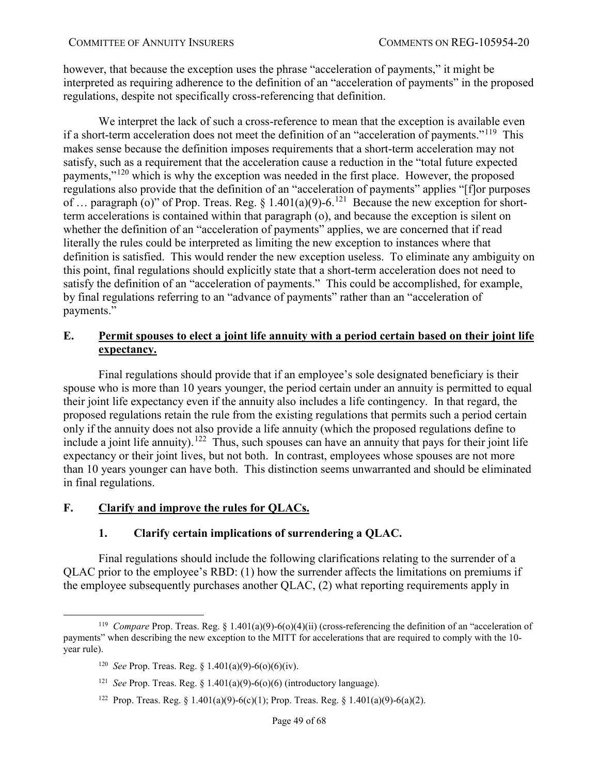however, that because the exception uses the phrase "acceleration of payments," it might be interpreted as requiring adherence to the definition of an "acceleration of payments" in the proposed regulations, despite not specifically cross-referencing that definition.

We interpret the lack of such a cross-reference to mean that the exception is available even if a short-term acceleration does not meet the definition of an "acceleration of payments."<sup>119</sup> This makes sense because the definition imposes requirements that a short-term acceleration may not satisfy, such as a requirement that the acceleration cause a reduction in the "total future expected payments,"[120](#page-48-4) which is why the exception was needed in the first place. However, the proposed regulations also provide that the definition of an "acceleration of payments" applies "[f]or purposes of … paragraph (o)" of Prop. Treas. Reg. § 1.401(a)(9)-6.[121](#page-48-5) Because the new exception for shortterm accelerations is contained within that paragraph (o), and because the exception is silent on whether the definition of an "acceleration of payments" applies, we are concerned that if read literally the rules could be interpreted as limiting the new exception to instances where that definition is satisfied. This would render the new exception useless. To eliminate any ambiguity on this point, final regulations should explicitly state that a short-term acceleration does not need to satisfy the definition of an "acceleration of payments." This could be accomplished, for example, by final regulations referring to an "advance of payments" rather than an "acceleration of payments."

# <span id="page-48-0"></span>**E. Permit spouses to elect a joint life annuity with a period certain based on their joint life expectancy.**

Final regulations should provide that if an employee's sole designated beneficiary is their spouse who is more than 10 years younger, the period certain under an annuity is permitted to equal their joint life expectancy even if the annuity also includes a life contingency. In that regard, the proposed regulations retain the rule from the existing regulations that permits such a period certain only if the annuity does not also provide a life annuity (which the proposed regulations define to include a joint life annuity).<sup>[122](#page-48-6)</sup> Thus, such spouses can have an annuity that pays for their joint life expectancy or their joint lives, but not both. In contrast, employees whose spouses are not more than 10 years younger can have both. This distinction seems unwarranted and should be eliminated in final regulations.

# <span id="page-48-2"></span><span id="page-48-1"></span>**F. Clarify and improve the rules for QLACs.**

# **1. Clarify certain implications of surrendering a QLAC.**

Final regulations should include the following clarifications relating to the surrender of a QLAC prior to the employee's RBD: (1) how the surrender affects the limitations on premiums if the employee subsequently purchases another QLAC, (2) what reporting requirements apply in

<sup>122</sup> Prop. Treas. Reg. § 1.401(a)(9)-6(c)(1); Prop. Treas. Reg. § 1.401(a)(9)-6(a)(2).

<span id="page-48-6"></span><span id="page-48-5"></span><span id="page-48-4"></span><span id="page-48-3"></span> <sup>119</sup> *Compare* Prop. Treas. Reg. § 1.401(a)(9)-6(o)(4)(ii) (cross-referencing the definition of an "acceleration of payments" when describing the new exception to the MITT for accelerations that are required to comply with the 10 year rule).

<sup>&</sup>lt;sup>120</sup> *See* Prop. Treas. Reg. § 1.401(a)(9)-6(o)(6)(iv).

<sup>121</sup> *See* Prop. Treas. Reg. § 1.401(a)(9)-6(o)(6) (introductory language).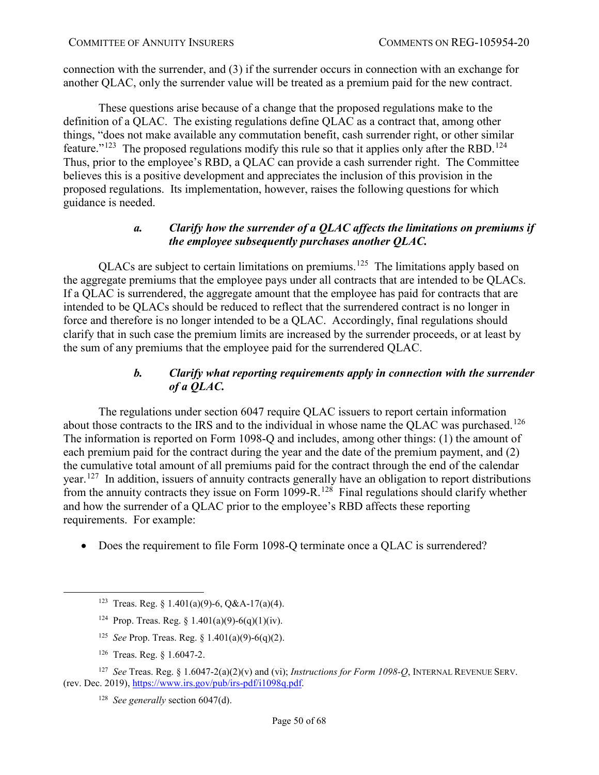connection with the surrender, and (3) if the surrender occurs in connection with an exchange for another QLAC, only the surrender value will be treated as a premium paid for the new contract.

These questions arise because of a change that the proposed regulations make to the definition of a QLAC. The existing regulations define QLAC as a contract that, among other things, "does not make available any commutation benefit, cash surrender right, or other similar feature."<sup>[123](#page-49-2)</sup> The proposed regulations modify this rule so that it applies only after the RBD.<sup>124</sup> Thus, prior to the employee's RBD, a QLAC can provide a cash surrender right. The Committee believes this is a positive development and appreciates the inclusion of this provision in the proposed regulations. Its implementation, however, raises the following questions for which guidance is needed.

# *a. Clarify how the surrender of a QLAC affects the limitations on premiums if the employee subsequently purchases another QLAC.*

<span id="page-49-0"></span>QLACs are subject to certain limitations on premiums.[125](#page-49-4) The limitations apply based on the aggregate premiums that the employee pays under all contracts that are intended to be QLACs. If a QLAC is surrendered, the aggregate amount that the employee has paid for contracts that are intended to be QLACs should be reduced to reflect that the surrendered contract is no longer in force and therefore is no longer intended to be a QLAC. Accordingly, final regulations should clarify that in such case the premium limits are increased by the surrender proceeds, or at least by the sum of any premiums that the employee paid for the surrendered QLAC.

# *b. Clarify what reporting requirements apply in connection with the surrender of a QLAC.*

<span id="page-49-1"></span>The regulations under section 6047 require QLAC issuers to report certain information about those contracts to the IRS and to the individual in whose name the QLAC was purchased.<sup>[126](#page-49-5)</sup> The information is reported on Form 1098-Q and includes, among other things: (1) the amount of each premium paid for the contract during the year and the date of the premium payment, and (2) the cumulative total amount of all premiums paid for the contract through the end of the calendar year.[127](#page-49-6) In addition, issuers of annuity contracts generally have an obligation to report distributions from the annuity contracts they issue on Form  $1099 - R$ .<sup>128</sup> Final regulations should clarify whether and how the surrender of a QLAC prior to the employee's RBD affects these reporting requirements. For example:

• Does the requirement to file Form 1098-Q terminate once a QLAC is surrendered?

- 125 *See* Prop. Treas. Reg. § 1.401(a)(9)-6(q)(2).
- 126 Treas. Reg. § 1.6047-2.

<span id="page-49-7"></span><span id="page-49-6"></span><span id="page-49-5"></span><span id="page-49-4"></span><span id="page-49-3"></span><span id="page-49-2"></span>127 *See* Treas. Reg. § 1.6047-2(a)(2)(v) and (vi); *Instructions for Form 1098-Q*, INTERNAL REVENUE SERV. (rev. Dec. 2019), [https://www.irs.gov/pub/irs-pdf/i1098q.pdf.](https://www.irs.gov/pub/irs-pdf/i1098q.pdf)

128 *See generally* section 6047(d).

<sup>&</sup>lt;sup>123</sup> Treas. Reg. § 1.401(a)(9)-6, Q&A-17(a)(4).

<sup>&</sup>lt;sup>124</sup> Prop. Treas. Reg.  $\frac{1.401(a)(9) - 6(a)(1)(iv)}{i}$ .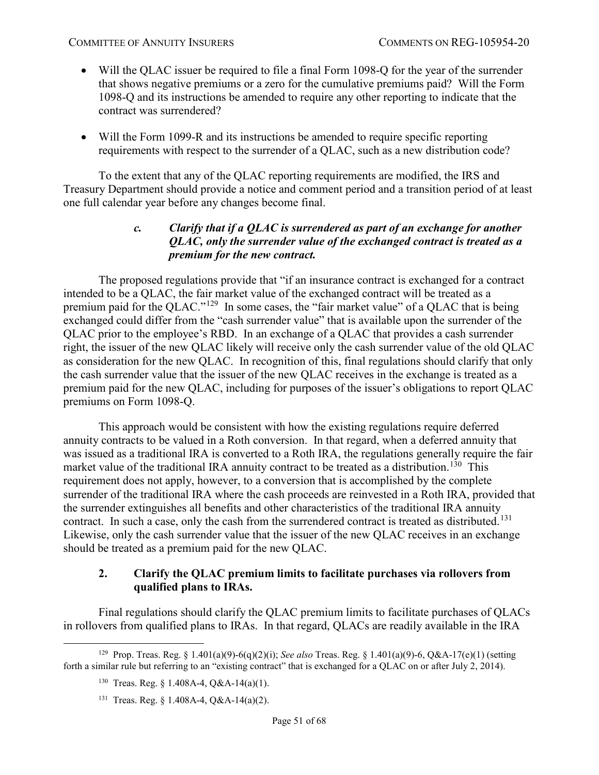- Will the QLAC issuer be required to file a final Form 1098-Q for the year of the surrender that shows negative premiums or a zero for the cumulative premiums paid? Will the Form 1098-Q and its instructions be amended to require any other reporting to indicate that the contract was surrendered?
- Will the Form 1099-R and its instructions be amended to require specific reporting requirements with respect to the surrender of a QLAC, such as a new distribution code?

<span id="page-50-0"></span>To the extent that any of the QLAC reporting requirements are modified, the IRS and Treasury Department should provide a notice and comment period and a transition period of at least one full calendar year before any changes become final.

# *c. Clarify that if a QLAC is surrendered as part of an exchange for another QLAC, only the surrender value of the exchanged contract is treated as a premium for the new contract.*

The proposed regulations provide that "if an insurance contract is exchanged for a contract intended to be a QLAC, the fair market value of the exchanged contract will be treated as a premium paid for the QLAC."<sup>[129](#page-50-2)</sup> In some cases, the "fair market value" of a QLAC that is being exchanged could differ from the "cash surrender value" that is available upon the surrender of the QLAC prior to the employee's RBD. In an exchange of a QLAC that provides a cash surrender right, the issuer of the new QLAC likely will receive only the cash surrender value of the old QLAC as consideration for the new QLAC. In recognition of this, final regulations should clarify that only the cash surrender value that the issuer of the new QLAC receives in the exchange is treated as a premium paid for the new QLAC, including for purposes of the issuer's obligations to report QLAC premiums on Form 1098-Q.

This approach would be consistent with how the existing regulations require deferred annuity contracts to be valued in a Roth conversion. In that regard, when a deferred annuity that was issued as a traditional IRA is converted to a Roth IRA, the regulations generally require the fair market value of the traditional IRA annuity contract to be treated as a distribution.<sup>[130](#page-50-3)</sup> This requirement does not apply, however, to a conversion that is accomplished by the complete surrender of the traditional IRA where the cash proceeds are reinvested in a Roth IRA, provided that the surrender extinguishes all benefits and other characteristics of the traditional IRA annuity contract. In such a case, only the cash from the surrendered contract is treated as distributed.<sup>131</sup> Likewise, only the cash surrender value that the issuer of the new QLAC receives in an exchange should be treated as a premium paid for the new QLAC.

# <span id="page-50-1"></span>**2. Clarify the QLAC premium limits to facilitate purchases via rollovers from qualified plans to IRAs.**

Final regulations should clarify the QLAC premium limits to facilitate purchases of QLACs in rollovers from qualified plans to IRAs. In that regard, QLACs are readily available in the IRA

<span id="page-50-4"></span><span id="page-50-3"></span><span id="page-50-2"></span> <sup>129</sup> Prop. Treas. Reg. § 1.401(a)(9)-6(q)(2)(i); *See also* Treas. Reg. § 1.401(a)(9)-6, Q&A-17(e)(1) (setting forth a similar rule but referring to an "existing contract" that is exchanged for a QLAC on or after July 2, 2014).

<sup>&</sup>lt;sup>130</sup> Treas. Reg. § 1.408A-4, O&A-14(a)(1).

<sup>131</sup> Treas. Reg. § 1.408A-4, Q&A-14(a)(2).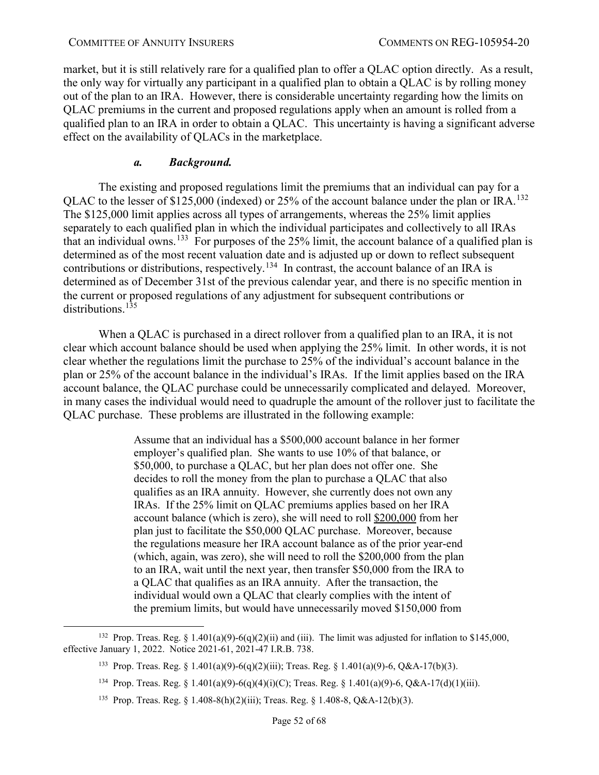market, but it is still relatively rare for a qualified plan to offer a QLAC option directly. As a result, the only way for virtually any participant in a qualified plan to obtain a QLAC is by rolling money out of the plan to an IRA. However, there is considerable uncertainty regarding how the limits on QLAC premiums in the current and proposed regulations apply when an amount is rolled from a qualified plan to an IRA in order to obtain a QLAC. This uncertainty is having a significant adverse effect on the availability of QLACs in the marketplace.

# *a. Background.*

The existing and proposed regulations limit the premiums that an individual can pay for a QLAC to the lesser of \$125,000 (indexed) or 25% of the account balance under the plan or IRA.<sup>[132](#page-51-0)</sup> The \$125,000 limit applies across all types of arrangements, whereas the 25% limit applies separately to each qualified plan in which the individual participates and collectively to all IRAs that an individual owns.<sup>133</sup> For purposes of the 25% limit, the account balance of a qualified plan is determined as of the most recent valuation date and is adjusted up or down to reflect subsequent contributions or distributions, respectively.<sup>134</sup> In contrast, the account balance of an IRA is determined as of December 31st of the previous calendar year, and there is no specific mention in the current or proposed regulations of any adjustment for subsequent contributions or distributions.<sup>[135](#page-51-3)</sup>

When a QLAC is purchased in a direct rollover from a qualified plan to an IRA, it is not clear which account balance should be used when applying the 25% limit. In other words, it is not clear whether the regulations limit the purchase to 25% of the individual's account balance in the plan or 25% of the account balance in the individual's IRAs. If the limit applies based on the IRA account balance, the QLAC purchase could be unnecessarily complicated and delayed. Moreover, in many cases the individual would need to quadruple the amount of the rollover just to facilitate the QLAC purchase. These problems are illustrated in the following example:

> Assume that an individual has a \$500,000 account balance in her former employer's qualified plan. She wants to use 10% of that balance, or \$50,000, to purchase a QLAC, but her plan does not offer one. She decides to roll the money from the plan to purchase a QLAC that also qualifies as an IRA annuity. However, she currently does not own any IRAs. If the 25% limit on QLAC premiums applies based on her IRA account balance (which is zero), she will need to roll \$200,000 from her plan just to facilitate the \$50,000 QLAC purchase. Moreover, because the regulations measure her IRA account balance as of the prior year-end (which, again, was zero), she will need to roll the \$200,000 from the plan to an IRA, wait until the next year, then transfer \$50,000 from the IRA to a QLAC that qualifies as an IRA annuity. After the transaction, the individual would own a QLAC that clearly complies with the intent of the premium limits, but would have unnecessarily moved \$150,000 from

135 Prop. Treas. Reg. § 1.408-8(h)(2)(iii); Treas. Reg. § 1.408-8, Q&A-12(b)(3).

<span id="page-51-3"></span><span id="page-51-2"></span><span id="page-51-1"></span><span id="page-51-0"></span><sup>&</sup>lt;sup>132</sup> Prop. Treas. Reg. § 1.401(a)(9)-6(q)(2)(ii) and (iii). The limit was adjusted for inflation to \$145,000, effective January 1, 2022. Notice 2021-61, 2021-47 I.R.B. 738.

<sup>133</sup> Prop. Treas. Reg. § 1.401(a)(9)-6(q)(2)(iii); Treas. Reg. § 1.401(a)(9)-6, Q&A-17(b)(3).

<sup>134</sup> Prop. Treas. Reg. § 1.401(a)(9)-6(q)(4)(i)(C); Treas. Reg. § 1.401(a)(9)-6, Q&A-17(d)(1)(iii).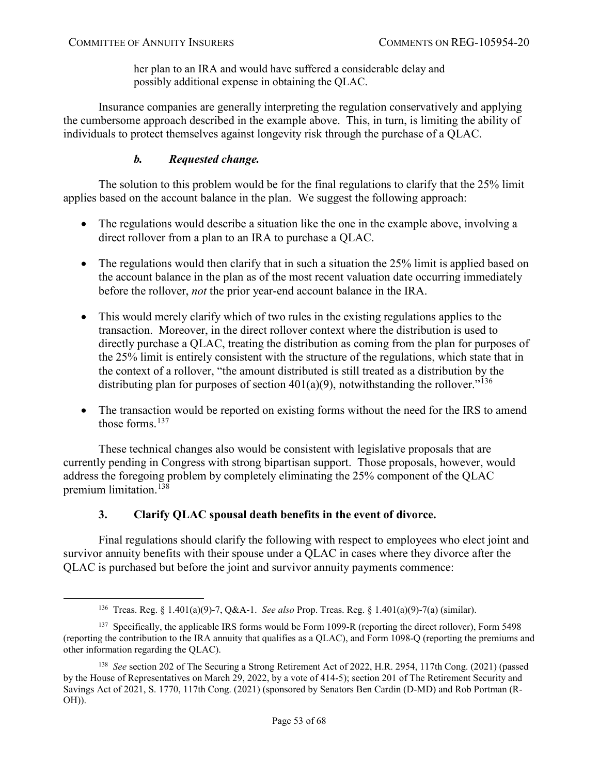her plan to an IRA and would have suffered a considerable delay and possibly additional expense in obtaining the QLAC.

Insurance companies are generally interpreting the regulation conservatively and applying the cumbersome approach described in the example above. This, in turn, is limiting the ability of individuals to protect themselves against longevity risk through the purchase of a QLAC.

# *b. Requested change.*

The solution to this problem would be for the final regulations to clarify that the 25% limit applies based on the account balance in the plan. We suggest the following approach:

- The regulations would describe a situation like the one in the example above, involving a direct rollover from a plan to an IRA to purchase a QLAC.
- The regulations would then clarify that in such a situation the 25% limit is applied based on the account balance in the plan as of the most recent valuation date occurring immediately before the rollover, *not* the prior year-end account balance in the IRA.
- This would merely clarify which of two rules in the existing regulations applies to the transaction. Moreover, in the direct rollover context where the distribution is used to directly purchase a QLAC, treating the distribution as coming from the plan for purposes of the 25% limit is entirely consistent with the structure of the regulations, which state that in the context of a rollover, "the amount distributed is still treated as a distribution by the distributing plan for purposes of section  $401(a)(9)$ , notwithstanding the rollover.<sup>"136</sup>
- The transaction would be reported on existing forms without the need for the IRS to amend those forms.<sup>[137](#page-52-2)</sup>

These technical changes also would be consistent with legislative proposals that are currently pending in Congress with strong bipartisan support. Those proposals, however, would address the foregoing problem by completely eliminating the 25% component of the QLAC premium limitation.<sup>[138](#page-52-3)</sup>

# **3. Clarify QLAC spousal death benefits in the event of divorce.**

<span id="page-52-0"></span>Final regulations should clarify the following with respect to employees who elect joint and survivor annuity benefits with their spouse under a QLAC in cases where they divorce after the QLAC is purchased but before the joint and survivor annuity payments commence:

 <sup>136</sup> Treas. Reg. § 1.401(a)(9)-7, Q&A-1. *See also* Prop. Treas. Reg. § 1.401(a)(9)-7(a) (similar).

<span id="page-52-2"></span><span id="page-52-1"></span><sup>&</sup>lt;sup>137</sup> Specifically, the applicable IRS forms would be Form 1099-R (reporting the direct rollover), Form 5498 (reporting the contribution to the IRA annuity that qualifies as a QLAC), and Form 1098-Q (reporting the premiums and other information regarding the QLAC).

<span id="page-52-3"></span><sup>138</sup> *See* section 202 of The Securing a Strong Retirement Act of 2022, H.R. 2954, 117th Cong. (2021) (passed by the House of Representatives on March 29, 2022, by a vote of 414-5); section 201 of The Retirement Security and Savings Act of 2021, S. 1770, 117th Cong. (2021) (sponsored by Senators Ben Cardin (D-MD) and Rob Portman (R-OH)).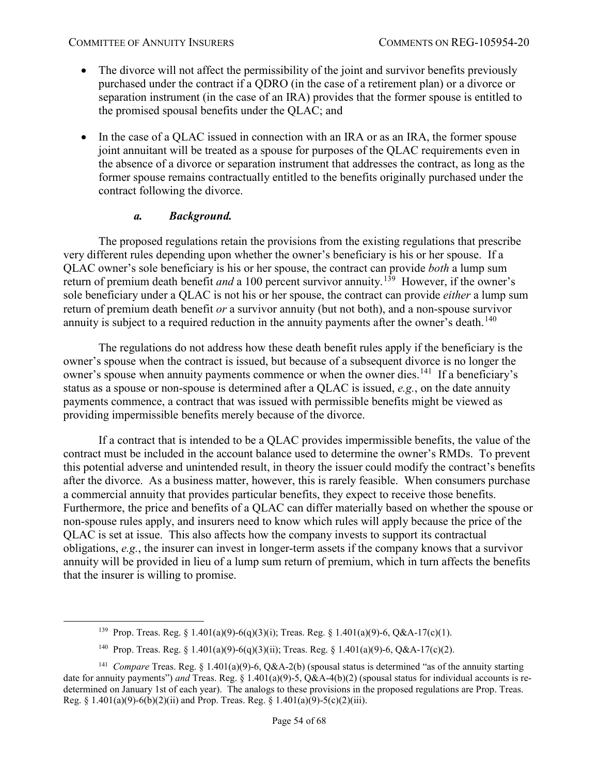- The divorce will not affect the permissibility of the joint and survivor benefits previously purchased under the contract if a QDRO (in the case of a retirement plan) or a divorce or separation instrument (in the case of an IRA) provides that the former spouse is entitled to the promised spousal benefits under the QLAC; and
- In the case of a QLAC issued in connection with an IRA or as an IRA, the former spouse joint annuitant will be treated as a spouse for purposes of the QLAC requirements even in the absence of a divorce or separation instrument that addresses the contract, as long as the former spouse remains contractually entitled to the benefits originally purchased under the contract following the divorce.

### *a. Background.*

The proposed regulations retain the provisions from the existing regulations that prescribe very different rules depending upon whether the owner's beneficiary is his or her spouse. If a QLAC owner's sole beneficiary is his or her spouse, the contract can provide *both* a lump sum return of premium death benefit *and* a 100 percent survivor annuity.<sup>139</sup> However, if the owner's sole beneficiary under a QLAC is not his or her spouse, the contract can provide *either* a lump sum return of premium death benefit *or* a survivor annuity (but not both), and a non-spouse survivor annuity is subject to a required reduction in the annuity payments after the owner's death.<sup>[140](#page-53-1)</sup>

The regulations do not address how these death benefit rules apply if the beneficiary is the owner's spouse when the contract is issued, but because of a subsequent divorce is no longer the owner's spouse when annuity payments commence or when the owner dies.<sup>141</sup> If a beneficiary's status as a spouse or non-spouse is determined after a QLAC is issued, *e.g.*, on the date annuity payments commence, a contract that was issued with permissible benefits might be viewed as providing impermissible benefits merely because of the divorce.

If a contract that is intended to be a QLAC provides impermissible benefits, the value of the contract must be included in the account balance used to determine the owner's RMDs. To prevent this potential adverse and unintended result, in theory the issuer could modify the contract's benefits after the divorce. As a business matter, however, this is rarely feasible. When consumers purchase a commercial annuity that provides particular benefits, they expect to receive those benefits. Furthermore, the price and benefits of a QLAC can differ materially based on whether the spouse or non-spouse rules apply, and insurers need to know which rules will apply because the price of the QLAC is set at issue. This also affects how the company invests to support its contractual obligations, *e.g.*, the insurer can invest in longer-term assets if the company knows that a survivor annuity will be provided in lieu of a lump sum return of premium, which in turn affects the benefits that the insurer is willing to promise.

<sup>&</sup>lt;sup>139</sup> Prop. Treas. Reg. § 1.401(a)(9)-6(q)(3)(i); Treas. Reg. § 1.401(a)(9)-6, Q&A-17(c)(1).

<sup>&</sup>lt;sup>140</sup> Prop. Treas. Reg. § 1.401(a)(9)-6(q)(3)(ii); Treas. Reg. § 1.401(a)(9)-6, Q&A-17(c)(2).

<span id="page-53-2"></span><span id="page-53-1"></span><span id="page-53-0"></span><sup>&</sup>lt;sup>141</sup> *Compare* Treas. Reg. § 1.401(a)(9)-6, Q&A-2(b) (spousal status is determined "as of the annuity starting date for annuity payments") *and* Treas. Reg. § 1.401(a)(9)-5, Q&A-4(b)(2) (spousal status for individual accounts is redetermined on January 1st of each year). The analogs to these provisions in the proposed regulations are Prop. Treas. Reg. § 1.401(a)(9)-6(b)(2)(ii) and Prop. Treas. Reg. § 1.401(a)(9)-5(c)(2)(iii).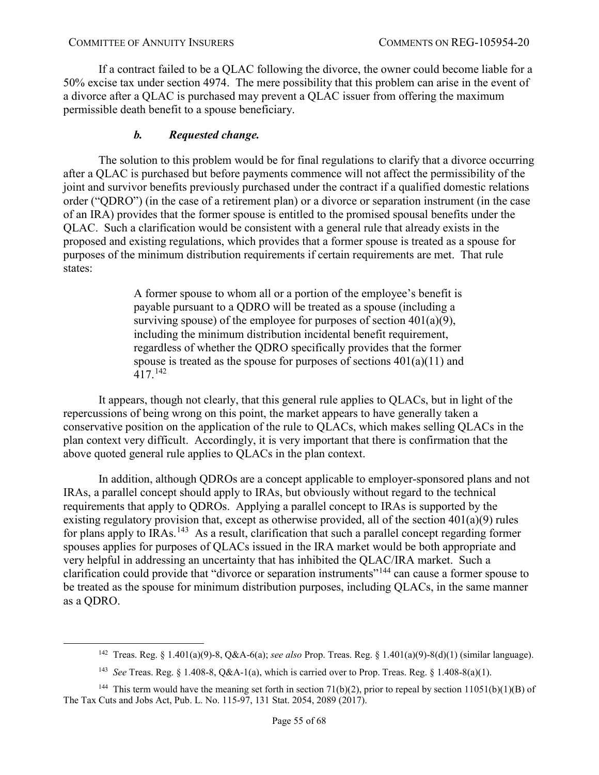If a contract failed to be a QLAC following the divorce, the owner could become liable for a 50% excise tax under section 4974. The mere possibility that this problem can arise in the event of a divorce after a QLAC is purchased may prevent a QLAC issuer from offering the maximum permissible death benefit to a spouse beneficiary.

# *b. Requested change.*

The solution to this problem would be for final regulations to clarify that a divorce occurring after a QLAC is purchased but before payments commence will not affect the permissibility of the joint and survivor benefits previously purchased under the contract if a qualified domestic relations order ("QDRO") (in the case of a retirement plan) or a divorce or separation instrument (in the case of an IRA) provides that the former spouse is entitled to the promised spousal benefits under the QLAC. Such a clarification would be consistent with a general rule that already exists in the proposed and existing regulations, which provides that a former spouse is treated as a spouse for purposes of the minimum distribution requirements if certain requirements are met. That rule states:

> A former spouse to whom all or a portion of the employee's benefit is payable pursuant to a QDRO will be treated as a spouse (including a surviving spouse) of the employee for purposes of section  $401(a)(9)$ , including the minimum distribution incidental benefit requirement, regardless of whether the QDRO specifically provides that the former spouse is treated as the spouse for purposes of sections 401(a)(11) and 417.[142](#page-54-0)

It appears, though not clearly, that this general rule applies to QLACs, but in light of the repercussions of being wrong on this point, the market appears to have generally taken a conservative position on the application of the rule to QLACs, which makes selling QLACs in the plan context very difficult. Accordingly, it is very important that there is confirmation that the above quoted general rule applies to QLACs in the plan context.

In addition, although QDROs are a concept applicable to employer-sponsored plans and not IRAs, a parallel concept should apply to IRAs, but obviously without regard to the technical requirements that apply to QDROs. Applying a parallel concept to IRAs is supported by the existing regulatory provision that, except as otherwise provided, all of the section  $401(a)(9)$  rules for plans apply to IRAs.<sup>[143](#page-54-1)</sup> As a result, clarification that such a parallel concept regarding former spouses applies for purposes of QLACs issued in the IRA market would be both appropriate and very helpful in addressing an uncertainty that has inhibited the QLAC/IRA market. Such a clarification could provide that "divorce or separation instruments"<sup>[144](#page-54-2)</sup> can cause a former spouse to be treated as the spouse for minimum distribution purposes, including QLACs, in the same manner as a QDRO.

 <sup>142</sup> Treas. Reg. § 1.401(a)(9)-8, Q&A-6(a); *see also* Prop. Treas. Reg. § 1.401(a)(9)-8(d)(1) (similar language).

<sup>143</sup> *See* Treas. Reg. § 1.408-8, Q&A-1(a), which is carried over to Prop. Treas. Reg. § 1.408-8(a)(1).

<span id="page-54-2"></span><span id="page-54-1"></span><span id="page-54-0"></span><sup>&</sup>lt;sup>144</sup> This term would have the meaning set forth in section 71(b)(2), prior to repeal by section 11051(b)(1)(B) of The Tax Cuts and Jobs Act, Pub. L. No. 115-97, 131 Stat. 2054, 2089 (2017).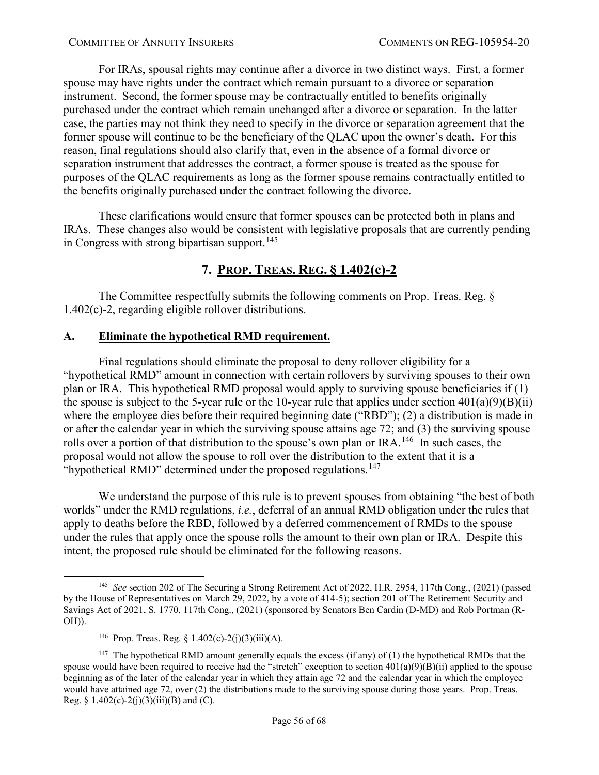For IRAs, spousal rights may continue after a divorce in two distinct ways. First, a former spouse may have rights under the contract which remain pursuant to a divorce or separation instrument. Second, the former spouse may be contractually entitled to benefits originally purchased under the contract which remain unchanged after a divorce or separation. In the latter case, the parties may not think they need to specify in the divorce or separation agreement that the former spouse will continue to be the beneficiary of the QLAC upon the owner's death. For this reason, final regulations should also clarify that, even in the absence of a formal divorce or separation instrument that addresses the contract, a former spouse is treated as the spouse for purposes of the QLAC requirements as long as the former spouse remains contractually entitled to the benefits originally purchased under the contract following the divorce.

These clarifications would ensure that former spouses can be protected both in plans and IRAs. These changes also would be consistent with legislative proposals that are currently pending in Congress with strong bipartisan support.<sup>[145](#page-55-2)</sup>

# **7. PROP. TREAS. REG. § 1.402(c)-2**

<span id="page-55-0"></span>The Committee respectfully submits the following comments on Prop. Treas. Reg. § 1.402(c)-2, regarding eligible rollover distributions.

# <span id="page-55-1"></span>**A. Eliminate the hypothetical RMD requirement.**

Final regulations should eliminate the proposal to deny rollover eligibility for a "hypothetical RMD" amount in connection with certain rollovers by surviving spouses to their own plan or IRA. This hypothetical RMD proposal would apply to surviving spouse beneficiaries if (1) the spouse is subject to the 5-year rule or the 10-year rule that applies under section  $401(a)(9)(B)(ii)$ where the employee dies before their required beginning date ("RBD"); (2) a distribution is made in or after the calendar year in which the surviving spouse attains age 72; and (3) the surviving spouse rolls over a portion of that distribution to the spouse's own plan or IRA.<sup>146</sup> In such cases, the proposal would not allow the spouse to roll over the distribution to the extent that it is a "hypothetical RMD" determined under the proposed regulations.<sup>[147](#page-55-4)</sup>

We understand the purpose of this rule is to prevent spouses from obtaining "the best of both worlds" under the RMD regulations, *i.e.*, deferral of an annual RMD obligation under the rules that apply to deaths before the RBD, followed by a deferred commencement of RMDs to the spouse under the rules that apply once the spouse rolls the amount to their own plan or IRA. Despite this intent, the proposed rule should be eliminated for the following reasons.

<span id="page-55-2"></span> <sup>145</sup> *See* section 202 of The Securing a Strong Retirement Act of 2022, H.R. 2954, 117th Cong., (2021) (passed by the House of Representatives on March 29, 2022, by a vote of 414-5); section 201 of The Retirement Security and Savings Act of 2021, S. 1770, 117th Cong., (2021) (sponsored by Senators Ben Cardin (D-MD) and Rob Portman (R-OH)).

<sup>&</sup>lt;sup>146</sup> Prop. Treas. Reg. § 1.402(c)-2(j)(3)(iii)(A).

<span id="page-55-4"></span><span id="page-55-3"></span><sup>&</sup>lt;sup>147</sup> The hypothetical RMD amount generally equals the excess (if any) of (1) the hypothetical RMDs that the spouse would have been required to receive had the "stretch" exception to section  $401(a)(9)(B)(ii)$  applied to the spouse beginning as of the later of the calendar year in which they attain age 72 and the calendar year in which the employee would have attained age 72, over (2) the distributions made to the surviving spouse during those years. Prop. Treas. Reg. § 1.402(c)-2(j)(3)(iii)(B) and (C).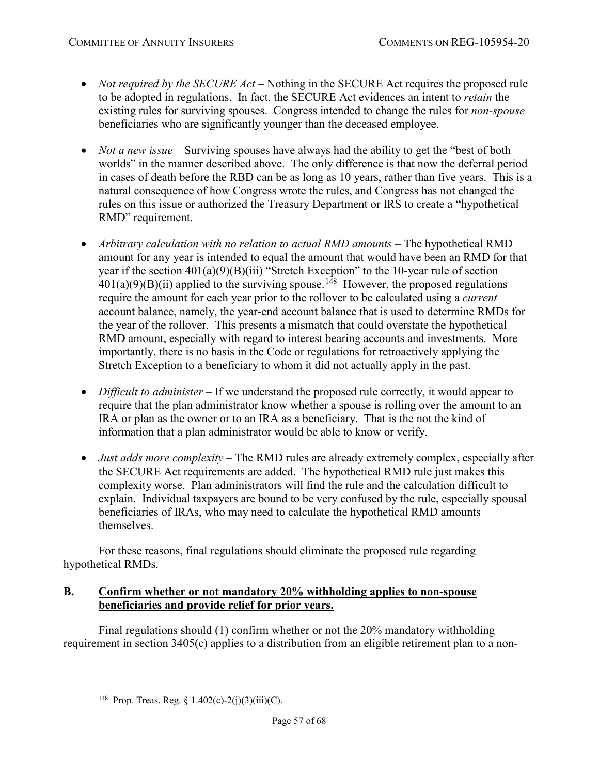- *Not required by the SECURE Act* Nothing in the SECURE Act requires the proposed rule to be adopted in regulations. In fact, the SECURE Act evidences an intent to *retain* the existing rules for surviving spouses. Congress intended to change the rules for *non-spouse* beneficiaries who are significantly younger than the deceased employee.
- *Not a new issue* Surviving spouses have always had the ability to get the "best of both" worlds" in the manner described above. The only difference is that now the deferral period in cases of death before the RBD can be as long as 10 years, rather than five years. This is a natural consequence of how Congress wrote the rules, and Congress has not changed the rules on this issue or authorized the Treasury Department or IRS to create a "hypothetical RMD" requirement.
- *Arbitrary calculation with no relation to actual RMD amounts* The hypothetical RMD amount for any year is intended to equal the amount that would have been an RMD for that year if the section 401(a)(9)(B)(iii) "Stretch Exception" to the 10-year rule of section  $401(a)(9)(B)(ii)$  applied to the surviving spouse.<sup>148</sup> However, the proposed regulations require the amount for each year prior to the rollover to be calculated using a *current* account balance, namely, the year-end account balance that is used to determine RMDs for the year of the rollover. This presents a mismatch that could overstate the hypothetical RMD amount, especially with regard to interest bearing accounts and investments. More importantly, there is no basis in the Code or regulations for retroactively applying the Stretch Exception to a beneficiary to whom it did not actually apply in the past.
- *Difficult to administer* If we understand the proposed rule correctly, it would appear to require that the plan administrator know whether a spouse is rolling over the amount to an IRA or plan as the owner or to an IRA as a beneficiary. That is the not the kind of information that a plan administrator would be able to know or verify.
- *Just adds more complexity* The RMD rules are already extremely complex, especially after the SECURE Act requirements are added. The hypothetical RMD rule just makes this complexity worse. Plan administrators will find the rule and the calculation difficult to explain. Individual taxpayers are bound to be very confused by the rule, especially spousal beneficiaries of IRAs, who may need to calculate the hypothetical RMD amounts themselves.

For these reasons, final regulations should eliminate the proposed rule regarding hypothetical RMDs.

# <span id="page-56-0"></span>**B. Confirm whether or not mandatory 20% withholding applies to non-spouse beneficiaries and provide relief for prior years.**

<span id="page-56-1"></span>Final regulations should (1) confirm whether or not the 20% mandatory withholding requirement in section 3405(c) applies to a distribution from an eligible retirement plan to a non-

<sup>&</sup>lt;sup>148</sup> Prop. Treas. Reg. § 1.402(c)-2(j)(3)(iii)(C).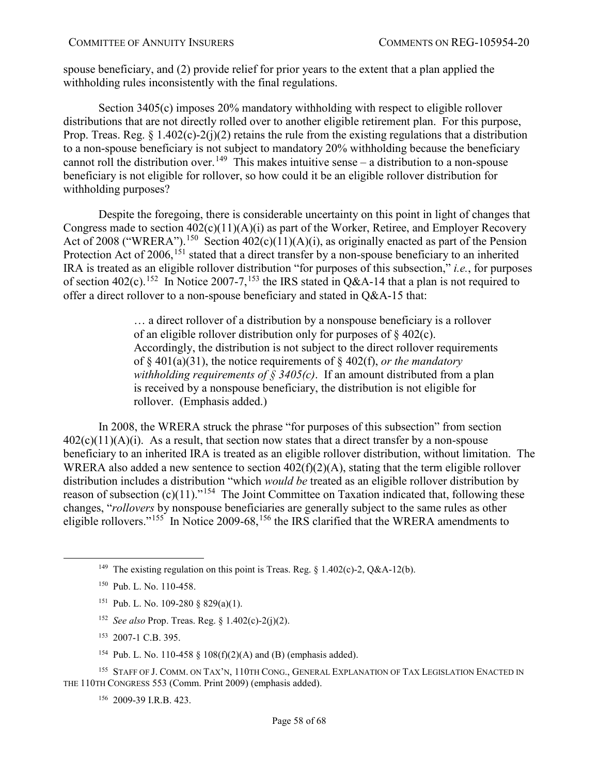spouse beneficiary, and (2) provide relief for prior years to the extent that a plan applied the withholding rules inconsistently with the final regulations.

Section 3405(c) imposes 20% mandatory withholding with respect to eligible rollover distributions that are not directly rolled over to another eligible retirement plan. For this purpose, Prop. Treas. Reg.  $\S$  1.402(c)-2(j)(2) retains the rule from the existing regulations that a distribution to a non-spouse beneficiary is not subject to mandatory 20% withholding because the beneficiary cannot roll the distribution over.<sup>149</sup> This makes intuitive sense – a distribution to a non-spouse beneficiary is not eligible for rollover, so how could it be an eligible rollover distribution for withholding purposes?

Despite the foregoing, there is considerable uncertainty on this point in light of changes that Congress made to section  $402(c)(11)(A)(i)$  as part of the Worker, Retiree, and Employer Recovery Act of 2008 ("WRERA").<sup>150</sup> Section  $402(c)(11)(A)(i)$ , as originally enacted as part of the Pension Protection Act of 2006, <sup>[151](#page-57-2)</sup> stated that a direct transfer by a non-spouse beneficiary to an inherited IRA is treated as an eligible rollover distribution "for purposes of this subsection," *i.e.*, for purposes of section 402(c).<sup>152</sup> In Notice 2007-7,<sup>[153](#page-57-4)</sup> the IRS stated in Q&A-14 that a plan is not required to offer a direct rollover to a non-spouse beneficiary and stated in Q&A-15 that:

> … a direct rollover of a distribution by a nonspouse beneficiary is a rollover of an eligible rollover distribution only for purposes of  $\S$  402(c). Accordingly, the distribution is not subject to the direct rollover requirements of § 401(a)(31), the notice requirements of § 402(f), *or the mandatory withholding requirements of § 3405(c)*. If an amount distributed from a plan is received by a nonspouse beneficiary, the distribution is not eligible for rollover. (Emphasis added.)

In 2008, the WRERA struck the phrase "for purposes of this subsection" from section  $402(c)(11)(A)(i)$ . As a result, that section now states that a direct transfer by a non-spouse beneficiary to an inherited IRA is treated as an eligible rollover distribution, without limitation. The WRERA also added a new sentence to section 402(f)(2)(A), stating that the term eligible rollover distribution includes a distribution "which *would be* treated as an eligible rollover distribution by reason of subsection  $(c)(11)$ ."<sup>[154](#page-57-5)</sup> The Joint Committee on Taxation indicated that, following these changes, "*rollovers* by nonspouse beneficiaries are generally subject to the same rules as other eligible rollovers."<sup>155</sup> In Notice 2009-68,<sup>[156](#page-57-7)</sup> the IRS clarified that the WRERA amendments to

- 151 Pub. L. No. 109-280 § 829(a)(1).
- 152 *See also* Prop. Treas. Reg. § 1.402(c)-2(j)(2).
- 153 2007-1 C.B. 395.
- 154 Pub. L. No. 110-458 § 108(f)(2)(A) and (B) (emphasis added).

<span id="page-57-7"></span><span id="page-57-6"></span><span id="page-57-5"></span><span id="page-57-4"></span><span id="page-57-3"></span><span id="page-57-2"></span><sup>155</sup> STAFF OF J. COMM. ON TAX'N, 110TH CONG., GENERAL EXPLANATION OF TAX LEGISLATION ENACTED IN THE 110TH CONGRESS 553 (Comm. Print 2009) (emphasis added).

156 2009-39 I.R.B. 423.

<span id="page-57-0"></span><sup>&</sup>lt;sup>149</sup> The existing regulation on this point is Treas. Reg.  $\S$  1.402(c)-2, Q&A-12(b).

<span id="page-57-1"></span><sup>150</sup> Pub. L. No. 110-458.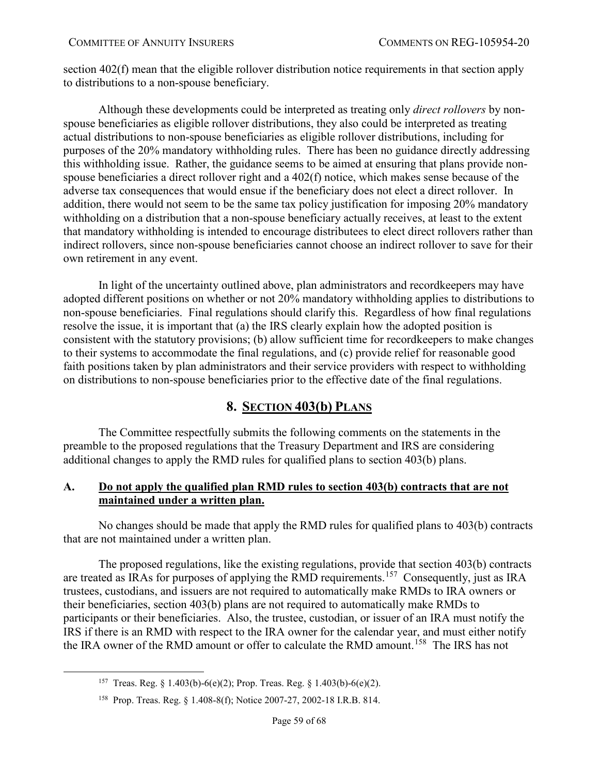section 402(f) mean that the eligible rollover distribution notice requirements in that section apply to distributions to a non-spouse beneficiary.

Although these developments could be interpreted as treating only *direct rollovers* by nonspouse beneficiaries as eligible rollover distributions, they also could be interpreted as treating actual distributions to non-spouse beneficiaries as eligible rollover distributions, including for purposes of the 20% mandatory withholding rules. There has been no guidance directly addressing this withholding issue. Rather, the guidance seems to be aimed at ensuring that plans provide nonspouse beneficiaries a direct rollover right and a 402(f) notice, which makes sense because of the adverse tax consequences that would ensue if the beneficiary does not elect a direct rollover. In addition, there would not seem to be the same tax policy justification for imposing 20% mandatory withholding on a distribution that a non-spouse beneficiary actually receives, at least to the extent that mandatory withholding is intended to encourage distributees to elect direct rollovers rather than indirect rollovers, since non-spouse beneficiaries cannot choose an indirect rollover to save for their own retirement in any event.

In light of the uncertainty outlined above, plan administrators and recordkeepers may have adopted different positions on whether or not 20% mandatory withholding applies to distributions to non-spouse beneficiaries. Final regulations should clarify this. Regardless of how final regulations resolve the issue, it is important that (a) the IRS clearly explain how the adopted position is consistent with the statutory provisions; (b) allow sufficient time for recordkeepers to make changes to their systems to accommodate the final regulations, and (c) provide relief for reasonable good faith positions taken by plan administrators and their service providers with respect to withholding on distributions to non-spouse beneficiaries prior to the effective date of the final regulations.

# **8. SECTION 403(b) PLANS**

<span id="page-58-0"></span>The Committee respectfully submits the following comments on the statements in the preamble to the proposed regulations that the Treasury Department and IRS are considering additional changes to apply the RMD rules for qualified plans to section 403(b) plans.

# <span id="page-58-1"></span>**A. Do not apply the qualified plan RMD rules to section 403(b) contracts that are not maintained under a written plan.**

No changes should be made that apply the RMD rules for qualified plans to 403(b) contracts that are not maintained under a written plan.

The proposed regulations, like the existing regulations, provide that section 403(b) contracts are treated as IRAs for purposes of applying the RMD requirements.<sup>[157](#page-58-2)</sup> Consequently, just as IRA trustees, custodians, and issuers are not required to automatically make RMDs to IRA owners or their beneficiaries, section 403(b) plans are not required to automatically make RMDs to participants or their beneficiaries. Also, the trustee, custodian, or issuer of an IRA must notify the IRS if there is an RMD with respect to the IRA owner for the calendar year, and must either notify the IRA owner of the RMD amount or offer to calculate the RMD amount.<sup>[158](#page-58-3)</sup> The IRS has not

<span id="page-58-2"></span><sup>&</sup>lt;sup>157</sup> Treas. Reg. § 1.403(b)-6(e)(2); Prop. Treas. Reg. § 1.403(b)-6(e)(2).

<span id="page-58-3"></span><sup>158</sup> Prop. Treas. Reg. § 1.408-8(f); Notice 2007-27, 2002-18 I.R.B. 814.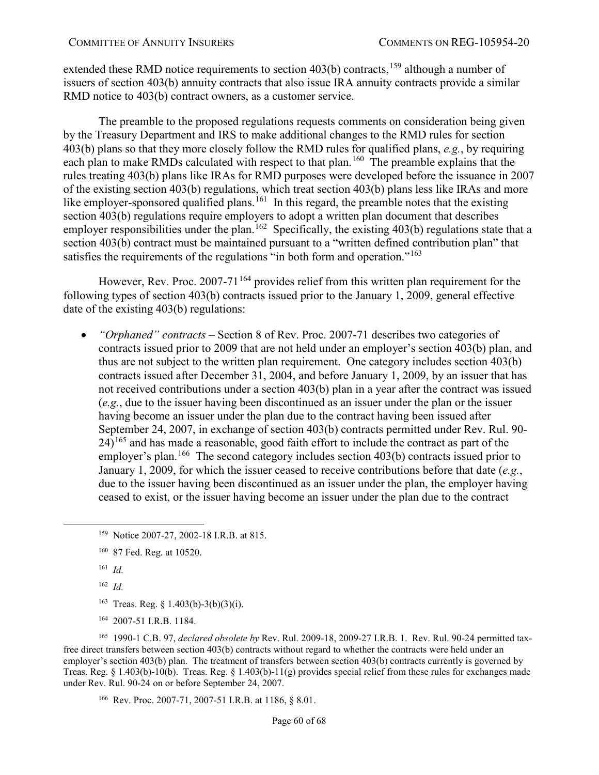extended these RMD notice requirements to section  $403(b)$  contracts,<sup>[159](#page-59-0)</sup> although a number of issuers of section 403(b) annuity contracts that also issue IRA annuity contracts provide a similar RMD notice to 403(b) contract owners, as a customer service.

The preamble to the proposed regulations requests comments on consideration being given by the Treasury Department and IRS to make additional changes to the RMD rules for section 403(b) plans so that they more closely follow the RMD rules for qualified plans, *e.g.*, by requiring each plan to make RMDs calculated with respect to that plan.<sup>[160](#page-59-1)</sup> The preamble explains that the rules treating 403(b) plans like IRAs for RMD purposes were developed before the issuance in 2007 of the existing section 403(b) regulations, which treat section 403(b) plans less like IRAs and more like employer-sponsored qualified plans.<sup>[161](#page-59-2)</sup> In this regard, the preamble notes that the existing section 403(b) regulations require employers to adopt a written plan document that describes employer responsibilities under the plan.<sup>[162](#page-59-3)</sup> Specifically, the existing  $403(b)$  regulations state that a section 403(b) contract must be maintained pursuant to a "written defined contribution plan" that satisfies the requirements of the regulations "in both form and operation."<sup>[163](#page-59-4)</sup>

However, Rev. Proc. 2007-71<sup>[164](#page-59-5)</sup> provides relief from this written plan requirement for the following types of section 403(b) contracts issued prior to the January 1, 2009, general effective date of the existing 403(b) regulations:

• *"Orphaned" contracts* – Section 8 of Rev. Proc. 2007-71 describes two categories of contracts issued prior to 2009 that are not held under an employer's section 403(b) plan, and thus are not subject to the written plan requirement. One category includes section 403(b) contracts issued after December 31, 2004, and before January 1, 2009, by an issuer that has not received contributions under a section 403(b) plan in a year after the contract was issued (*e.g.*, due to the issuer having been discontinued as an issuer under the plan or the issuer having become an issuer under the plan due to the contract having been issued after September 24, 2007, in exchange of section 403(b) contracts permitted under Rev. Rul. 90-  $24$ <sup> $165$ </sup> and has made a reasonable, good faith effort to include the contract as part of the employer's plan.<sup>[166](#page-59-7)</sup> The second category includes section  $403(b)$  contracts issued prior to January 1, 2009, for which the issuer ceased to receive contributions before that date (*e.g.*, due to the issuer having been discontinued as an issuer under the plan, the employer having ceased to exist, or the issuer having become an issuer under the plan due to the contract

- 161 *Id.*
- 162 *Id.*
- <sup>163</sup> Treas. Reg.  $\{1.403(b)-3(b)(3)(i)\}.$
- 164 2007-51 I.R.B. 1184.

<span id="page-59-7"></span><span id="page-59-6"></span><span id="page-59-5"></span><span id="page-59-4"></span><span id="page-59-3"></span><span id="page-59-2"></span>165 1990-1 C.B. 97, *declared obsolete by* Rev. Rul. 2009-18, 2009-27 I.R.B. 1. Rev. Rul. 90-24 permitted taxfree direct transfers between section 403(b) contracts without regard to whether the contracts were held under an employer's section 403(b) plan. The treatment of transfers between section 403(b) contracts currently is governed by Treas. Reg. § 1.403(b)-10(b). Treas. Reg. § 1.403(b)-11(g) provides special relief from these rules for exchanges made under Rev. Rul. 90-24 on or before September 24, 2007.

166 Rev. Proc. 2007-71, 2007-51 I.R.B. at 1186, § 8.01.

<span id="page-59-0"></span> <sup>159</sup> Notice 2007-27, 2002-18 I.R.B. at 815.

<span id="page-59-1"></span><sup>160 87</sup> Fed. Reg. at 10520.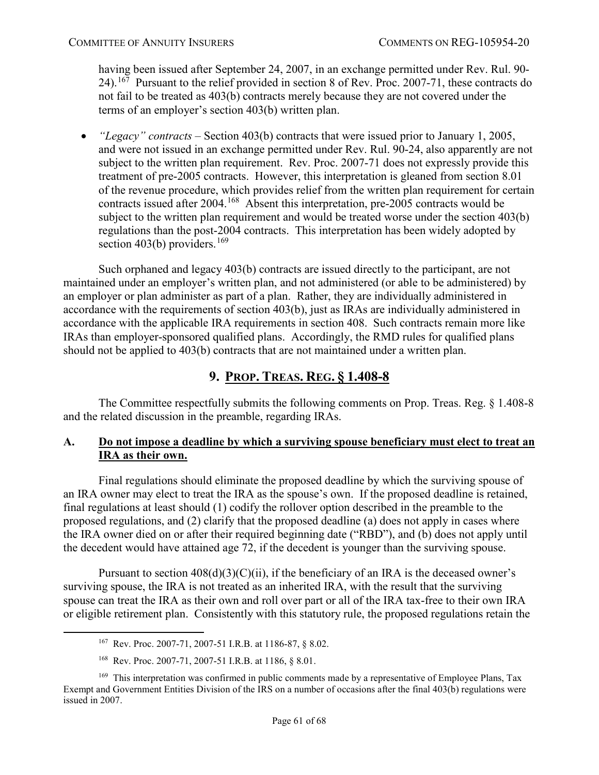having been issued after September 24, 2007, in an exchange permitted under Rev. Rul. 90- 24).[167](#page-60-2) Pursuant to the relief provided in section 8 of Rev. Proc. 2007-71, these contracts do not fail to be treated as 403(b) contracts merely because they are not covered under the terms of an employer's section 403(b) written plan.

• *"Legacy" contracts* – Section 403(b) contracts that were issued prior to January 1, 2005, and were not issued in an exchange permitted under Rev. Rul. 90-24, also apparently are not subject to the written plan requirement. Rev. Proc. 2007-71 does not expressly provide this treatment of pre-2005 contracts. However, this interpretation is gleaned from section 8.01 of the revenue procedure, which provides relief from the written plan requirement for certain contracts issued after 2004.<sup>168</sup> Absent this interpretation, pre-2005 contracts would be subject to the written plan requirement and would be treated worse under the section 403(b) regulations than the post-2004 contracts. This interpretation has been widely adopted by section 403(b) providers.<sup>[169](#page-60-4)</sup>

Such orphaned and legacy 403(b) contracts are issued directly to the participant, are not maintained under an employer's written plan, and not administered (or able to be administered) by an employer or plan administer as part of a plan. Rather, they are individually administered in accordance with the requirements of section 403(b), just as IRAs are individually administered in accordance with the applicable IRA requirements in section 408. Such contracts remain more like IRAs than employer-sponsored qualified plans. Accordingly, the RMD rules for qualified plans should not be applied to 403(b) contracts that are not maintained under a written plan.

# **9. PROP. TREAS. REG. § 1.408-8**

<span id="page-60-0"></span>The Committee respectfully submits the following comments on Prop. Treas. Reg. § 1.408-8 and the related discussion in the preamble, regarding IRAs.

# <span id="page-60-1"></span>**A. Do not impose a deadline by which a surviving spouse beneficiary must elect to treat an IRA as their own.**

Final regulations should eliminate the proposed deadline by which the surviving spouse of an IRA owner may elect to treat the IRA as the spouse's own. If the proposed deadline is retained, final regulations at least should (1) codify the rollover option described in the preamble to the proposed regulations, and (2) clarify that the proposed deadline (a) does not apply in cases where the IRA owner died on or after their required beginning date ("RBD"), and (b) does not apply until the decedent would have attained age 72, if the decedent is younger than the surviving spouse.

Pursuant to section  $408(d)(3)(C)(ii)$ , if the beneficiary of an IRA is the deceased owner's surviving spouse, the IRA is not treated as an inherited IRA, with the result that the surviving spouse can treat the IRA as their own and roll over part or all of the IRA tax-free to their own IRA or eligible retirement plan. Consistently with this statutory rule, the proposed regulations retain the

 <sup>167</sup> Rev. Proc. 2007-71, 2007-51 I.R.B. at 1186-87, § 8.02.

<sup>168</sup> Rev. Proc. 2007-71, 2007-51 I.R.B. at 1186, § 8.01.

<span id="page-60-4"></span><span id="page-60-3"></span><span id="page-60-2"></span><sup>&</sup>lt;sup>169</sup> This interpretation was confirmed in public comments made by a representative of Employee Plans, Tax Exempt and Government Entities Division of the IRS on a number of occasions after the final 403(b) regulations were issued in 2007.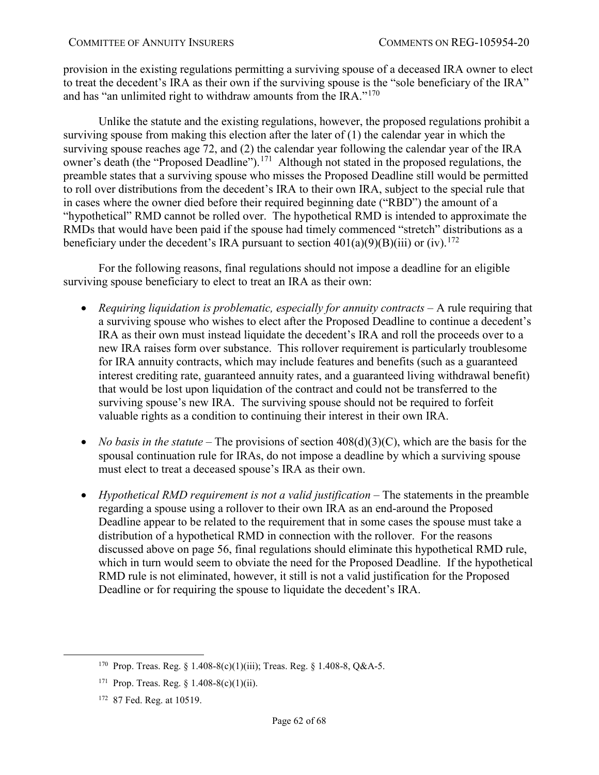provision in the existing regulations permitting a surviving spouse of a deceased IRA owner to elect to treat the decedent's IRA as their own if the surviving spouse is the "sole beneficiary of the IRA" and has "an unlimited right to withdraw amounts from the IRA." $170$ 

Unlike the statute and the existing regulations, however, the proposed regulations prohibit a surviving spouse from making this election after the later of (1) the calendar year in which the surviving spouse reaches age 72, and (2) the calendar year following the calendar year of the IRA owner's death (the "Proposed Deadline").<sup>171</sup> Although not stated in the proposed regulations, the preamble states that a surviving spouse who misses the Proposed Deadline still would be permitted to roll over distributions from the decedent's IRA to their own IRA, subject to the special rule that in cases where the owner died before their required beginning date ("RBD") the amount of a "hypothetical" RMD cannot be rolled over. The hypothetical RMD is intended to approximate the RMDs that would have been paid if the spouse had timely commenced "stretch" distributions as a beneficiary under the decedent's IRA pursuant to section  $401(a)(9)(B)(iii)$  or (iv).<sup>[172](#page-61-2)</sup>

For the following reasons, final regulations should not impose a deadline for an eligible surviving spouse beneficiary to elect to treat an IRA as their own:

- *Requiring liquidation is problematic, especially for annuity contracts A rule requiring that* a surviving spouse who wishes to elect after the Proposed Deadline to continue a decedent's IRA as their own must instead liquidate the decedent's IRA and roll the proceeds over to a new IRA raises form over substance. This rollover requirement is particularly troublesome for IRA annuity contracts, which may include features and benefits (such as a guaranteed interest crediting rate, guaranteed annuity rates, and a guaranteed living withdrawal benefit) that would be lost upon liquidation of the contract and could not be transferred to the surviving spouse's new IRA. The surviving spouse should not be required to forfeit valuable rights as a condition to continuing their interest in their own IRA.
- *No basis in the statute* The provisions of section  $408(d)(3)(C)$ , which are the basis for the spousal continuation rule for IRAs, do not impose a deadline by which a surviving spouse must elect to treat a deceased spouse's IRA as their own.
- *Hypothetical RMD requirement is not a valid justification –* The statements in the preamble regarding a spouse using a rollover to their own IRA as an end-around the Proposed Deadline appear to be related to the requirement that in some cases the spouse must take a distribution of a hypothetical RMD in connection with the rollover. For the reasons discussed above on page [56,](#page-55-1) final regulations should eliminate this hypothetical RMD rule, which in turn would seem to obviate the need for the Proposed Deadline. If the hypothetical RMD rule is not eliminated, however, it still is not a valid justification for the Proposed Deadline or for requiring the spouse to liquidate the decedent's IRA.

<span id="page-61-0"></span> <sup>170</sup> Prop. Treas. Reg. § 1.408-8(c)(1)(iii); Treas. Reg. § 1.408-8, Q&A-5.

<span id="page-61-1"></span><sup>&</sup>lt;sup>171</sup> Prop. Treas. Reg. § 1.408-8(c)(1)(ii).

<span id="page-61-2"></span><sup>172 87</sup> Fed. Reg. at 10519.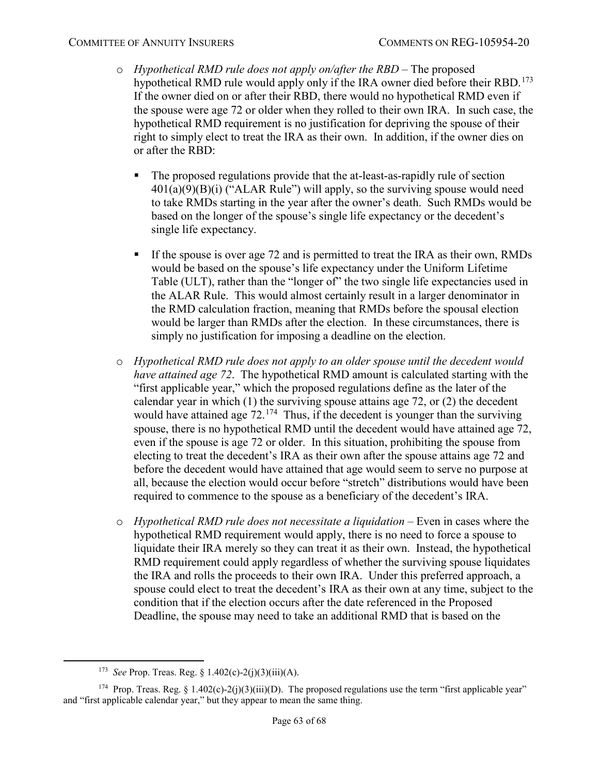- o *Hypothetical RMD rule does not apply on/after the RBD*  The proposed hypothetical RMD rule would apply only if the IRA owner died before their RBD.<sup>173</sup> If the owner died on or after their RBD, there would no hypothetical RMD even if the spouse were age 72 or older when they rolled to their own IRA. In such case, the hypothetical RMD requirement is no justification for depriving the spouse of their right to simply elect to treat the IRA as their own. In addition, if the owner dies on or after the RBD:
	- The proposed regulations provide that the at-least-as-rapidly rule of section  $401(a)(9)(B)(i)$  ("ALAR Rule") will apply, so the surviving spouse would need to take RMDs starting in the year after the owner's death. Such RMDs would be based on the longer of the spouse's single life expectancy or the decedent's single life expectancy.
	- If the spouse is over age 72 and is permitted to treat the IRA as their own, RMDs would be based on the spouse's life expectancy under the Uniform Lifetime Table (ULT), rather than the "longer of" the two single life expectancies used in the ALAR Rule. This would almost certainly result in a larger denominator in the RMD calculation fraction, meaning that RMDs before the spousal election would be larger than RMDs after the election. In these circumstances, there is simply no justification for imposing a deadline on the election.
- o *Hypothetical RMD rule does not apply to an older spouse until the decedent would have attained age 72*. The hypothetical RMD amount is calculated starting with the "first applicable year," which the proposed regulations define as the later of the calendar year in which (1) the surviving spouse attains age 72, or (2) the decedent would have attained age  $72.<sup>174</sup>$  Thus, if the decedent is younger than the surviving spouse, there is no hypothetical RMD until the decedent would have attained age 72, even if the spouse is age 72 or older. In this situation, prohibiting the spouse from electing to treat the decedent's IRA as their own after the spouse attains age 72 and before the decedent would have attained that age would seem to serve no purpose at all, because the election would occur before "stretch" distributions would have been required to commence to the spouse as a beneficiary of the decedent's IRA.
- o *Hypothetical RMD rule does not necessitate a liquidation* Even in cases where the hypothetical RMD requirement would apply, there is no need to force a spouse to liquidate their IRA merely so they can treat it as their own. Instead, the hypothetical RMD requirement could apply regardless of whether the surviving spouse liquidates the IRA and rolls the proceeds to their own IRA. Under this preferred approach, a spouse could elect to treat the decedent's IRA as their own at any time, subject to the condition that if the election occurs after the date referenced in the Proposed Deadline, the spouse may need to take an additional RMD that is based on the

 <sup>173</sup> *See* Prop. Treas. Reg. § 1.402(c)-2(j)(3)(iii)(A).

<span id="page-62-1"></span><span id="page-62-0"></span><sup>&</sup>lt;sup>174</sup> Prop. Treas. Reg. § 1.402(c)-2(j)(3)(iii)(D). The proposed regulations use the term "first applicable year" and "first applicable calendar year," but they appear to mean the same thing.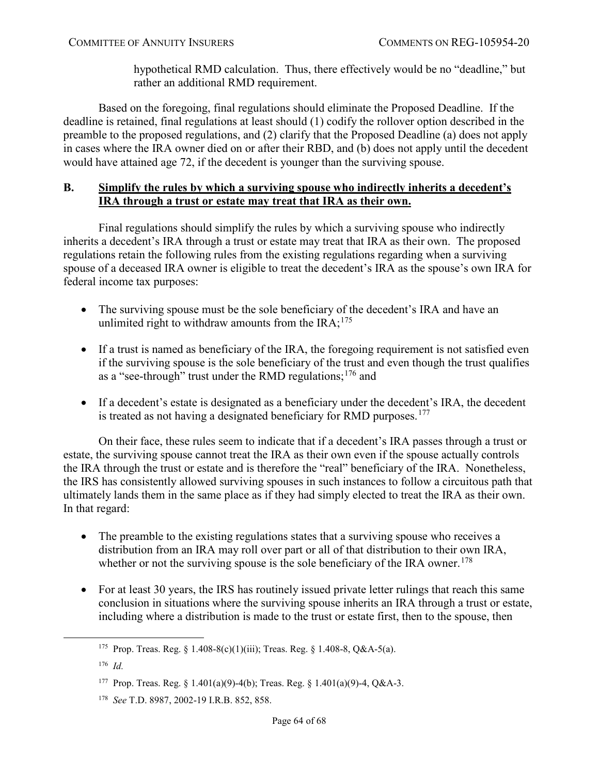hypothetical RMD calculation. Thus, there effectively would be no "deadline," but rather an additional RMD requirement.

Based on the foregoing, final regulations should eliminate the Proposed Deadline. If the deadline is retained, final regulations at least should (1) codify the rollover option described in the preamble to the proposed regulations, and (2) clarify that the Proposed Deadline (a) does not apply in cases where the IRA owner died on or after their RBD, and (b) does not apply until the decedent would have attained age 72, if the decedent is younger than the surviving spouse.

# <span id="page-63-0"></span>**B. Simplify the rules by which a surviving spouse who indirectly inherits a decedent's IRA through a trust or estate may treat that IRA as their own.**

Final regulations should simplify the rules by which a surviving spouse who indirectly inherits a decedent's IRA through a trust or estate may treat that IRA as their own. The proposed regulations retain the following rules from the existing regulations regarding when a surviving spouse of a deceased IRA owner is eligible to treat the decedent's IRA as the spouse's own IRA for federal income tax purposes:

- The surviving spouse must be the sole beneficiary of the decedent's IRA and have an unlimited right to withdraw amounts from the  $IRA$ ;<sup>[175](#page-63-1)</sup>
- If a trust is named as beneficiary of the IRA, the foregoing requirement is not satisfied even if the surviving spouse is the sole beneficiary of the trust and even though the trust qualifies as a "see-through" trust under the RMD regulations;  $176$  and
- If a decedent's estate is designated as a beneficiary under the decedent's IRA, the decedent is treated as not having a designated beneficiary for RMD purposes.<sup>177</sup>

On their face, these rules seem to indicate that if a decedent's IRA passes through a trust or estate, the surviving spouse cannot treat the IRA as their own even if the spouse actually controls the IRA through the trust or estate and is therefore the "real" beneficiary of the IRA. Nonetheless, the IRS has consistently allowed surviving spouses in such instances to follow a circuitous path that ultimately lands them in the same place as if they had simply elected to treat the IRA as their own. In that regard:

- The preamble to the existing regulations states that a surviving spouse who receives a distribution from an IRA may roll over part or all of that distribution to their own IRA, whether or not the surviving spouse is the sole beneficiary of the IRA owner.<sup>[178](#page-63-4)</sup>
- For at least 30 years, the IRS has routinely issued private letter rulings that reach this same conclusion in situations where the surviving spouse inherits an IRA through a trust or estate, including where a distribution is made to the trust or estate first, then to the spouse, then

<span id="page-63-1"></span><sup>&</sup>lt;sup>175</sup> Prop. Treas. Reg. § 1.408-8(c)(1)(iii); Treas. Reg. § 1.408-8, Q&A-5(a).

<span id="page-63-2"></span><sup>176</sup> *Id.*

<span id="page-63-3"></span><sup>177</sup> Prop. Treas. Reg. § 1.401(a)(9)-4(b); Treas. Reg. § 1.401(a)(9)-4, Q&A-3.

<span id="page-63-4"></span><sup>178</sup> *See* T.D. 8987, 2002-19 I.R.B. 852, 858.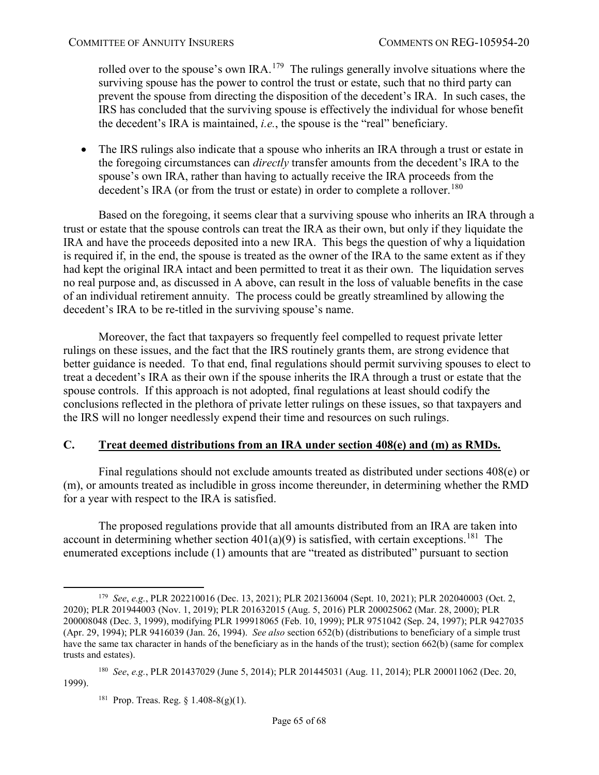rolled over to the spouse's own IRA.<sup>179</sup> The rulings generally involve situations where the surviving spouse has the power to control the trust or estate, such that no third party can prevent the spouse from directing the disposition of the decedent's IRA. In such cases, the IRS has concluded that the surviving spouse is effectively the individual for whose benefit the decedent's IRA is maintained, *i.e.*, the spouse is the "real" beneficiary.

• The IRS rulings also indicate that a spouse who inherits an IRA through a trust or estate in the foregoing circumstances can *directly* transfer amounts from the decedent's IRA to the spouse's own IRA, rather than having to actually receive the IRA proceeds from the decedent's IRA (or from the trust or estate) in order to complete a rollover.<sup>[180](#page-64-2)</sup>

Based on the foregoing, it seems clear that a surviving spouse who inherits an IRA through a trust or estate that the spouse controls can treat the IRA as their own, but only if they liquidate the IRA and have the proceeds deposited into a new IRA. This begs the question of why a liquidation is required if, in the end, the spouse is treated as the owner of the IRA to the same extent as if they had kept the original IRA intact and been permitted to treat it as their own. The liquidation serves no real purpose and, as discussed in A above, can result in the loss of valuable benefits in the case of an individual retirement annuity. The process could be greatly streamlined by allowing the decedent's IRA to be re-titled in the surviving spouse's name.

Moreover, the fact that taxpayers so frequently feel compelled to request private letter rulings on these issues, and the fact that the IRS routinely grants them, are strong evidence that better guidance is needed. To that end, final regulations should permit surviving spouses to elect to treat a decedent's IRA as their own if the spouse inherits the IRA through a trust or estate that the spouse controls. If this approach is not adopted, final regulations at least should codify the conclusions reflected in the plethora of private letter rulings on these issues, so that taxpayers and the IRS will no longer needlessly expend their time and resources on such rulings.

# <span id="page-64-0"></span>**C. Treat deemed distributions from an IRA under section 408(e) and (m) as RMDs.**

Final regulations should not exclude amounts treated as distributed under sections 408(e) or (m), or amounts treated as includible in gross income thereunder, in determining whether the RMD for a year with respect to the IRA is satisfied.

The proposed regulations provide that all amounts distributed from an IRA are taken into account in determining whether section  $401(a)(9)$  is satisfied, with certain exceptions.<sup>[181](#page-64-3)</sup> The enumerated exceptions include (1) amounts that are "treated as distributed" pursuant to section

<span id="page-64-1"></span> <sup>179</sup> *See*, *e.g.*, PLR 202210016 (Dec. 13, 2021); PLR 202136004 (Sept. 10, 2021); PLR 202040003 (Oct. 2, 2020); PLR 201944003 (Nov. 1, 2019); PLR 201632015 (Aug. 5, 2016) PLR 200025062 (Mar. 28, 2000); PLR 200008048 (Dec. 3, 1999), modifying PLR 199918065 (Feb. 10, 1999); PLR 9751042 (Sep. 24, 1997); PLR 9427035 (Apr. 29, 1994); PLR 9416039 (Jan. 26, 1994). *See also* section 652(b) (distributions to beneficiary of a simple trust have the same tax character in hands of the beneficiary as in the hands of the trust); section 662(b) (same for complex trusts and estates).

<span id="page-64-3"></span><span id="page-64-2"></span><sup>180</sup> *See*, *e.g.*, PLR 201437029 (June 5, 2014); PLR 201445031 (Aug. 11, 2014); PLR 200011062 (Dec. 20, 1999).

<sup>&</sup>lt;sup>181</sup> Prop. Treas. Reg. § 1.408-8(g)(1).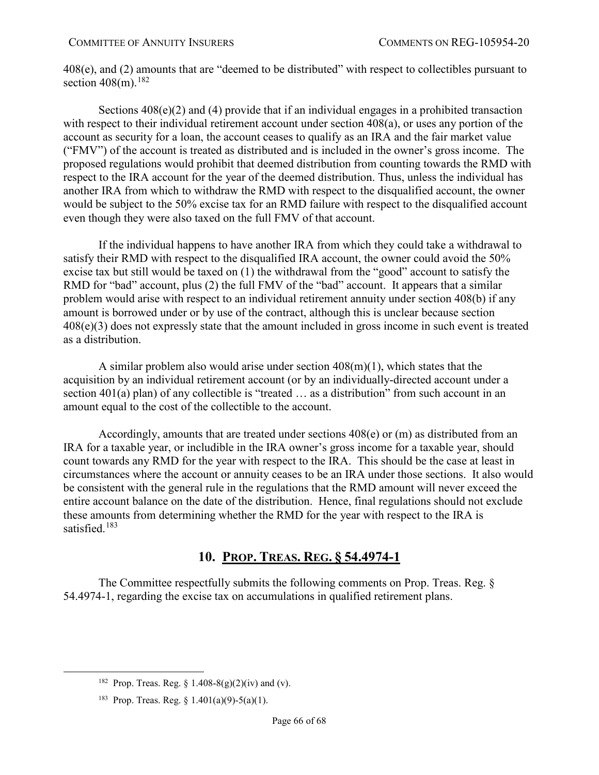408(e), and (2) amounts that are "deemed to be distributed" with respect to collectibles pursuant to section  $408$ (m).<sup>[182](#page-65-1)</sup>

Sections  $408(e)(2)$  and (4) provide that if an individual engages in a prohibited transaction with respect to their individual retirement account under section 408(a), or uses any portion of the account as security for a loan, the account ceases to qualify as an IRA and the fair market value ("FMV") of the account is treated as distributed and is included in the owner's gross income. The proposed regulations would prohibit that deemed distribution from counting towards the RMD with respect to the IRA account for the year of the deemed distribution. Thus, unless the individual has another IRA from which to withdraw the RMD with respect to the disqualified account, the owner would be subject to the 50% excise tax for an RMD failure with respect to the disqualified account even though they were also taxed on the full FMV of that account.

If the individual happens to have another IRA from which they could take a withdrawal to satisfy their RMD with respect to the disqualified IRA account, the owner could avoid the 50% excise tax but still would be taxed on (1) the withdrawal from the "good" account to satisfy the RMD for "bad" account, plus (2) the full FMV of the "bad" account. It appears that a similar problem would arise with respect to an individual retirement annuity under section 408(b) if any amount is borrowed under or by use of the contract, although this is unclear because section 408(e)(3) does not expressly state that the amount included in gross income in such event is treated as a distribution.

A similar problem also would arise under section 408(m)(1), which states that the acquisition by an individual retirement account (or by an individually-directed account under a section 401(a) plan) of any collectible is "treated ... as a distribution" from such account in an amount equal to the cost of the collectible to the account.

Accordingly, amounts that are treated under sections 408(e) or (m) as distributed from an IRA for a taxable year, or includible in the IRA owner's gross income for a taxable year, should count towards any RMD for the year with respect to the IRA. This should be the case at least in circumstances where the account or annuity ceases to be an IRA under those sections. It also would be consistent with the general rule in the regulations that the RMD amount will never exceed the entire account balance on the date of the distribution. Hence, final regulations should not exclude these amounts from determining whether the RMD for the year with respect to the IRA is satisfied.<sup>[183](#page-65-2)</sup>

# **10. PROP. TREAS. REG. § 54.4974-1**

<span id="page-65-0"></span>The Committee respectfully submits the following comments on Prop. Treas. Reg. § 54.4974-1, regarding the excise tax on accumulations in qualified retirement plans.

<span id="page-65-1"></span><sup>&</sup>lt;sup>182</sup> Prop. Treas. Reg. § 1.408-8(g)(2)(iv) and (v).

<span id="page-65-2"></span><sup>&</sup>lt;sup>183</sup> Prop. Treas. Reg. § 1.401(a)(9)-5(a)(1).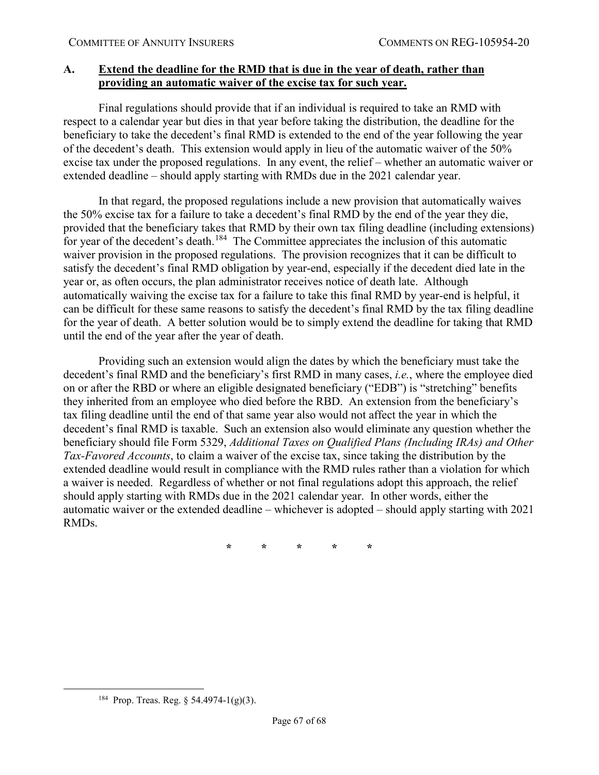# <span id="page-66-0"></span>**A. Extend the deadline for the RMD that is due in the year of death, rather than providing an automatic waiver of the excise tax for such year.**

Final regulations should provide that if an individual is required to take an RMD with respect to a calendar year but dies in that year before taking the distribution, the deadline for the beneficiary to take the decedent's final RMD is extended to the end of the year following the year of the decedent's death. This extension would apply in lieu of the automatic waiver of the 50% excise tax under the proposed regulations. In any event, the relief – whether an automatic waiver or extended deadline – should apply starting with RMDs due in the 2021 calendar year.

In that regard, the proposed regulations include a new provision that automatically waives the 50% excise tax for a failure to take a decedent's final RMD by the end of the year they die, provided that the beneficiary takes that RMD by their own tax filing deadline (including extensions) for year of the decedent's death.<sup>[184](#page-66-1)</sup> The Committee appreciates the inclusion of this automatic waiver provision in the proposed regulations. The provision recognizes that it can be difficult to satisfy the decedent's final RMD obligation by year-end, especially if the decedent died late in the year or, as often occurs, the plan administrator receives notice of death late. Although automatically waiving the excise tax for a failure to take this final RMD by year-end is helpful, it can be difficult for these same reasons to satisfy the decedent's final RMD by the tax filing deadline for the year of death. A better solution would be to simply extend the deadline for taking that RMD until the end of the year after the year of death.

Providing such an extension would align the dates by which the beneficiary must take the decedent's final RMD and the beneficiary's first RMD in many cases, *i.e.*, where the employee died on or after the RBD or where an eligible designated beneficiary ("EDB") is "stretching" benefits they inherited from an employee who died before the RBD. An extension from the beneficiary's tax filing deadline until the end of that same year also would not affect the year in which the decedent's final RMD is taxable. Such an extension also would eliminate any question whether the beneficiary should file Form 5329, *Additional Taxes on Qualified Plans (Including IRAs) and Other Tax-Favored Accounts*, to claim a waiver of the excise tax, since taking the distribution by the extended deadline would result in compliance with the RMD rules rather than a violation for which a waiver is needed. Regardless of whether or not final regulations adopt this approach, the relief should apply starting with RMDs due in the 2021 calendar year. In other words, either the automatic waiver or the extended deadline – whichever is adopted – should apply starting with 2021 RMDs.

**\* \* \* \* \***

<span id="page-66-1"></span><sup>&</sup>lt;sup>184</sup> Prop. Treas. Reg. § 54.4974-1(g)(3).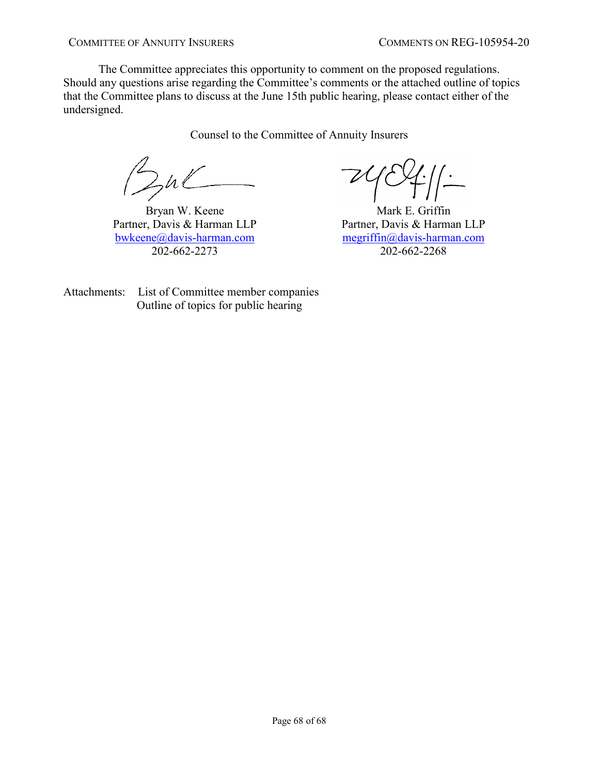The Committee appreciates this opportunity to comment on the proposed regulations. Should any questions arise regarding the Committee's comments or the attached outline of topics that the Committee plans to discuss at the June 15th public hearing, please contact either of the undersigned.

Counsel to the Committee of Annuity Insurers

Bul

Bryan W. Keene Partner, Davis & Harman LLP [bwkeene@davis-harman.com](mailto:bwkeene@davis-harman.com) 202-662-2273

 $\frac{1}{2}$ 

Mark E. Griffin Partner, Davis & Harman LLP [megriffin@davis-harman.com](mailto:megriffin@davis-harman.com) 202-662-2268

Attachments: List of Committee member companies Outline of topics for public hearing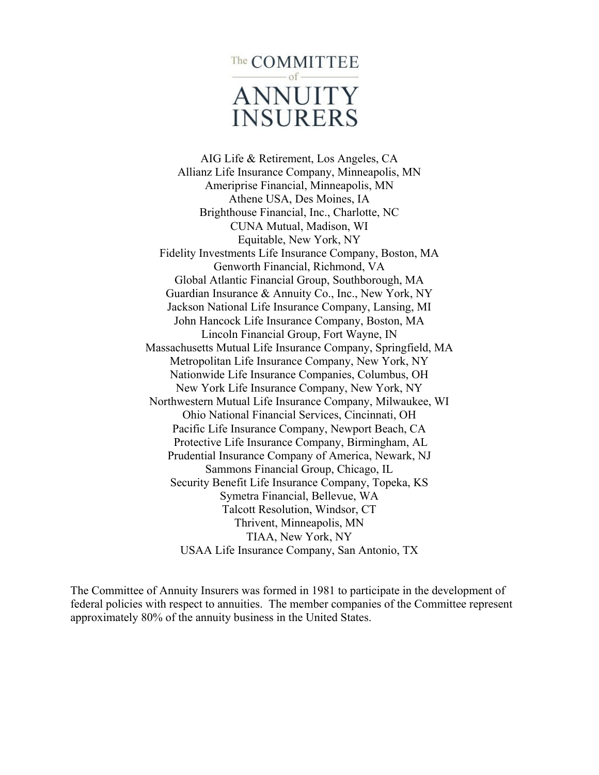

AIG Life & Retirement, Los Angeles, CA Allianz Life Insurance Company, Minneapolis, MN Ameriprise Financial, Minneapolis, MN Athene USA, Des Moines, IA Brighthouse Financial, Inc., Charlotte, NC CUNA Mutual, Madison, WI Equitable, New York, NY Fidelity Investments Life Insurance Company, Boston, MA Genworth Financial, Richmond, VA Global Atlantic Financial Group, Southborough, MA Guardian Insurance & Annuity Co., Inc., New York, NY Jackson National Life Insurance Company, Lansing, MI John Hancock Life Insurance Company, Boston, MA Lincoln Financial Group, Fort Wayne, IN Massachusetts Mutual Life Insurance Company, Springfield, MA Metropolitan Life Insurance Company, New York, NY Nationwide Life Insurance Companies, Columbus, OH New York Life Insurance Company, New York, NY Northwestern Mutual Life Insurance Company, Milwaukee, WI Ohio National Financial Services, Cincinnati, OH Pacific Life Insurance Company, Newport Beach, CA Protective Life Insurance Company, Birmingham, AL Prudential Insurance Company of America, Newark, NJ Sammons Financial Group, Chicago, IL Security Benefit Life Insurance Company, Topeka, KS Symetra Financial, Bellevue, WA Talcott Resolution, Windsor, CT Thrivent, Minneapolis, MN TIAA, New York, NY USAA Life Insurance Company, San Antonio, TX

The Committee of Annuity Insurers was formed in 1981 to participate in the development of federal policies with respect to annuities. The member companies of the Committee represent approximately 80% of the annuity business in the United States.